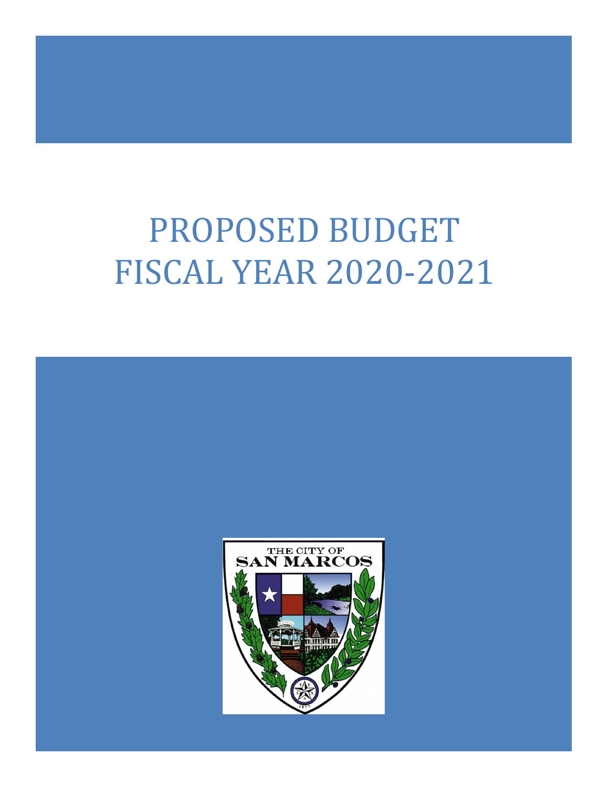# PROPOSED BUDGET FISCAL YEAR 2020-2021

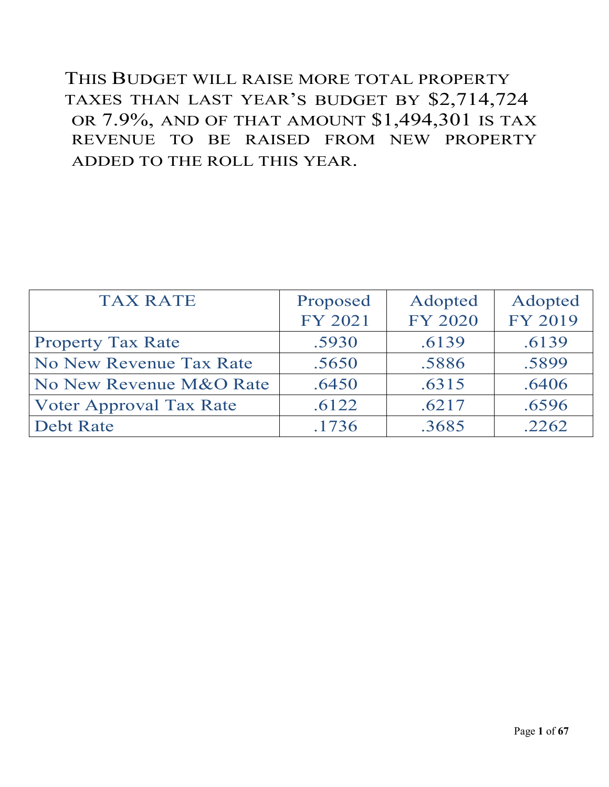THIS BUDGET WILL RAISE MORE TOTAL PROPERTY TAXES THAN LAST YEAR'S BUDGET BY \$2,714,724 OR 7.9%, AND OF THAT AMOUNT \$1,494,301 IS TAX REVENUE TO BE RAISED FROM NEW PROPERTY ADDED TO THE ROLL THIS YEAR.

| <b>TAX RATE</b>                | Proposed | Adopted | Adopted |
|--------------------------------|----------|---------|---------|
|                                | FY 2021  | FY 2020 | FY 2019 |
| <b>Property Tax Rate</b>       | .5930    | .6139   | .6139   |
| No New Revenue Tax Rate        | .5650    | .5886   | .5899   |
| No New Revenue M&O Rate        | .6450    | .6315   | .6406   |
| <b>Voter Approval Tax Rate</b> | .6122    | .6217   | .6596   |
| <b>Debt Rate</b>               | .1736    | .3685   | .2262   |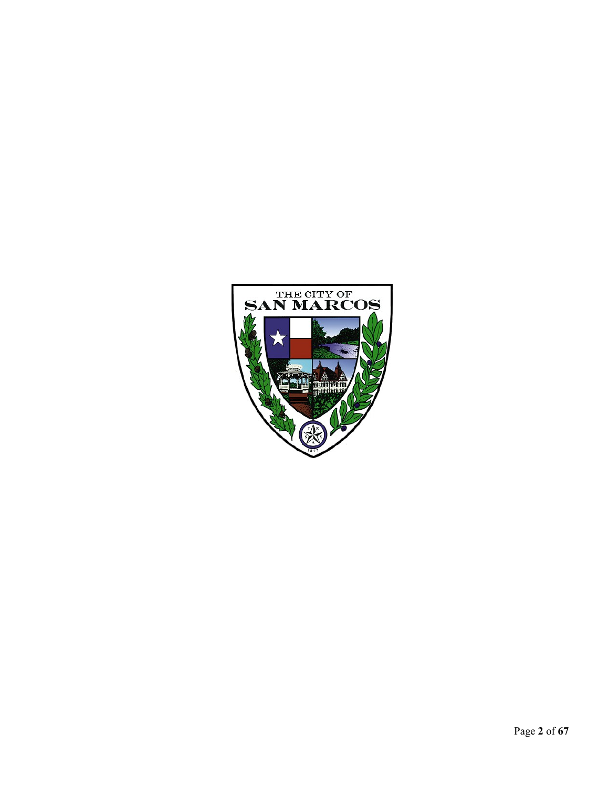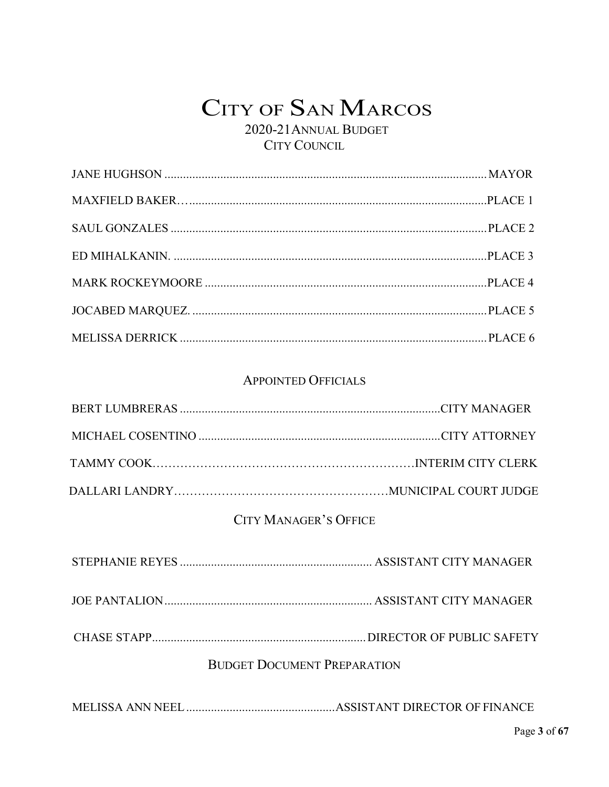2020-21ANNUAL BUDGET CITY COUNCIL

#### APPOINTED OFFICIALS

#### CITY MANAGER'S OFFICE

CHASE STAPP.....................................................................DIRECTOR OF PUBLIC SAFETY

#### BUDGET DOCUMENT PREPARATION

MELISSA ANN NEEL................................................ASSISTANT DIRECTOR OF FINANCE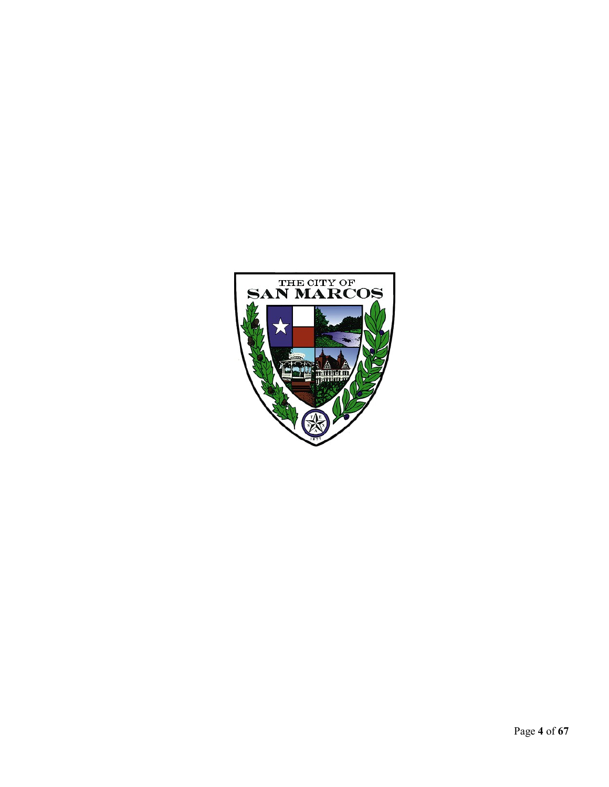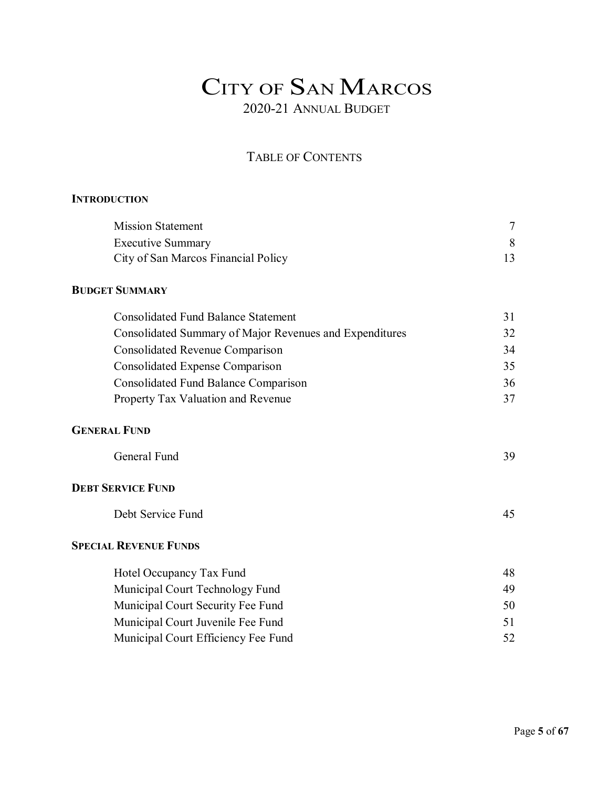### TABLE OF CONTENTS

#### **INTRODUCTION**

| <b>Mission Statement</b>            |  |
|-------------------------------------|--|
| <b>Executive Summary</b>            |  |
| City of San Marcos Financial Policy |  |

#### **BUDGET SUMMARY**

| <b>Consolidated Fund Balance Statement</b>              |    |
|---------------------------------------------------------|----|
| Consolidated Summary of Major Revenues and Expenditures | 32 |
| <b>Consolidated Revenue Comparison</b>                  | 34 |
| Consolidated Expense Comparison                         | 35 |
| <b>Consolidated Fund Balance Comparison</b>             | 36 |
| Property Tax Valuation and Revenue                      | 37 |
|                                                         |    |

#### **GENERAL FUND**

#### **DEBT SERVICE FUND**

| Debt Service Fund |  |
|-------------------|--|
|                   |  |

#### **SPECIAL REVENUE FUNDS**

| Hotel Occupancy Tax Fund            | 48  |
|-------------------------------------|-----|
| Municipal Court Technology Fund     | 49  |
| Municipal Court Security Fee Fund   | 50  |
| Municipal Court Juvenile Fee Fund   | 51. |
| Municipal Court Efficiency Fee Fund |     |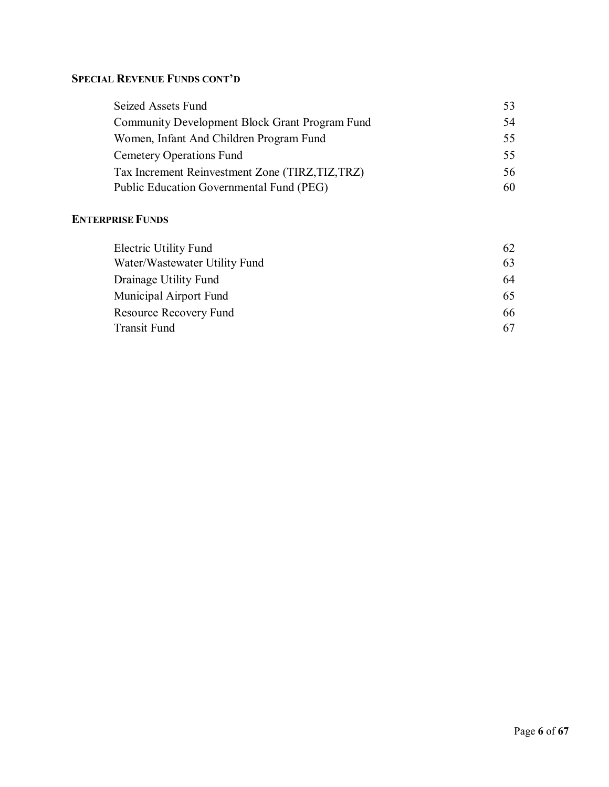#### **SPECIAL REVENUE FUNDS CONT'D**

| Seized Assets Fund                                    | 53. |
|-------------------------------------------------------|-----|
| <b>Community Development Block Grant Program Fund</b> | 54  |
| Women, Infant And Children Program Fund               | 55. |
| <b>Cemetery Operations Fund</b>                       | 55. |
| Tax Increment Reinvestment Zone (TIRZ, TIZ, TRZ)      | 56  |
| Public Education Governmental Fund (PEG)              | 60  |

#### **ENTERPRISE FUNDS**

| Electric Utility Fund         | 62 |
|-------------------------------|----|
| Water/Wastewater Utility Fund | 63 |
| Drainage Utility Fund         | 64 |
| Municipal Airport Fund        | 65 |
| Resource Recovery Fund        | 66 |
| <b>Transit Fund</b>           | 67 |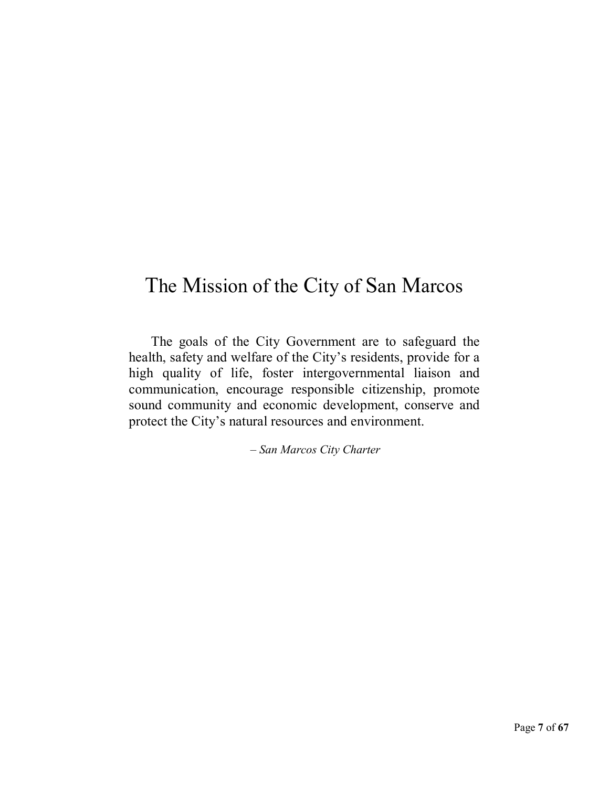# The Mission of the City of San Marcos

The goals of the City Government are to safeguard the health, safety and welfare of the City's residents, provide for a high quality of life, foster intergovernmental liaison and communication, encourage responsible citizenship, promote sound community and economic development, conserve and protect the City's natural resources and environment.

*– San Marcos City Charter*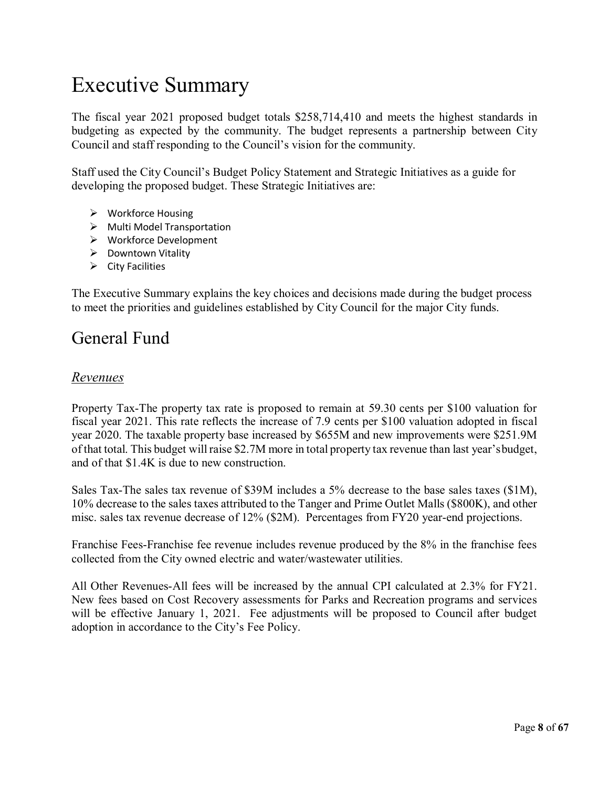# Executive Summary

The fiscal year 2021 proposed budget totals \$258,714,410 and meets the highest standards in budgeting as expected by the community. The budget represents a partnership between City Council and staff responding to the Council's vision for the community.

Staff used the City Council's Budget Policy Statement and Strategic Initiatives as a guide for developing the proposed budget. These Strategic Initiatives are:

- Workforce Housing
- $\triangleright$  Multi Model Transportation
- Workforce Development
- $\triangleright$  Downtown Vitality
- $\triangleright$  City Facilities

The Executive Summary explains the key choices and decisions made during the budget process to meet the priorities and guidelines established by City Council for the major City funds.

### General Fund

#### *Revenues*

Property Tax-The property tax rate is proposed to remain at 59.30 cents per \$100 valuation for fiscal year 2021. This rate reflects the increase of 7.9 cents per \$100 valuation adopted in fiscal year 2020. The taxable property base increased by \$655M and new improvements were \$251.9M of that total. This budget will raise \$2.7M more in total property tax revenue than last year'sbudget, and of that \$1.4K is due to new construction.

Sales Tax-The sales tax revenue of \$39M includes a 5% decrease to the base sales taxes (\$1M), 10% decrease to the sales taxes attributed to the Tanger and Prime Outlet Malls (\$800K), and other misc. sales tax revenue decrease of 12% (\$2M). Percentages from FY20 year-end projections.

Franchise Fees-Franchise fee revenue includes revenue produced by the 8% in the franchise fees collected from the City owned electric and water/wastewater utilities.

All Other Revenues-All fees will be increased by the annual CPI calculated at 2.3% for FY21. New fees based on Cost Recovery assessments for Parks and Recreation programs and services will be effective January 1, 2021. Fee adjustments will be proposed to Council after budget adoption in accordance to the City's Fee Policy.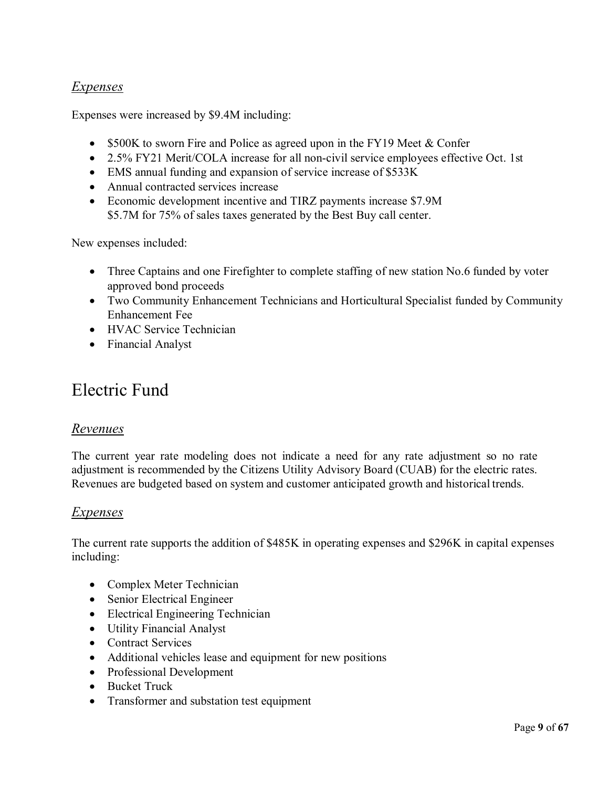#### *Expenses*

Expenses were increased by \$9.4M including:

- \$500K to sworn Fire and Police as agreed upon in the FY19 Meet & Confer
- 2.5% FY21 Merit/COLA increase for all non-civil service employees effective Oct. 1st
- EMS annual funding and expansion of service increase of \$533K
- Annual contracted services increase
- Economic development incentive and TIRZ payments increase \$7.9M \$5.7M for 75% of sales taxes generated by the Best Buy call center.

New expenses included:

- Three Captains and one Firefighter to complete staffing of new station No.6 funded by voter approved bond proceeds
- Two Community Enhancement Technicians and Horticultural Specialist funded by Community Enhancement Fee
- HVAC Service Technician
- Financial Analyst

### Electric Fund

#### *Revenues*

The current year rate modeling does not indicate a need for any rate adjustment so no rate adjustment is recommended by the Citizens Utility Advisory Board (CUAB) for the electric rates. Revenues are budgeted based on system and customer anticipated growth and historical trends.

#### *Expenses*

The current rate supports the addition of \$485K in operating expenses and \$296K in capital expenses including:

- Complex Meter Technician
- Senior Electrical Engineer
- Electrical Engineering Technician
- Utility Financial Analyst
- Contract Services
- Additional vehicles lease and equipment for new positions
- Professional Development
- Bucket Truck
- Transformer and substation test equipment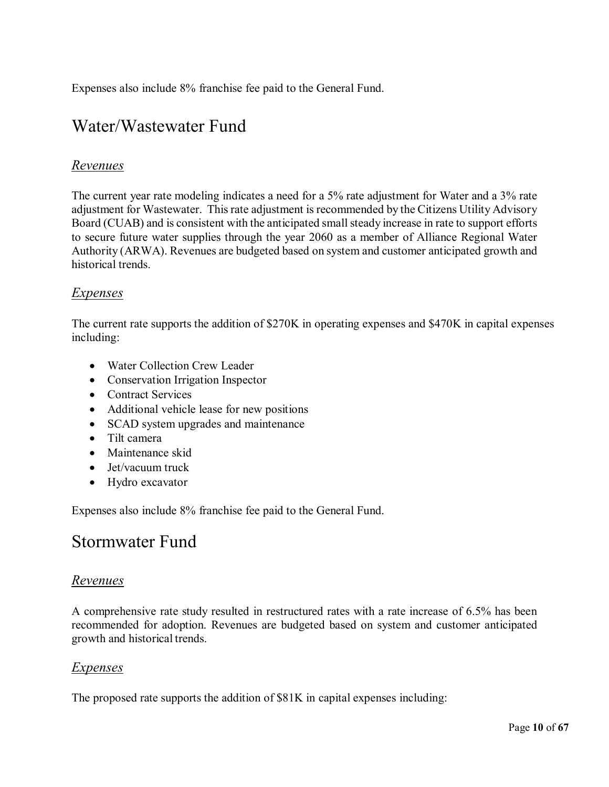Expenses also include 8% franchise fee paid to the General Fund.

### Water/Wastewater Fund

#### *Revenues*

The current year rate modeling indicates a need for a 5% rate adjustment for Water and a 3% rate adjustment for Wastewater. Thisrate adjustment is recommended by the Citizens Utility Advisory Board (CUAB) and is consistent with the anticipated small steady increase in rate to support efforts to secure future water supplies through the year 2060 as a member of Alliance Regional Water Authority (ARWA). Revenues are budgeted based on system and customer anticipated growth and historical trends.

#### *Expenses*

The current rate supports the addition of \$270K in operating expenses and \$470K in capital expenses including:

- Water Collection Crew Leader
- Conservation Irrigation Inspector
- Contract Services
- Additional vehicle lease for new positions
- SCAD system upgrades and maintenance
- Tilt camera
- Maintenance skid
- Jet/vacuum truck
- Hydro excavator

Expenses also include 8% franchise fee paid to the General Fund.

### Stormwater Fund

#### *Revenues*

A comprehensive rate study resulted in restructured rates with a rate increase of 6.5% has been recommended for adoption. Revenues are budgeted based on system and customer anticipated growth and historical trends.

#### *Expenses*

The proposed rate supports the addition of \$81K in capital expenses including: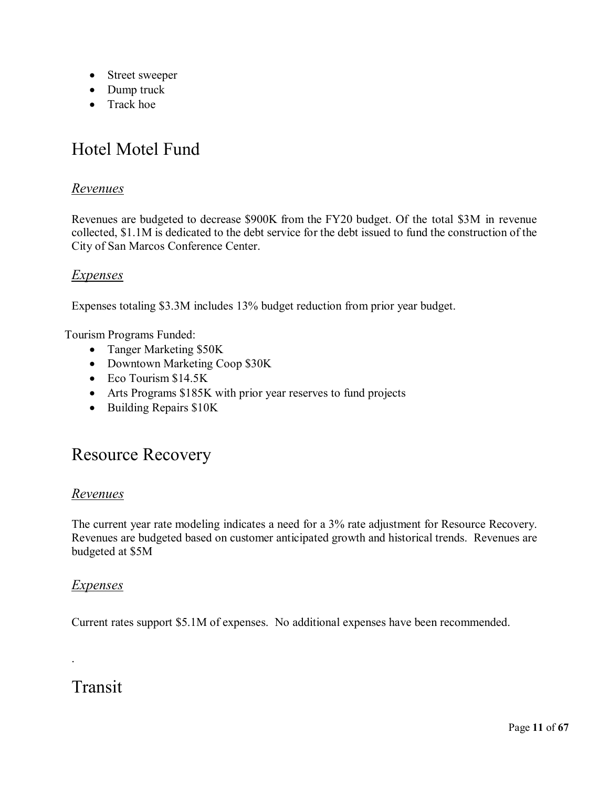- Street sweeper
- Dump truck
- Track hoe

### Hotel Motel Fund

#### *Revenues*

Revenues are budgeted to decrease \$900K from the FY20 budget. Of the total \$3M in revenue collected, \$1.1M is dedicated to the debt service for the debt issued to fund the construction of the City of San Marcos Conference Center.

#### *Expenses*

Expenses totaling \$3.3M includes 13% budget reduction from prior year budget.

Tourism Programs Funded:

- Tanger Marketing \$50K
- Downtown Marketing Coop \$30K
- Eco Tourism \$14.5K
- Arts Programs \$185K with prior year reserves to fund projects
- Building Repairs \$10K

### Resource Recovery

#### *Revenues*

The current year rate modeling indicates a need for a 3% rate adjustment for Resource Recovery. Revenues are budgeted based on customer anticipated growth and historical trends. Revenues are budgeted at \$5M

#### *Expenses*

Current rates support \$5.1M of expenses. No additional expenses have been recommended.

### Transit

.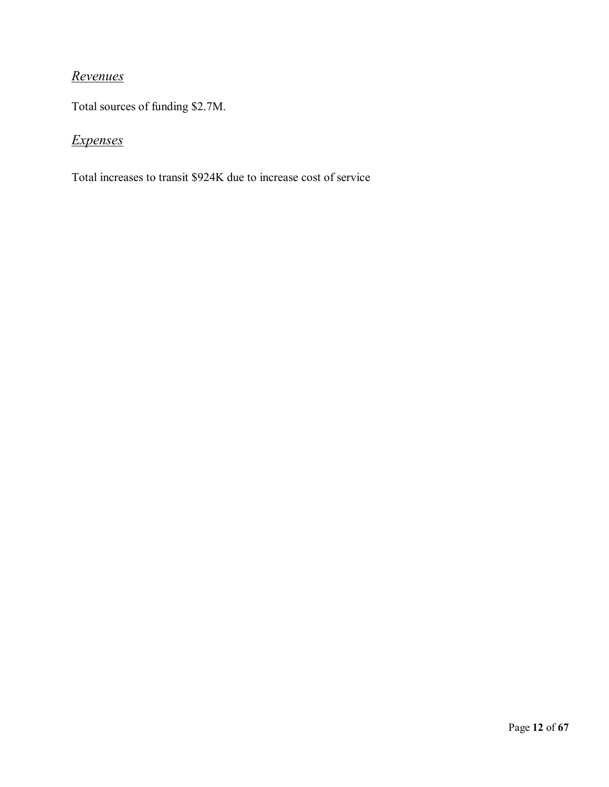### *Revenues*

Total sources of funding \$2.7M.

### *Expenses*

Total increases to transit \$924K due to increase cost of service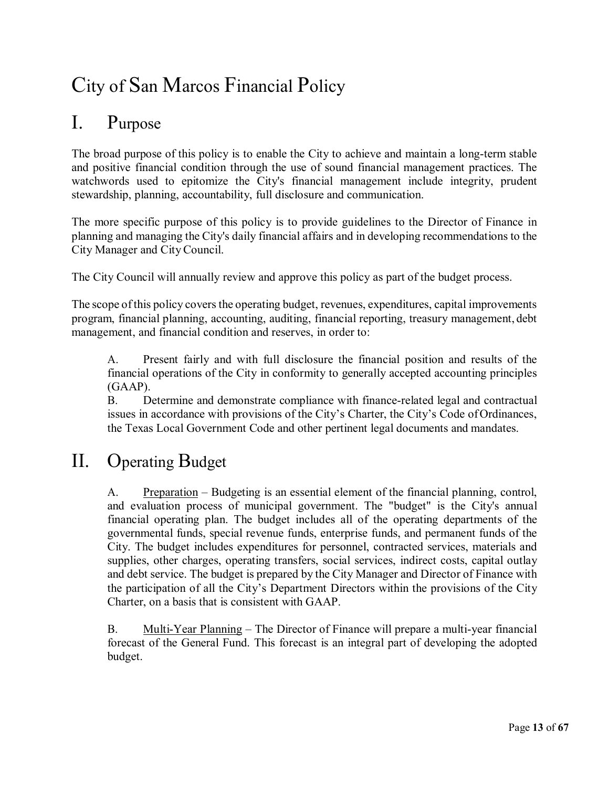# City of San Marcos Financial Policy

### I. Purpose

The broad purpose of this policy is to enable the City to achieve and maintain a long-term stable and positive financial condition through the use of sound financial management practices. The watchwords used to epitomize the City's financial management include integrity, prudent stewardship, planning, accountability, full disclosure and communication.

The more specific purpose of this policy is to provide guidelines to the Director of Finance in planning and managing the City's daily financial affairs and in developing recommendations to the City Manager and CityCouncil.

The City Council will annually review and approve this policy as part of the budget process.

The scope of this policy covers the operating budget, revenues, expenditures, capital improvements program, financial planning, accounting, auditing, financial reporting, treasury management, debt management, and financial condition and reserves, in order to:

A. Present fairly and with full disclosure the financial position and results of the financial operations of the City in conformity to generally accepted accounting principles (GAAP).

B. Determine and demonstrate compliance with finance-related legal and contractual issues in accordance with provisions of the City's Charter, the City's Code ofOrdinances, the Texas Local Government Code and other pertinent legal documents and mandates.

# II. Operating Budget

A. Preparation – Budgeting is an essential element of the financial planning, control, and evaluation process of municipal government. The "budget" is the City's annual financial operating plan. The budget includes all of the operating departments of the governmental funds, special revenue funds, enterprise funds, and permanent funds of the City. The budget includes expenditures for personnel, contracted services, materials and supplies, other charges, operating transfers, social services, indirect costs, capital outlay and debt service. The budget is prepared by the City Manager and Director of Finance with the participation of all the City's Department Directors within the provisions of the City Charter, on a basis that is consistent with GAAP.

B. Multi-Year Planning – The Director of Finance will prepare a multi-year financial forecast of the General Fund. This forecast is an integral part of developing the adopted budget.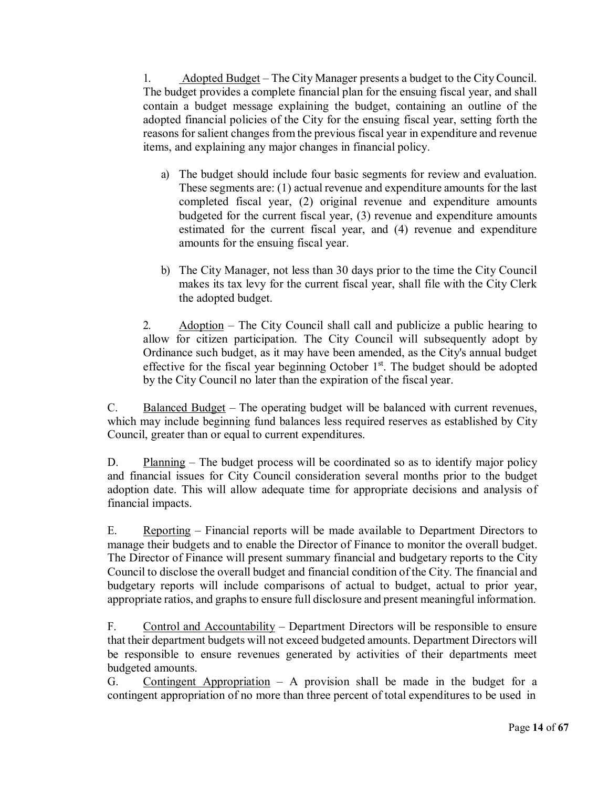1. Adopted Budget – The City Manager presents a budget to the CityCouncil. The budget provides a complete financial plan for the ensuing fiscal year, and shall contain a budget message explaining the budget, containing an outline of the adopted financial policies of the City for the ensuing fiscal year, setting forth the reasons for salient changes from the previous fiscal year in expenditure and revenue items, and explaining any major changes in financial policy.

- a) The budget should include four basic segments for review and evaluation. These segments are: (1) actual revenue and expenditure amounts for the last completed fiscal year, (2) original revenue and expenditure amounts budgeted for the current fiscal year, (3) revenue and expenditure amounts estimated for the current fiscal year, and (4) revenue and expenditure amounts for the ensuing fiscal year.
- b) The City Manager, not less than 30 days prior to the time the City Council makes its tax levy for the current fiscal year, shall file with the City Clerk the adopted budget.

2. Adoption – The City Council shall call and publicize a public hearing to allow for citizen participation. The City Council will subsequently adopt by Ordinance such budget, as it may have been amended, as the City's annual budget effective for the fiscal year beginning October  $1<sup>st</sup>$ . The budget should be adopted by the City Council no later than the expiration of the fiscal year.

C. Balanced Budget – The operating budget will be balanced with current revenues, which may include beginning fund balances less required reserves as established by City Council, greater than or equal to current expenditures.

D. Planning – The budget process will be coordinated so as to identify major policy and financial issues for City Council consideration several months prior to the budget adoption date. This will allow adequate time for appropriate decisions and analysis of financial impacts.

E. Reporting – Financial reports will be made available to Department Directors to manage their budgets and to enable the Director of Finance to monitor the overall budget. The Director of Finance will present summary financial and budgetary reports to the City Council to disclose the overall budget and financial condition of the City. The financial and budgetary reports will include comparisons of actual to budget, actual to prior year, appropriate ratios, and graphs to ensure full disclosure and present meaningful information.

F. Control and Accountability – Department Directors will be responsible to ensure that their department budgets will not exceed budgeted amounts. Department Directors will be responsible to ensure revenues generated by activities of their departments meet budgeted amounts.

G. Contingent Appropriation  $- A$  provision shall be made in the budget for a contingent appropriation of no more than three percent of total expenditures to be used in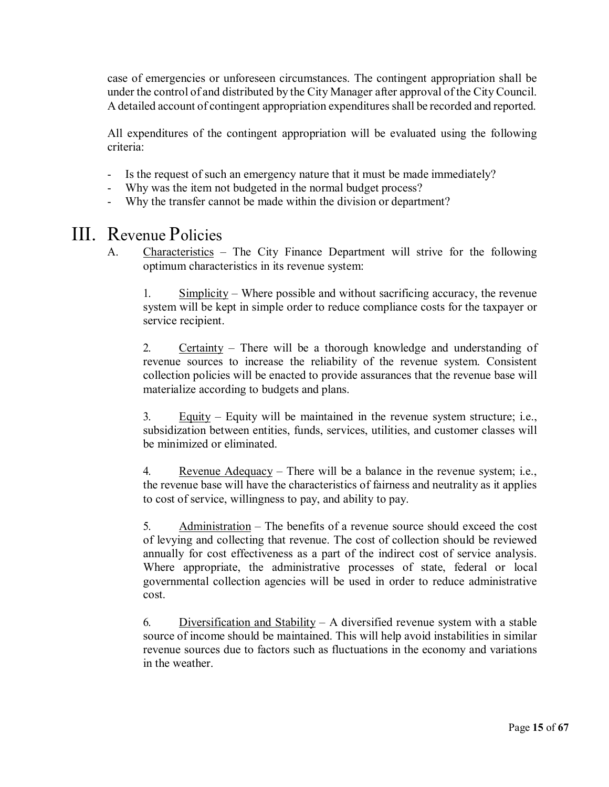case of emergencies or unforeseen circumstances. The contingent appropriation shall be under the control of and distributed by the City Manager after approval of the CityCouncil. A detailed account of contingent appropriation expenditures shall be recorded and reported.

All expenditures of the contingent appropriation will be evaluated using the following criteria:

- Is the request of such an emergency nature that it must be made immediately?
- Why was the item not budgeted in the normal budget process?
- Why the transfer cannot be made within the division or department?

### III. Revenue Policies

A. Characteristics – The City Finance Department will strive for the following optimum characteristics in its revenue system:

1. Simplicity – Where possible and without sacrificing accuracy, the revenue system will be kept in simple order to reduce compliance costs for the taxpayer or service recipient.

2. Certainty – There will be a thorough knowledge and understanding of revenue sources to increase the reliability of the revenue system. Consistent collection policies will be enacted to provide assurances that the revenue base will materialize according to budgets and plans.

3. Equity – Equity will be maintained in the revenue system structure; i.e., subsidization between entities, funds, services, utilities, and customer classes will be minimized or eliminated.

4. Revenue Adequacy – There will be a balance in the revenue system; i.e., the revenue base will have the characteristics of fairness and neutrality as it applies to cost of service, willingness to pay, and ability to pay.

5. Administration – The benefits of a revenue source should exceed the cost of levying and collecting that revenue. The cost of collection should be reviewed annually for cost effectiveness as a part of the indirect cost of service analysis. Where appropriate, the administrative processes of state, federal or local governmental collection agencies will be used in order to reduce administrative cost.

6. Diversification and Stability – A diversified revenue system with a stable source of income should be maintained. This will help avoid instabilities in similar revenue sources due to factors such as fluctuations in the economy and variations in the weather.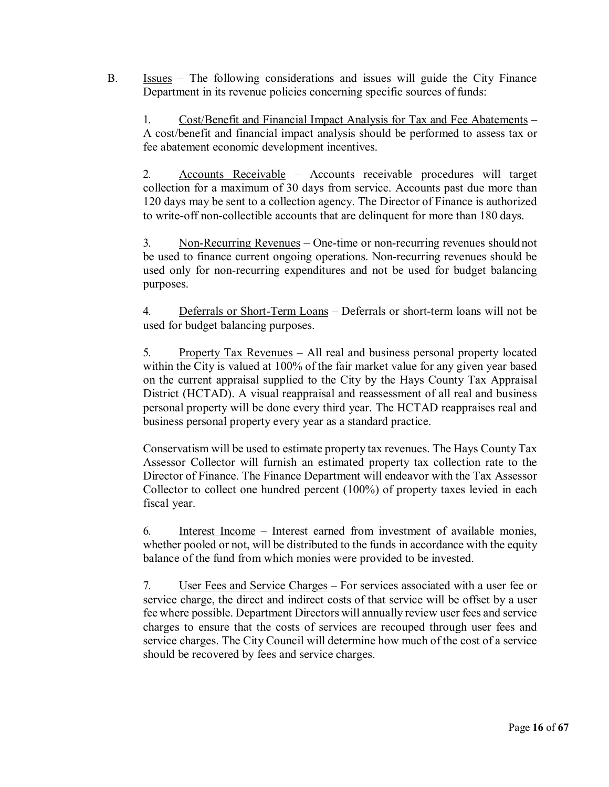B. Issues – The following considerations and issues will guide the City Finance Department in its revenue policies concerning specific sources of funds:

1. Cost/Benefit and Financial Impact Analysis for Tax and Fee Abatements – A cost/benefit and financial impact analysis should be performed to assess tax or fee abatement economic development incentives.

2. Accounts Receivable – Accounts receivable procedures will target collection for a maximum of 30 days from service. Accounts past due more than 120 days may be sent to a collection agency. The Director of Finance is authorized to write-off non-collectible accounts that are delinquent for more than 180 days.

3. Non-Recurring Revenues – One-time or non-recurring revenues should not be used to finance current ongoing operations. Non-recurring revenues should be used only for non-recurring expenditures and not be used for budget balancing purposes.

4. Deferrals or Short-Term Loans – Deferrals or short-term loans will not be used for budget balancing purposes.

5. Property Tax Revenues – All real and business personal property located within the City is valued at 100% of the fair market value for any given year based on the current appraisal supplied to the City by the Hays County Tax Appraisal District (HCTAD). A visual reappraisal and reassessment of all real and business personal property will be done every third year. The HCTAD reappraises real and business personal property every year as a standard practice.

Conservatism will be used to estimate property tax revenues. The Hays County Tax Assessor Collector will furnish an estimated property tax collection rate to the Director of Finance. The Finance Department will endeavor with the Tax Assessor Collector to collect one hundred percent (100%) of property taxes levied in each fiscal year.

6. Interest Income – Interest earned from investment of available monies, whether pooled or not, will be distributed to the funds in accordance with the equity balance of the fund from which monies were provided to be invested.

7. User Fees and Service Charges – For services associated with a user fee or service charge, the direct and indirect costs of that service will be offset by a user fee where possible. Department Directors will annually review user fees and service charges to ensure that the costs of services are recouped through user fees and service charges. The City Council will determine how much of the cost of a service should be recovered by fees and service charges.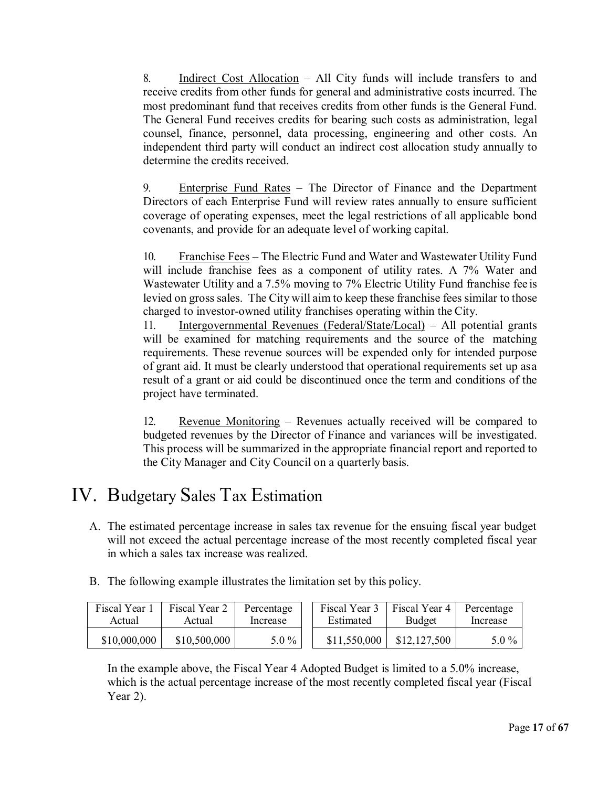8. Indirect Cost Allocation – All City funds will include transfers to and receive credits from other funds for general and administrative costs incurred. The most predominant fund that receives credits from other funds is the General Fund. The General Fund receives credits for bearing such costs as administration, legal counsel, finance, personnel, data processing, engineering and other costs. An independent third party will conduct an indirect cost allocation study annually to determine the credits received.

9. Enterprise Fund Rates – The Director of Finance and the Department Directors of each Enterprise Fund will review rates annually to ensure sufficient coverage of operating expenses, meet the legal restrictions of all applicable bond covenants, and provide for an adequate level of working capital.

10. Franchise Fees – The Electric Fund and Water and Wastewater Utility Fund will include franchise fees as a component of utility rates. A 7% Water and Wastewater Utility and a 7.5% moving to 7% Electric Utility Fund franchise fee is levied on gross sales. The City will aim to keep these franchise fees similar to those charged to investor-owned utility franchises operating within the City.

11. Intergovernmental Revenues (Federal/State/Local) - All potential grants will be examined for matching requirements and the source of the matching requirements. These revenue sources will be expended only for intended purpose of grant aid. It must be clearly understood that operational requirements set up asa result of a grant or aid could be discontinued once the term and conditions of the project have terminated.

12. Revenue Monitoring – Revenues actually received will be compared to budgeted revenues by the Director of Finance and variances will be investigated. This process will be summarized in the appropriate financial report and reported to the City Manager and City Council on a quarterly basis.

### IV. Budgetary Sales Tax Estimation

- A. The estimated percentage increase in sales tax revenue for the ensuing fiscal year budget will not exceed the actual percentage increase of the most recently completed fiscal year in which a sales tax increase was realized.
- B. The following example illustrates the limitation set by this policy.

| Fiscal Year 1 | Fiscal Year 2 | Percentage | Fiscal Year 3 | Fiscal Year 4 | Percentage |
|---------------|---------------|------------|---------------|---------------|------------|
| Actual        | Actual        | Increase   | Estimated     | Budget        | Increase   |
| \$10,000,000  | \$10,500,000  | $5.0\%$    | \$11,550,000  | \$12,127,500  | $5.0\%$    |

In the example above, the Fiscal Year 4 Adopted Budget is limited to a 5.0% increase, which is the actual percentage increase of the most recently completed fiscal year (Fiscal Year 2).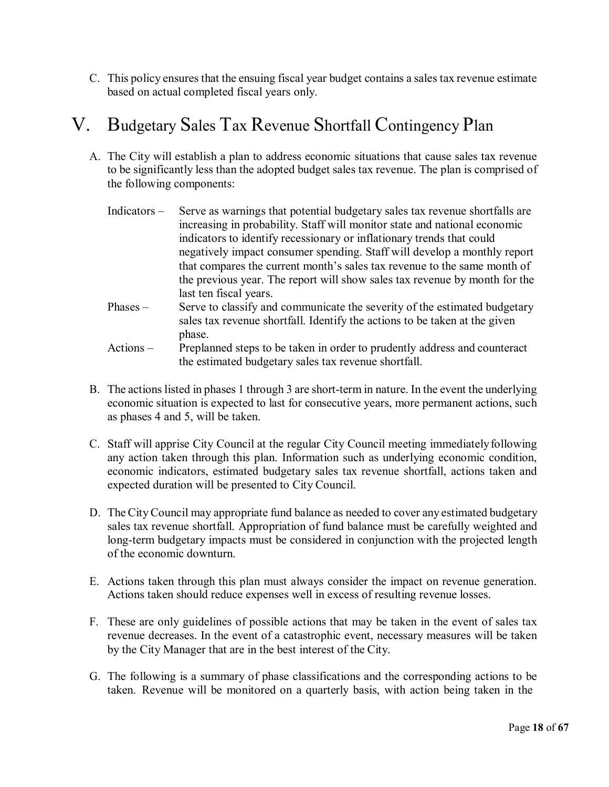C. This policy ensures that the ensuing fiscal year budget contains a sales tax revenue estimate based on actual completed fiscal years only.

### V. Budgetary Sales Tax Revenue Shortfall Contingency Plan

A. The City will establish a plan to address economic situations that cause sales tax revenue to be significantly less than the adopted budget sales tax revenue. The plan is comprised of the following components:

| Indicators - | Serve as warnings that potential budgetary sales tax revenue shortfalls are |
|--------------|-----------------------------------------------------------------------------|
|              | increasing in probability. Staff will monitor state and national economic   |
|              | indicators to identify recessionary or inflationary trends that could       |
|              | negatively impact consumer spending. Staff will develop a monthly report    |
|              | that compares the current month's sales tax revenue to the same month of    |
|              | the previous year. The report will show sales tax revenue by month for the  |
|              | last ten fiscal years.                                                      |
| $Phases -$   | Serve to classify and communicate the severity of the estimated budgetary   |
|              | sales tax revenue shortfall. Identify the actions to be taken at the given  |
|              | phase.                                                                      |
| Actions –    | Preplanned steps to be taken in order to prudently address and counteract   |
|              | the estimated budgetary sales tax revenue shortfall.                        |

- B. The actions listed in phases 1 through 3 are short-term in nature. In the event the underlying economic situation is expected to last for consecutive years, more permanent actions, such as phases 4 and 5, will be taken.
- C. Staff will apprise City Council at the regular City Council meeting immediatelyfollowing any action taken through this plan. Information such as underlying economic condition, economic indicators, estimated budgetary sales tax revenue shortfall, actions taken and expected duration will be presented to City Council.
- D. The CityCouncil may appropriate fund balance as needed to cover any estimated budgetary sales tax revenue shortfall. Appropriation of fund balance must be carefully weighted and long-term budgetary impacts must be considered in conjunction with the projected length of the economic downturn.
- E. Actions taken through this plan must always consider the impact on revenue generation. Actions taken should reduce expenses well in excess of resulting revenue losses.
- F. These are only guidelines of possible actions that may be taken in the event of sales tax revenue decreases. In the event of a catastrophic event, necessary measures will be taken by the City Manager that are in the best interest of the City.
- G. The following is a summary of phase classifications and the corresponding actions to be taken. Revenue will be monitored on a quarterly basis, with action being taken in the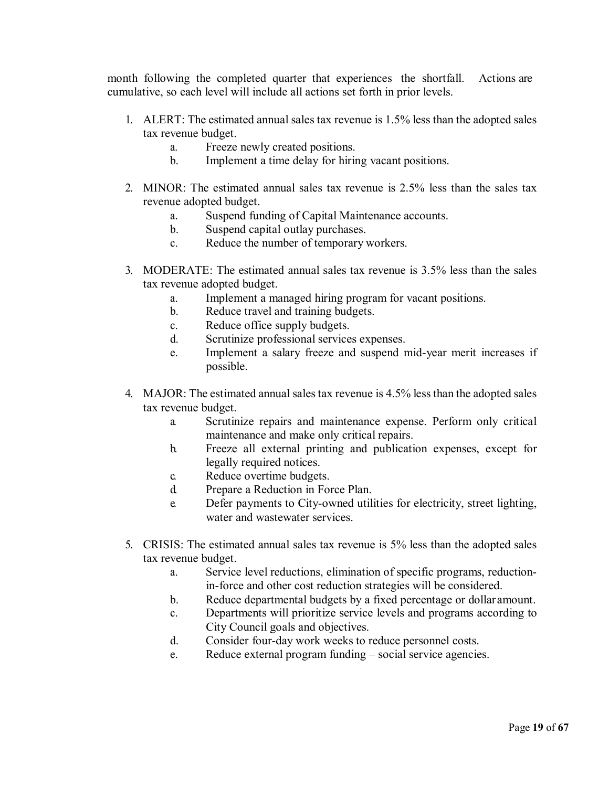month following the completed quarter that experiences the shortfall. Actions are cumulative, so each level will include all actions set forth in prior levels.

- 1. ALERT: The estimated annual sales tax revenue is 1.5% less than the adopted sales tax revenue budget.
	- a. Freeze newly created positions.
	- b. Implement a time delay for hiring vacant positions.
- 2. MINOR: The estimated annual sales tax revenue is 2.5% less than the sales tax revenue adopted budget.
	- a. Suspend funding of Capital Maintenance accounts.
	- b. Suspend capital outlay purchases.
	- c. Reduce the number of temporary workers.
- 3. MODERATE: The estimated annual sales tax revenue is 3.5% less than the sales tax revenue adopted budget.
	- a. Implement a managed hiring program for vacant positions.
	- b. Reduce travel and training budgets.
	- c. Reduce office supply budgets.
	- d. Scrutinize professional services expenses.
	- e. Implement a salary freeze and suspend mid-year merit increases if possible.
- 4. MAJOR: The estimated annual sales tax revenue is 4.5% less than the adopted sales tax revenue budget.
	- a. Scrutinize repairs and maintenance expense. Perform only critical maintenance and make only critical repairs.
	- b. Freeze all external printing and publication expenses, except for legally required notices.
	- c. Reduce overtime budgets.
	- d. Prepare a Reduction in Force Plan.
	- e. Defer payments to City-owned utilities for electricity, street lighting, water and wastewater services.
- 5. CRISIS: The estimated annual sales tax revenue is 5% less than the adopted sales tax revenue budget.
	- a. Service level reductions, elimination of specific programs, reductionin-force and other cost reduction strategies will be considered.
	- b. Reduce departmental budgets by a fixed percentage or dollaramount.
	- c. Departments will prioritize service levels and programs according to City Council goals and objectives.
	- d. Consider four-day work weeks to reduce personnel costs.
	- e. Reduce external program funding social service agencies.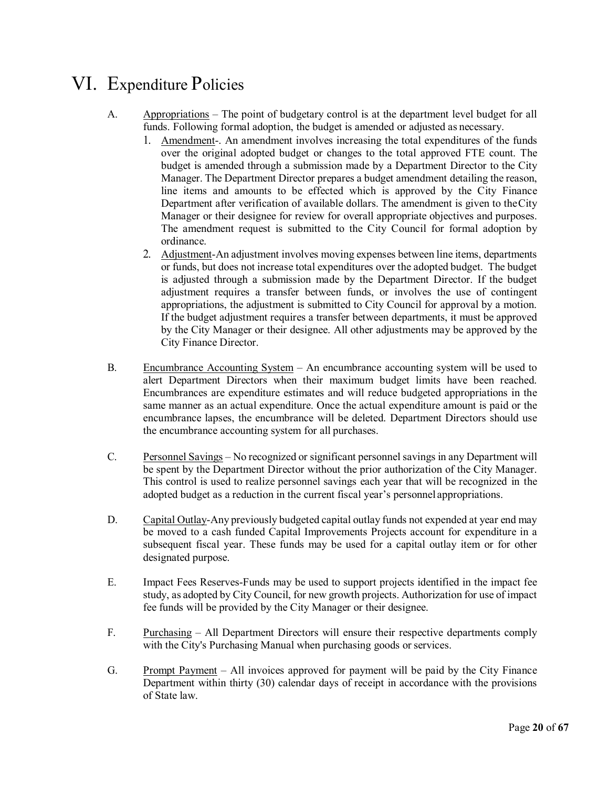### VI. Expenditure Policies

- A. Appropriations The point of budgetary control is at the department level budget for all funds. Following formal adoption, the budget is amended or adjusted as necessary.
	- 1. Amendment-. An amendment involves increasing the total expenditures of the funds over the original adopted budget or changes to the total approved FTE count. The budget is amended through a submission made by a Department Director to the City Manager. The Department Director prepares a budget amendment detailing the reason, line items and amounts to be effected which is approved by the City Finance Department after verification of available dollars. The amendment is given to theCity Manager or their designee for review for overall appropriate objectives and purposes. The amendment request is submitted to the City Council for formal adoption by ordinance.
	- 2. Adjustment-An adjustment involves moving expenses between line items, departments or funds, but does not increase total expenditures over the adopted budget. The budget is adjusted through a submission made by the Department Director. If the budget adjustment requires a transfer between funds, or involves the use of contingent appropriations, the adjustment is submitted to City Council for approval by a motion. If the budget adjustment requires a transfer between departments, it must be approved by the City Manager or their designee. All other adjustments may be approved by the City Finance Director.
- B. Encumbrance Accounting System An encumbrance accounting system will be used to alert Department Directors when their maximum budget limits have been reached. Encumbrances are expenditure estimates and will reduce budgeted appropriations in the same manner as an actual expenditure. Once the actual expenditure amount is paid or the encumbrance lapses, the encumbrance will be deleted. Department Directors should use the encumbrance accounting system for all purchases.
- C. Personnel Savings No recognized or significant personnel savings in any Department will be spent by the Department Director without the prior authorization of the City Manager. This control is used to realize personnel savings each year that will be recognized in the adopted budget as a reduction in the current fiscal year's personnel appropriations.
- D. Capital Outlay-Any previously budgeted capital outlay funds not expended at year end may be moved to a cash funded Capital Improvements Projects account for expenditure in a subsequent fiscal year. These funds may be used for a capital outlay item or for other designated purpose.
- E. Impact Fees Reserves-Funds may be used to support projects identified in the impact fee study, as adopted by City Council, for new growth projects. Authorization for use of impact fee funds will be provided by the City Manager or their designee.
- F. Purchasing All Department Directors will ensure their respective departments comply with the City's Purchasing Manual when purchasing goods or services.
- G. Prompt Payment All invoices approved for payment will be paid by the City Finance Department within thirty (30) calendar days of receipt in accordance with the provisions of State law.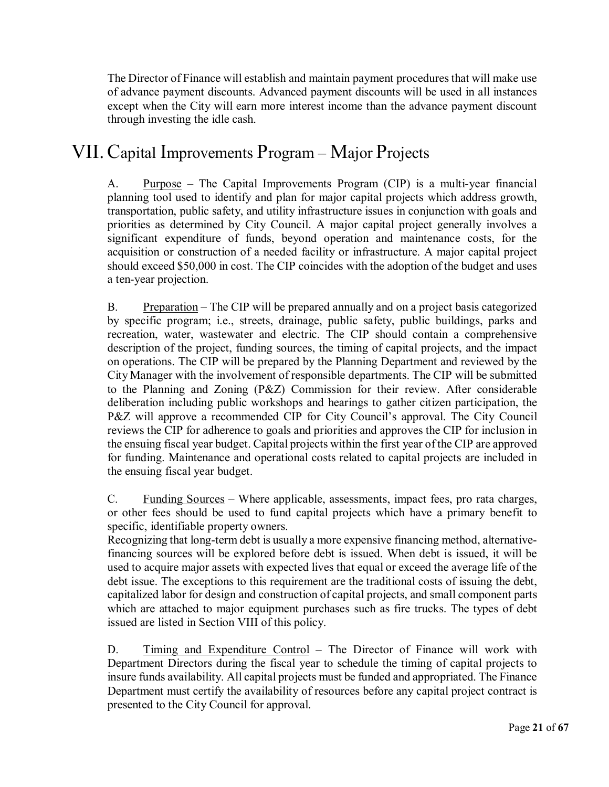The Director of Finance will establish and maintain payment proceduresthat will make use of advance payment discounts. Advanced payment discounts will be used in all instances except when the City will earn more interest income than the advance payment discount through investing the idle cash.

### VII.Capital Improvements Program – Major Projects

A. Purpose – The Capital Improvements Program (CIP) is a multi-year financial planning tool used to identify and plan for major capital projects which address growth, transportation, public safety, and utility infrastructure issues in conjunction with goals and priorities as determined by City Council. A major capital project generally involves a significant expenditure of funds, beyond operation and maintenance costs, for the acquisition or construction of a needed facility or infrastructure. A major capital project should exceed \$50,000 in cost. The CIP coincides with the adoption of the budget and uses a ten-year projection.

B. Preparation – The CIP will be prepared annually and on a project basis categorized by specific program; i.e., streets, drainage, public safety, public buildings, parks and recreation, water, wastewater and electric. The CIP should contain a comprehensive description of the project, funding sources, the timing of capital projects, and the impact on operations. The CIP will be prepared by the Planning Department and reviewed by the City Manager with the involvement of responsible departments. The CIP will be submitted to the Planning and Zoning (P&Z) Commission for their review. After considerable deliberation including public workshops and hearings to gather citizen participation, the P&Z will approve a recommended CIP for City Council's approval. The City Council reviews the CIP for adherence to goals and priorities and approves the CIP for inclusion in the ensuing fiscal year budget. Capital projects within the first year of the CIP are approved for funding. Maintenance and operational costs related to capital projects are included in the ensuing fiscal year budget.

C. Funding Sources – Where applicable, assessments, impact fees, pro rata charges, or other fees should be used to fund capital projects which have a primary benefit to specific, identifiable property owners.

Recognizing that long-term debt is usually a more expensive financing method, alternativefinancing sources will be explored before debt is issued. When debt is issued, it will be used to acquire major assets with expected lives that equal or exceed the average life of the debt issue. The exceptions to this requirement are the traditional costs of issuing the debt, capitalized labor for design and construction of capital projects, and small component parts which are attached to major equipment purchases such as fire trucks. The types of debt issued are listed in Section VIII of this policy.

D. Timing and Expenditure Control – The Director of Finance will work with Department Directors during the fiscal year to schedule the timing of capital projects to insure funds availability. All capital projects must be funded and appropriated. The Finance Department must certify the availability of resources before any capital project contract is presented to the City Council for approval.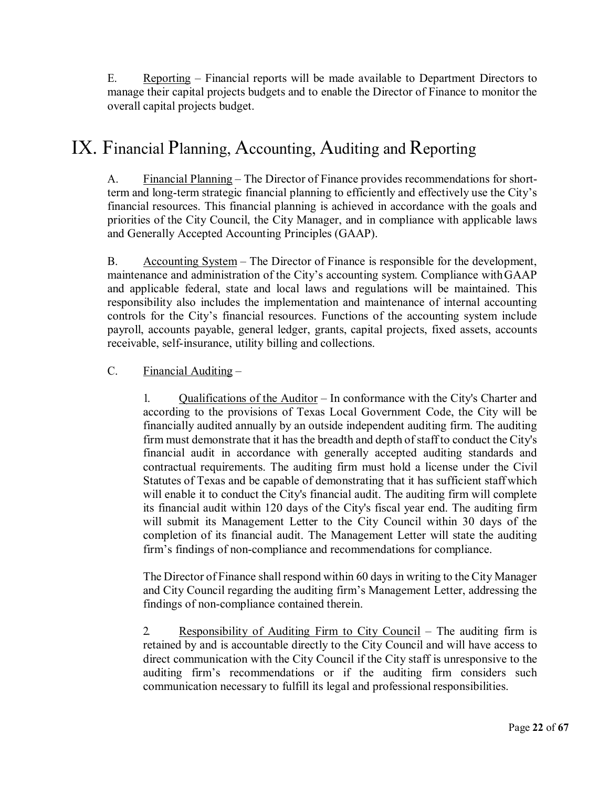E. Reporting – Financial reports will be made available to Department Directors to manage their capital projects budgets and to enable the Director of Finance to monitor the overall capital projects budget.

# IX. Financial Planning, Accounting, Auditing and Reporting

A. Financial Planning – The Director of Finance provides recommendations for shortterm and long-term strategic financial planning to efficiently and effectively use the City's financial resources. This financial planning is achieved in accordance with the goals and priorities of the City Council, the City Manager, and in compliance with applicable laws and Generally Accepted Accounting Principles (GAAP).

B. Accounting System – The Director of Finance is responsible for the development, maintenance and administration of the City's accounting system. Compliance withGAAP and applicable federal, state and local laws and regulations will be maintained. This responsibility also includes the implementation and maintenance of internal accounting controls for the City's financial resources. Functions of the accounting system include payroll, accounts payable, general ledger, grants, capital projects, fixed assets, accounts receivable, self-insurance, utility billing and collections.

#### $C.$  Financial Auditing  $-$

1. Qualifications of the Auditor – In conformance with the City's Charter and according to the provisions of Texas Local Government Code, the City will be financially audited annually by an outside independent auditing firm. The auditing firm must demonstrate that it has the breadth and depth of staff to conduct the City's financial audit in accordance with generally accepted auditing standards and contractual requirements. The auditing firm must hold a license under the Civil Statutes of Texas and be capable of demonstrating that it has sufficient staff which will enable it to conduct the City's financial audit. The auditing firm will complete its financial audit within 120 days of the City's fiscal year end. The auditing firm will submit its Management Letter to the City Council within 30 days of the completion of its financial audit. The Management Letter will state the auditing firm's findings of non-compliance and recommendations for compliance.

The Director of Finance shall respond within 60 days in writing to the City Manager and City Council regarding the auditing firm's Management Letter, addressing the findings of non-compliance contained therein.

2. Responsibility of Auditing Firm to City Council – The auditing firm is retained by and is accountable directly to the City Council and will have access to direct communication with the City Council if the City staff is unresponsive to the auditing firm's recommendations or if the auditing firm considers such communication necessary to fulfill its legal and professional responsibilities.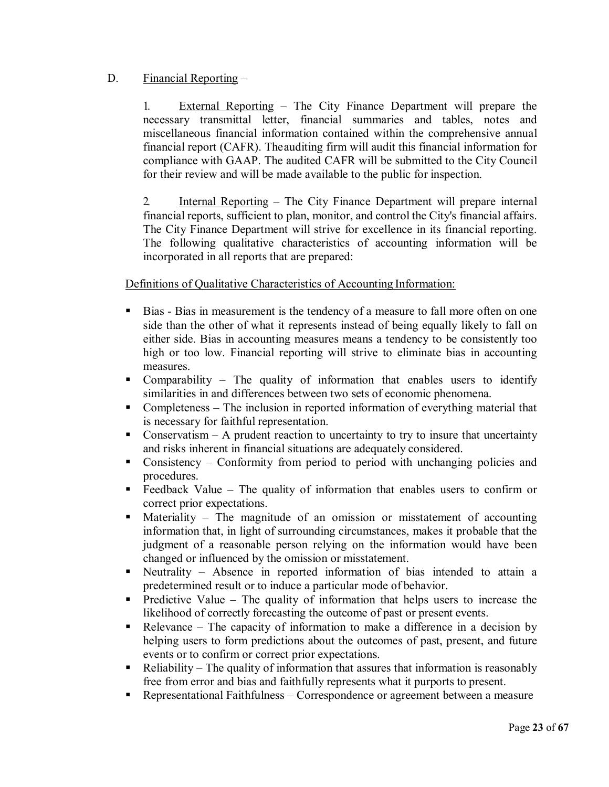#### D. Financial Reporting –

1. External Reporting – The City Finance Department will prepare the necessary transmittal letter, financial summaries and tables, notes and miscellaneous financial information contained within the comprehensive annual financial report (CAFR). Theauditing firm will audit this financial information for compliance with GAAP. The audited CAFR will be submitted to the City Council for their review and will be made available to the public for inspection.

2. Internal Reporting – The City Finance Department will prepare internal financial reports, sufficient to plan, monitor, and control the City's financial affairs. The City Finance Department will strive for excellence in its financial reporting. The following qualitative characteristics of accounting information will be incorporated in all reports that are prepared:

Definitions of Qualitative Characteristics of Accounting Information:

- Bias Bias in measurement is the tendency of a measure to fall more often on one side than the other of what it represents instead of being equally likely to fall on either side. Bias in accounting measures means a tendency to be consistently too high or too low. Financial reporting will strive to eliminate bias in accounting measures.
- Comparability The quality of information that enables users to identify similarities in and differences between two sets of economic phenomena.
- Completeness The inclusion in reported information of everything material that is necessary for faithful representation.
- Conservatism  $A$  prudent reaction to uncertainty to try to insure that uncertainty and risks inherent in financial situations are adequately considered.
- Consistency Conformity from period to period with unchanging policies and procedures.
- Feedback Value The quality of information that enables users to confirm or correct prior expectations.
- Materiality The magnitude of an omission or misstatement of accounting information that, in light of surrounding circumstances, makes it probable that the judgment of a reasonable person relying on the information would have been changed or influenced by the omission or misstatement.
- Neutrality Absence in reported information of bias intended to attain a predetermined result or to induce a particular mode of behavior.
- **Predictive Value The quality of information that helps users to increase the** likelihood of correctly forecasting the outcome of past or present events.
- Relevance The capacity of information to make a difference in a decision by helping users to form predictions about the outcomes of past, present, and future events or to confirm or correct prior expectations.
- $\blacksquare$  Reliability The quality of information that assures that information is reasonably free from error and bias and faithfully represents what it purports to present.
- Representational Faithfulness Correspondence or agreement between a measure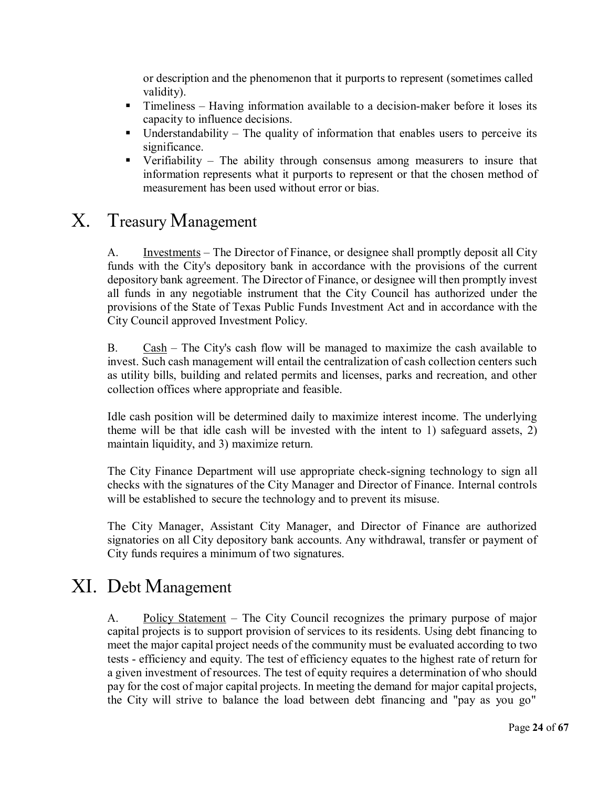or description and the phenomenon that it purports to represent (sometimes called validity).

- Timeliness Having information available to a decision-maker before it loses its capacity to influence decisions.
- $\blacksquare$  Understandability The quality of information that enables users to perceive its significance.
- Verifiability The ability through consensus among measurers to insure that information represents what it purports to represent or that the chosen method of measurement has been used without error or bias.

### X. Treasury Management

A. Investments – The Director of Finance, or designee shall promptly deposit all City funds with the City's depository bank in accordance with the provisions of the current depository bank agreement. The Director of Finance, or designee will then promptly invest all funds in any negotiable instrument that the City Council has authorized under the provisions of the State of Texas Public Funds Investment Act and in accordance with the City Council approved Investment Policy.

B.  $\text{Cash} - \text{The City's cash flow will be managed to maximize the cash available to}$ invest. Such cash management will entail the centralization of cash collection centers such as utility bills, building and related permits and licenses, parks and recreation, and other collection offices where appropriate and feasible.

Idle cash position will be determined daily to maximize interest income. The underlying theme will be that idle cash will be invested with the intent to 1) safeguard assets, 2) maintain liquidity, and 3) maximize return.

The City Finance Department will use appropriate check-signing technology to sign all checks with the signatures of the City Manager and Director of Finance. Internal controls will be established to secure the technology and to prevent its misuse.

The City Manager, Assistant City Manager, and Director of Finance are authorized signatories on all City depository bank accounts. Any withdrawal, transfer or payment of City funds requires a minimum of two signatures.

# XI. Debt Management

A. Policy Statement – The City Council recognizes the primary purpose of major capital projects is to support provision of services to its residents. Using debt financing to meet the major capital project needs of the community must be evaluated according to two tests - efficiency and equity. The test of efficiency equates to the highest rate of return for a given investment of resources. The test of equity requires a determination of who should pay for the cost of major capital projects. In meeting the demand for major capital projects, the City will strive to balance the load between debt financing and "pay as you go"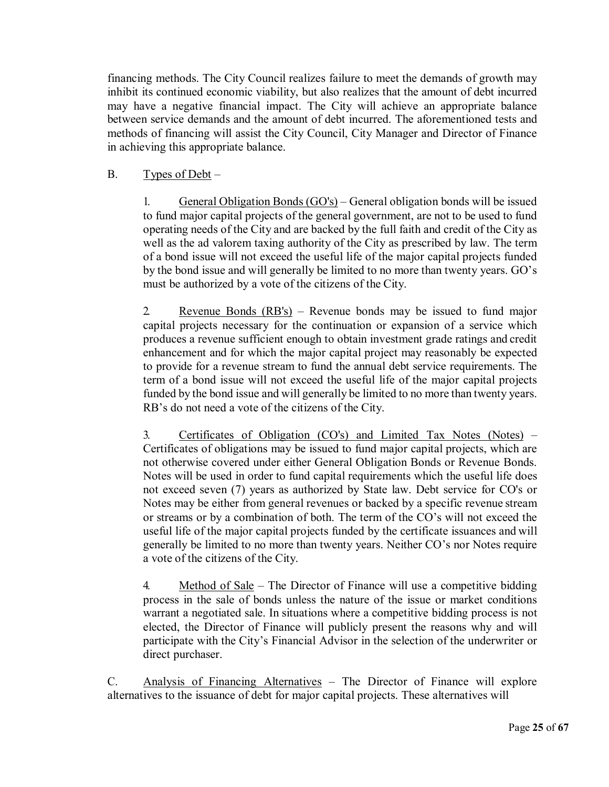financing methods. The City Council realizes failure to meet the demands of growth may inhibit its continued economic viability, but also realizes that the amount of debt incurred may have a negative financial impact. The City will achieve an appropriate balance between service demands and the amount of debt incurred. The aforementioned tests and methods of financing will assist the City Council, City Manager and Director of Finance in achieving this appropriate balance.

#### B. Types of  $Debt -$

1. General Obligation Bonds (GO's) – General obligation bonds will be issued to fund major capital projects of the general government, are not to be used to fund operating needs of the City and are backed by the full faith and credit of the City as well as the ad valorem taxing authority of the City as prescribed by law. The term of a bond issue will not exceed the useful life of the major capital projects funded by the bond issue and will generally be limited to no more than twenty years. GO's must be authorized by a vote of the citizens of the City.

2. Revenue Bonds (RB's) – Revenue bonds may be issued to fund major capital projects necessary for the continuation or expansion of a service which produces a revenue sufficient enough to obtain investment grade ratings and credit enhancement and for which the major capital project may reasonably be expected to provide for a revenue stream to fund the annual debt service requirements. The term of a bond issue will not exceed the useful life of the major capital projects funded by the bond issue and will generally be limited to no more than twenty years. RB's do not need a vote of the citizens of the City.

3. Certificates of Obligation (CO's) and Limited Tax Notes (Notes) – Certificates of obligations may be issued to fund major capital projects, which are not otherwise covered under either General Obligation Bonds or Revenue Bonds. Notes will be used in order to fund capital requirements which the useful life does not exceed seven (7) years as authorized by State law. Debt service for CO's or Notes may be either from general revenues or backed by a specific revenue stream or streams or by a combination of both. The term of the CO's will not exceed the useful life of the major capital projects funded by the certificate issuances and will generally be limited to no more than twenty years. Neither CO's nor Notes require a vote of the citizens of the City.

4. Method of Sale – The Director of Finance will use a competitive bidding process in the sale of bonds unless the nature of the issue or market conditions warrant a negotiated sale. In situations where a competitive bidding process is not elected, the Director of Finance will publicly present the reasons why and will participate with the City's Financial Advisor in the selection of the underwriter or direct purchaser.

C. Analysis of Financing Alternatives – The Director of Finance will explore alternatives to the issuance of debt for major capital projects. These alternatives will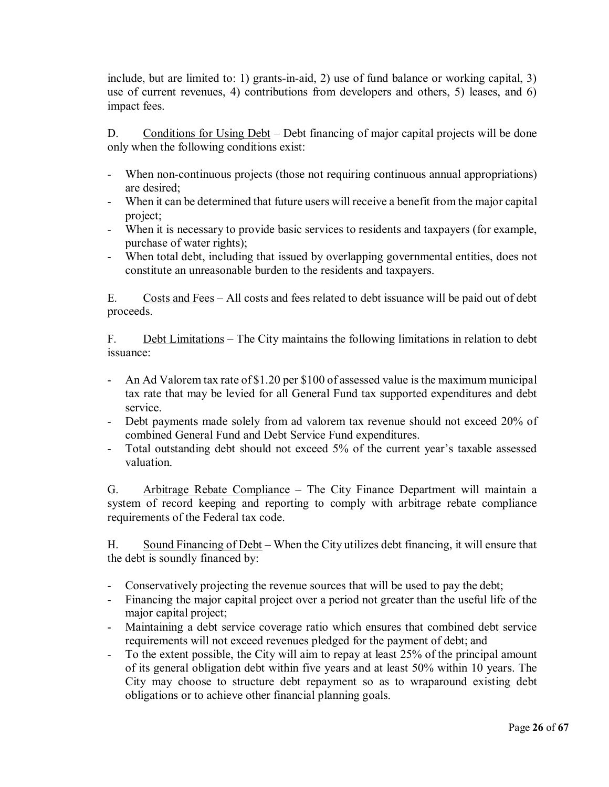include, but are limited to: 1) grants-in-aid, 2) use of fund balance or working capital, 3) use of current revenues, 4) contributions from developers and others, 5) leases, and 6) impact fees.

D. Conditions for Using Debt – Debt financing of major capital projects will be done only when the following conditions exist:

- When non-continuous projects (those not requiring continuous annual appropriations) are desired;
- When it can be determined that future users will receive a benefit from the major capital project;
- When it is necessary to provide basic services to residents and taxpayers (for example, purchase of water rights);
- When total debt, including that issued by overlapping governmental entities, does not constitute an unreasonable burden to the residents and taxpayers.

E. Costs and Fees – All costs and fees related to debt issuance will be paid out of debt proceeds.

F. Debt Limitations – The City maintains the following limitations in relation to debt issuance:

- An Ad Valorem tax rate of \$1.20 per \$100 of assessed value is the maximum municipal tax rate that may be levied for all General Fund tax supported expenditures and debt service.
- Debt payments made solely from ad valorem tax revenue should not exceed 20% of combined General Fund and Debt Service Fund expenditures.
- Total outstanding debt should not exceed 5% of the current year's taxable assessed valuation.

G. Arbitrage Rebate Compliance – The City Finance Department will maintain a system of record keeping and reporting to comply with arbitrage rebate compliance requirements of the Federal tax code.

H. Sound Financing of Debt – When the City utilizes debt financing, it will ensure that the debt is soundly financed by:

- Conservatively projecting the revenue sources that will be used to pay the debt;
- Financing the major capital project over a period not greater than the useful life of the major capital project;
- Maintaining a debt service coverage ratio which ensures that combined debt service requirements will not exceed revenues pledged for the payment of debt; and
- To the extent possible, the City will aim to repay at least 25% of the principal amount of its general obligation debt within five years and at least 50% within 10 years. The City may choose to structure debt repayment so as to wraparound existing debt obligations or to achieve other financial planning goals.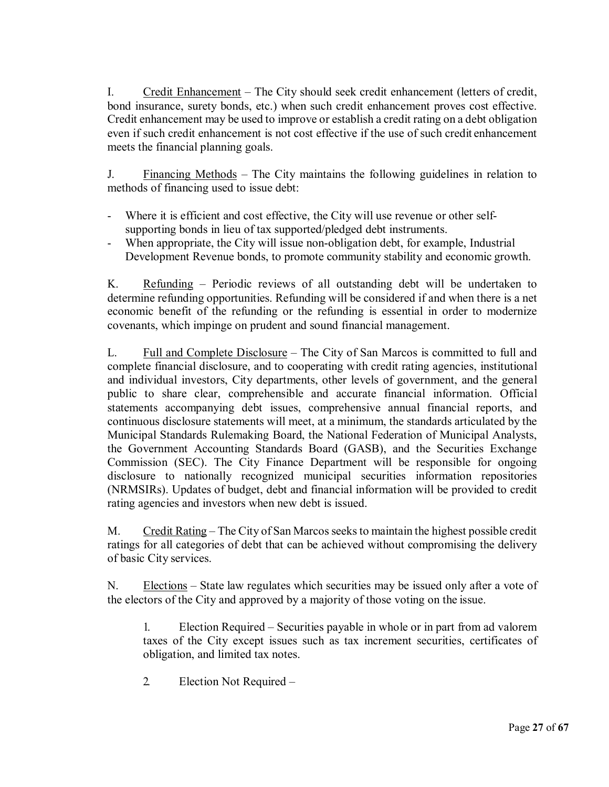I. Credit Enhancement – The City should seek credit enhancement (letters of credit, bond insurance, surety bonds, etc.) when such credit enhancement proves cost effective. Credit enhancement may be used to improve or establish a credit rating on a debt obligation even if such credit enhancement is not cost effective if the use of such credit enhancement meets the financial planning goals.

J. Financing Methods – The City maintains the following guidelines in relation to methods of financing used to issue debt:

- Where it is efficient and cost effective, the City will use revenue or other selfsupporting bonds in lieu of tax supported/pledged debt instruments.
- When appropriate, the City will issue non-obligation debt, for example, Industrial Development Revenue bonds, to promote community stability and economic growth.

K. Refunding – Periodic reviews of all outstanding debt will be undertaken to determine refunding opportunities. Refunding will be considered if and when there is a net economic benefit of the refunding or the refunding is essential in order to modernize covenants, which impinge on prudent and sound financial management.

L. Full and Complete Disclosure – The City of San Marcos is committed to full and complete financial disclosure, and to cooperating with credit rating agencies, institutional and individual investors, City departments, other levels of government, and the general public to share clear, comprehensible and accurate financial information. Official statements accompanying debt issues, comprehensive annual financial reports, and continuous disclosure statements will meet, at a minimum, the standards articulated by the Municipal Standards Rulemaking Board, the National Federation of Municipal Analysts, the Government Accounting Standards Board (GASB), and the Securities Exchange Commission (SEC). The City Finance Department will be responsible for ongoing disclosure to nationally recognized municipal securities information repositories (NRMSIRs). Updates of budget, debt and financial information will be provided to credit rating agencies and investors when new debt is issued.

M. Credit Rating – The City of San Marcos seeks to maintain the highest possible credit ratings for all categories of debt that can be achieved without compromising the delivery of basic City services.

N. Elections – State law regulates which securities may be issued only after a vote of the electors of the City and approved by a majority of those voting on the issue.

1. Election Required – Securities payable in whole or in part from ad valorem taxes of the City except issues such as tax increment securities, certificates of obligation, and limited tax notes.

2. Election Not Required –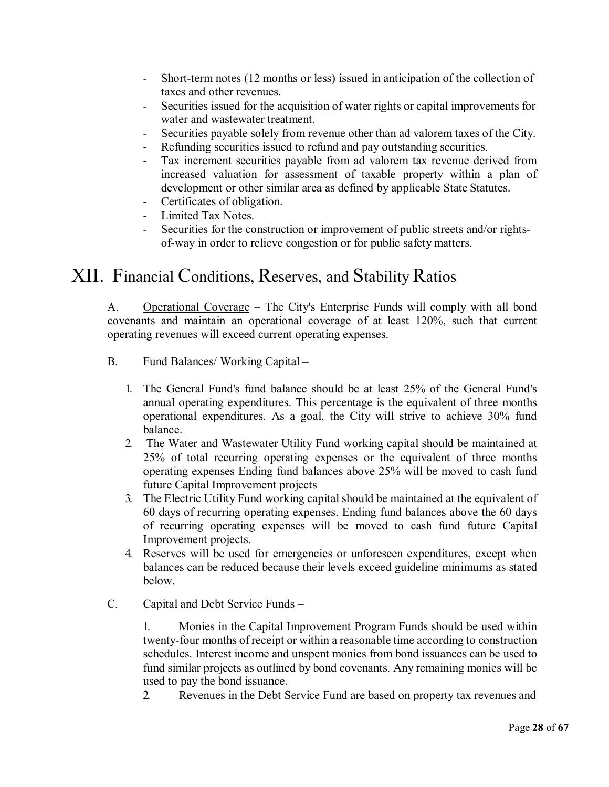- Short-term notes (12 months or less) issued in anticipation of the collection of taxes and other revenues.
- Securities issued for the acquisition of water rights or capital improvements for water and wastewater treatment.
- Securities payable solely from revenue other than ad valorem taxes of the City.
- Refunding securities issued to refund and pay outstanding securities.
- Tax increment securities payable from ad valorem tax revenue derived from increased valuation for assessment of taxable property within a plan of development or other similar area as defined by applicable State Statutes.
- Certificates of obligation.
- Limited Tax Notes.
- Securities for the construction or improvement of public streets and/or rightsof-way in order to relieve congestion or for public safety matters.

### XII. Financial Conditions, Reserves, and Stability Ratios

A. Operational Coverage – The City's Enterprise Funds will comply with all bond covenants and maintain an operational coverage of at least 120%, such that current operating revenues will exceed current operating expenses.

- B. Fund Balances/ Working Capital
	- 1. The General Fund's fund balance should be at least 25% of the General Fund's annual operating expenditures. This percentage is the equivalent of three months operational expenditures. As a goal, the City will strive to achieve 30% fund balance.
	- 2. The Water and Wastewater Utility Fund working capital should be maintained at 25% of total recurring operating expenses or the equivalent of three months operating expenses Ending fund balances above 25% will be moved to cash fund future Capital Improvement projects
	- 3. The Electric Utility Fund working capital should be maintained at the equivalent of 60 days of recurring operating expenses. Ending fund balances above the 60 days of recurring operating expenses will be moved to cash fund future Capital Improvement projects.
	- 4. Reserves will be used for emergencies or unforeseen expenditures, except when balances can be reduced because their levels exceed guideline minimums as stated below.
- C. Capital and Debt Service Funds –

1. Monies in the Capital Improvement Program Funds should be used within twenty-four months of receipt or within a reasonable time according to construction schedules. Interest income and unspent monies from bond issuances can be used to fund similar projects as outlined by bond covenants. Any remaining monies will be used to pay the bond issuance.

2. Revenues in the Debt Service Fund are based on property tax revenues and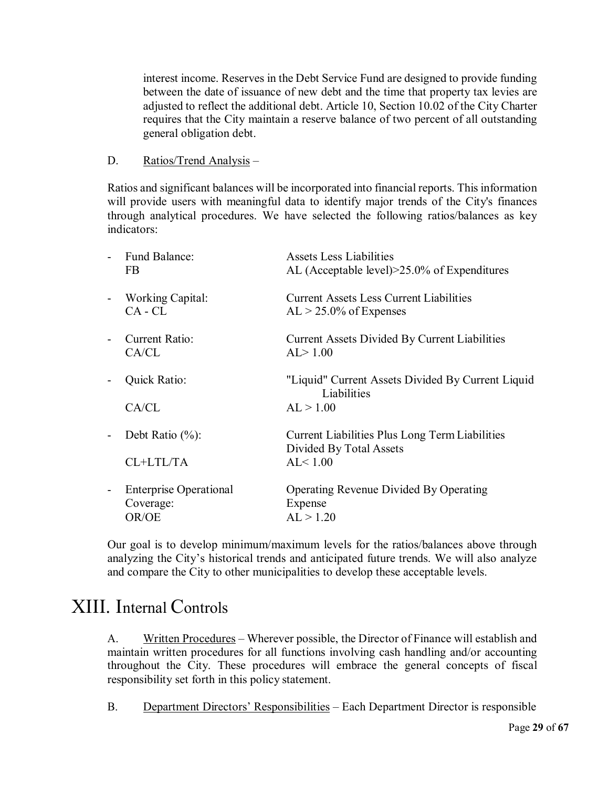interest income. Reserves in the Debt Service Fund are designed to provide funding between the date of issuance of new debt and the time that property tax levies are adjusted to reflect the additional debt. Article 10, Section 10.02 of the City Charter requires that the City maintain a reserve balance of two percent of all outstanding general obligation debt.

#### D. Ratios/Trend Analysis –

Ratios and significant balances will be incorporated into financial reports. This information will provide users with meaningful data to identify major trends of the City's finances through analytical procedures. We have selected the following ratios/balances as key indicators:

| ÷,                       | Fund Balance:                 | Assets Less Liabilities                               |
|--------------------------|-------------------------------|-------------------------------------------------------|
|                          | FB.                           | AL (Acceptable level) $>25.0\%$ of Expenditures       |
| $\overline{a}$           | <b>Working Capital:</b>       | <b>Current Assets Less Current Liabilities</b>        |
|                          | $CA - CL$                     | $AL > 25.0\%$ of Expenses                             |
| $\overline{\phantom{0}}$ | Current Ratio:                | <b>Current Assets Divided By Current Liabilities</b>  |
|                          | CA/CL                         | AL > 1.00                                             |
| $\blacksquare$           | Quick Ratio:                  | "Liquid" Current Assets Divided By Current Liquid     |
|                          |                               | Liabilities                                           |
|                          | CA/CL                         | AL > 1.00                                             |
| $\overline{\phantom{0}}$ | Debt Ratio $(\%):$            | <b>Current Liabilities Plus Long Term Liabilities</b> |
|                          |                               | Divided By Total Assets                               |
|                          | CL+LTL/TA                     | AL < 1.00                                             |
| $\overline{\phantom{0}}$ | <b>Enterprise Operational</b> | <b>Operating Revenue Divided By Operating</b>         |
|                          | Coverage:                     | Expense                                               |
|                          | OR/OE                         | AL > 1.20                                             |
|                          |                               |                                                       |

Our goal is to develop minimum/maximum levels for the ratios/balances above through analyzing the City's historical trends and anticipated future trends. We will also analyze and compare the City to other municipalities to develop these acceptable levels.

### XIII. Internal Controls

A. Written Procedures – Wherever possible, the Director of Finance will establish and maintain written procedures for all functions involving cash handling and/or accounting throughout the City. These procedures will embrace the general concepts of fiscal responsibility set forth in this policy statement.

B. Department Directors' Responsibilities – Each Department Director is responsible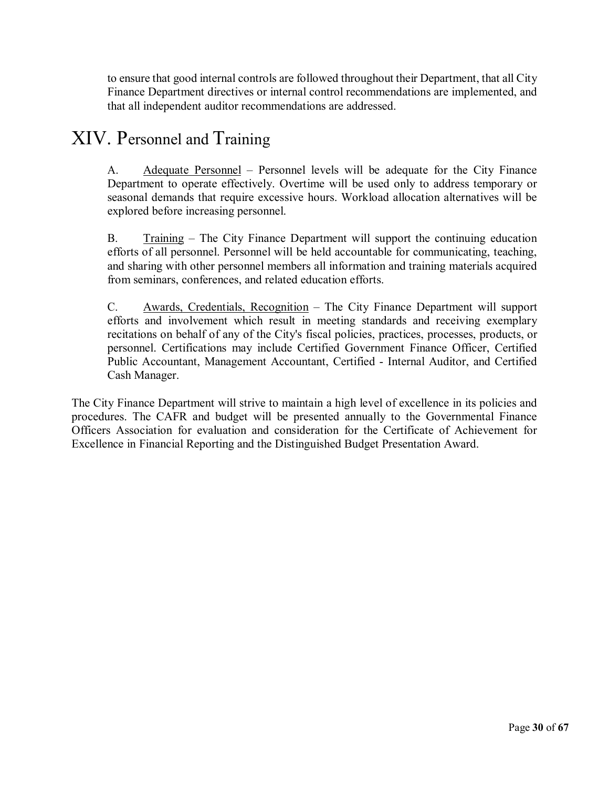to ensure that good internal controls are followed throughout their Department, that all City Finance Department directives or internal control recommendations are implemented, and that all independent auditor recommendations are addressed.

## XIV. Personnel and Training

A. Adequate Personnel – Personnel levels will be adequate for the City Finance Department to operate effectively. Overtime will be used only to address temporary or seasonal demands that require excessive hours. Workload allocation alternatives will be explored before increasing personnel.

B. Training – The City Finance Department will support the continuing education efforts of all personnel. Personnel will be held accountable for communicating, teaching, and sharing with other personnel members all information and training materials acquired from seminars, conferences, and related education efforts.

C. Awards, Credentials, Recognition – The City Finance Department will support efforts and involvement which result in meeting standards and receiving exemplary recitations on behalf of any of the City's fiscal policies, practices, processes, products, or personnel. Certifications may include Certified Government Finance Officer, Certified Public Accountant, Management Accountant, Certified - Internal Auditor, and Certified Cash Manager.

The City Finance Department will strive to maintain a high level of excellence in its policies and procedures. The CAFR and budget will be presented annually to the Governmental Finance Officers Association for evaluation and consideration for the Certificate of Achievement for Excellence in Financial Reporting and the Distinguished Budget Presentation Award.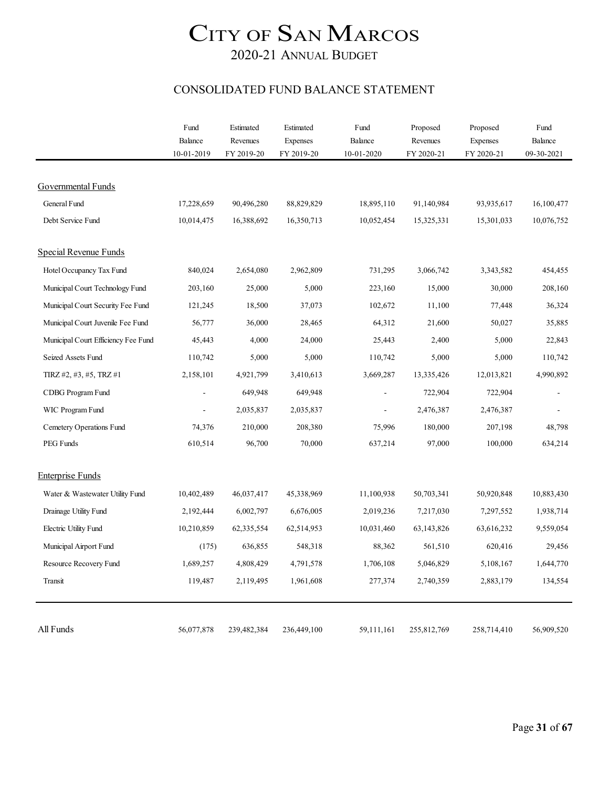### 2020-21 ANNUAL BUDGET

#### CONSOLIDATED FUND BALANCE STATEMENT

|                                     | Fund                     | Estimated    | Estimated   | Fund                     | Proposed    | Proposed    | Fund                  |
|-------------------------------------|--------------------------|--------------|-------------|--------------------------|-------------|-------------|-----------------------|
|                                     | Balance<br>10-01-2019    | Revenues     | Expenses    | Balance<br>$10-01-2020$  | Revenues    | Expenses    | Balance<br>09-30-2021 |
|                                     |                          | FY 2019-20   | FY 2019-20  |                          | FY 2020-21  | FY 2020-21  |                       |
| Governmental Funds                  |                          |              |             |                          |             |             |                       |
| General Fund                        | 17,228,659               | 90,496,280   | 88,829,829  | 18,895,110               | 91,140,984  | 93,935,617  | 16,100,477            |
| Debt Service Fund                   | 10,014,475               | 16,388,692   | 16,350,713  | 10,052,454               | 15,325,331  | 15,301,033  | 10,076,752            |
| Special Revenue Funds               |                          |              |             |                          |             |             |                       |
| Hotel Occupancy Tax Fund            | 840,024                  | 2,654,080    | 2,962,809   | 731,295                  | 3,066,742   | 3,343,582   | 454,455               |
| Municipal Court Technology Fund     | 203,160                  | 25,000       | 5,000       | 223,160                  | 15,000      | 30,000      | 208,160               |
| Municipal Court Security Fee Fund   | 121,245                  | 18,500       | 37,073      | 102,672                  | 11,100      | 77,448      | 36,324                |
| Municipal Court Juvenile Fee Fund   | 56,777                   | 36,000       | 28,465      | 64,312                   | 21,600      | 50,027      | 35,885                |
| Municipal Court Efficiency Fee Fund | 45,443                   | 4,000        | 24,000      | 25,443                   | 2,400       | 5,000       | 22,843                |
| Seized Assets Fund                  | 110,742                  | 5,000        | 5,000       | 110,742                  | 5,000       | 5,000       | 110,742               |
| TIRZ #2, #3, #5, TRZ #1             | 2,158,101                | 4,921,799    | 3,410,613   | 3,669,287                | 13,335,426  | 12,013,821  | 4,990,892             |
| CDBG Program Fund                   |                          | 649,948      | 649,948     | $\blacksquare$           | 722,904     | 722,904     |                       |
| WIC Program Fund                    | $\overline{\phantom{a}}$ | 2,035,837    | 2,035,837   | $\overline{\phantom{a}}$ | 2,476,387   | 2,476,387   |                       |
| Cemetery Operations Fund            | 74,376                   | 210,000      | 208,380     | 75,996                   | 180,000     | 207,198     | 48,798                |
| PEG Funds                           | 610,514                  | 96,700       | 70,000      | 637,214                  | 97,000      | 100,000     | 634,214               |
| <b>Enterprise Funds</b>             |                          |              |             |                          |             |             |                       |
| Water & Wastewater Utility Fund     | 10,402,489               | 46,037,417   | 45,338,969  | 11,100,938               | 50,703,341  | 50,920,848  | 10,883,430            |
| Drainage Utility Fund               | 2,192,444                | 6,002,797    | 6,676,005   | 2,019,236                | 7,217,030   | 7,297,552   | 1,938,714             |
| Electric Utility Fund               | 10,210,859               | 62, 335, 554 | 62,514,953  | 10,031,460               | 63,143,826  | 63,616,232  | 9,559,054             |
| Municipal Airport Fund              | (175)                    | 636,855      | 548,318     | 88,362                   | 561,510     | 620,416     | 29,456                |
| Resource Recovery Fund              | 1,689,257                | 4,808,429    | 4,791,578   | 1,706,108                | 5,046,829   | 5,108,167   | 1,644,770             |
| Transit                             | 119,487                  | 2,119,495    | 1,961,608   | 277,374                  | 2,740,359   | 2,883,179   | 134,554               |
|                                     |                          |              |             |                          |             |             |                       |
| All Funds                           | 56,077,878               | 239,482,384  | 236,449,100 | 59,111,161               | 255,812,769 | 258,714,410 | 56,909,520            |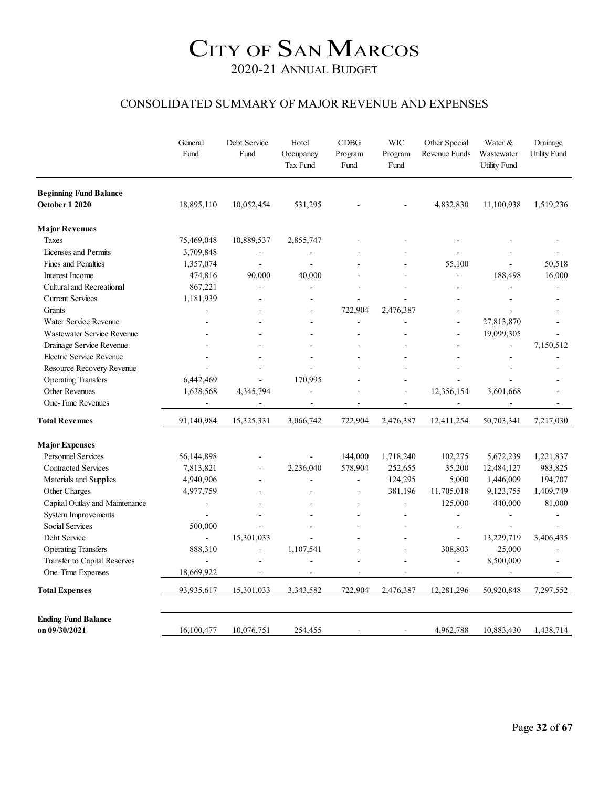#### CONSOLIDATED SUMMARY OF MAJOR REVENUE AND EXPENSES

|                                | General<br>Fund | Debt Service<br>Fund | Hotel<br>Occupancy<br>Tax Fund | CDBG<br>Program<br>Fund | <b>WIC</b><br>Program<br>Fund | Other Special<br>Revenue Funds | Water &<br>Wastewater<br><b>Utility Fund</b> | Drainage<br><b>Utility Fund</b> |
|--------------------------------|-----------------|----------------------|--------------------------------|-------------------------|-------------------------------|--------------------------------|----------------------------------------------|---------------------------------|
| <b>Beginning Fund Balance</b>  |                 |                      |                                |                         |                               |                                |                                              |                                 |
| October 1 2020                 | 18,895,110      | 10,052,454           | 531,295                        |                         |                               | 4,832,830                      | 11,100,938                                   | 1,519,236                       |
| <b>Major Revenues</b>          |                 |                      |                                |                         |                               |                                |                                              |                                 |
| Taxes                          | 75,469,048      | 10,889,537           | 2,855,747                      |                         |                               |                                |                                              |                                 |
| Licenses and Permits           | 3,709,848       | $\overline{a}$       |                                |                         |                               |                                |                                              |                                 |
| Fines and Penalties            | 1,357,074       | $\overline{a}$       |                                |                         |                               | 55,100                         |                                              | 50,518                          |
| Interest Income                | 474,816         | 90,000               | 40,000                         |                         | $\overline{a}$                |                                | 188,498                                      | 16,000                          |
| Cultural and Recreational      | 867,221         | $\overline{a}$       | $\ddot{\phantom{1}}$           |                         | $\overline{a}$                | $\overline{a}$                 | $\overline{a}$                               | $\overline{a}$                  |
| <b>Current Services</b>        | 1,181,939       |                      |                                |                         |                               |                                |                                              |                                 |
| Grants                         |                 |                      |                                | 722,904                 | 2,476,387                     |                                |                                              |                                 |
| Water Service Revenue          | $\blacksquare$  |                      |                                |                         |                               | L,                             | 27,813,870                                   |                                 |
| Wastewater Service Revenue     |                 |                      |                                |                         |                               |                                | 19,099,305                                   |                                 |
| Drainage Service Revenue       |                 |                      |                                |                         |                               |                                |                                              | 7,150,512                       |
| Electric Service Revenue       |                 |                      |                                |                         |                               |                                |                                              |                                 |
| Resource Recovery Revenue      |                 | ÷                    |                                |                         |                               |                                |                                              |                                 |
| <b>Operating Transfers</b>     | 6,442,469       |                      | 170,995                        |                         | ٠                             |                                |                                              |                                 |
| Other Revenues                 | 1,638,568       | 4,345,794            |                                |                         |                               | 12,356,154                     | 3,601,668                                    |                                 |
| One-Time Revenues              |                 |                      | $\overline{a}$                 | $\overline{a}$          | L.                            |                                |                                              |                                 |
| <b>Total Revenues</b>          | 91,140,984      | 15,325,331           | 3,066,742                      | 722,904                 | 2,476,387                     | 12,411,254                     | 50,703,341                                   | 7,217,030                       |
| <b>Major Expenses</b>          |                 |                      |                                |                         |                               |                                |                                              |                                 |
| <b>Personnel Services</b>      | 56,144,898      |                      |                                | 144,000                 | 1,718,240                     | 102,275                        | 5,672,239                                    | 1,221,837                       |
| <b>Contracted Services</b>     | 7,813,821       | $\overline{a}$       | 2,236,040                      | 578,904                 | 252,655                       | 35,200                         | 12,484,127                                   | 983,825                         |
| Materials and Supplies         | 4,940,906       |                      |                                |                         | 124,295                       | 5,000                          | 1,446,009                                    | 194,707                         |
| Other Charges                  | 4,977,759       |                      |                                |                         | 381,196                       | 11,705,018                     | 9,123,755                                    | 1,409,749                       |
| Capital Outlay and Maintenance | $\overline{a}$  | $\overline{a}$       |                                | $\overline{a}$          | ä,                            | 125,000                        | 440,000                                      | 81,000                          |
| <b>System Improvements</b>     |                 |                      |                                |                         |                               | ÷                              |                                              |                                 |
| Social Services                | 500,000         | $\overline{a}$       |                                |                         |                               | L,                             | $\ddot{\phantom{1}}$                         |                                 |
| Debt Service                   | $\overline{a}$  | 15,301,033           |                                |                         | $\overline{a}$                | $\overline{a}$                 | 13,229,719                                   | 3,406,435                       |
| <b>Operating Transfers</b>     | 888,310         | $\overline{a}$       | 1,107,541                      |                         | ÷                             | 308,803                        | 25,000                                       | $\overline{a}$                  |
| Transfer to Capital Reserves   |                 | $\overline{a}$       |                                |                         | $\overline{a}$                | L.                             | 8,500,000                                    |                                 |
| One-Time Expenses              | 18,669,922      | $\overline{a}$       |                                |                         | L,                            | $\blacksquare$                 |                                              |                                 |
| <b>Total Expenses</b>          | 93,935,617      | 15,301,033           | 3,343,582                      | 722,904                 | 2,476,387                     | 12,281,296                     | 50,920,848                                   | 7,297,552                       |
| <b>Ending Fund Balance</b>     |                 |                      |                                |                         |                               |                                |                                              |                                 |
| on 09/30/2021                  | 16,100,477      | 10,076,751           | 254,455                        | $\blacksquare$          | $\sim$                        | 4,962,788                      | 10,883,430                                   | 1,438,714                       |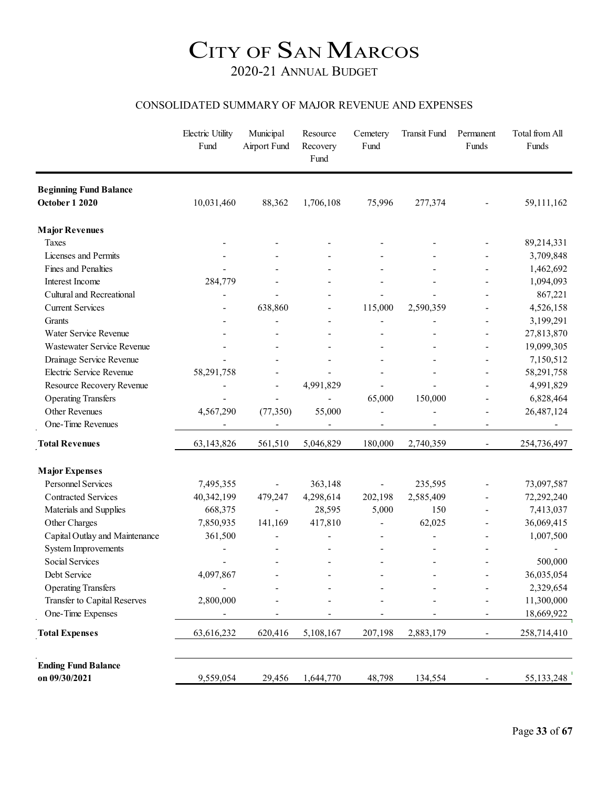#### CONSOLIDATED SUMMARY OF MAJOR REVENUE AND EXPENSES

|                                | Electric Utility<br>Fund | Municipal<br>Airport Fund | Resource<br>Recovery<br>Fund | Cemetery<br>Fund         | Transit Fund             | Permanent<br>Funds       | Total from All<br>Funds  |
|--------------------------------|--------------------------|---------------------------|------------------------------|--------------------------|--------------------------|--------------------------|--------------------------|
| <b>Beginning Fund Balance</b>  |                          |                           |                              |                          |                          |                          |                          |
| <b>October 1 2020</b>          | 10,031,460               | 88,362                    | 1,706,108                    | 75,996                   | 277,374                  |                          | 59,111,162               |
| <b>Major Revenues</b>          |                          |                           |                              |                          |                          |                          |                          |
| Taxes                          |                          |                           |                              |                          |                          |                          | 89,214,331               |
| Licenses and Permits           |                          |                           |                              |                          |                          |                          | 3,709,848                |
| Fines and Penalties            |                          |                           |                              |                          |                          |                          | 1,462,692                |
| Interest Income                | 284,779                  |                           |                              |                          |                          | $\blacksquare$           | 1,094,093                |
| Cultural and Recreational      | $\overline{\phantom{a}}$ |                           |                              |                          |                          |                          | 867,221                  |
| <b>Current Services</b>        |                          | 638,860                   |                              | 115,000                  | 2,590,359                |                          | 4,526,158                |
| Grants                         |                          |                           |                              |                          |                          |                          | 3,199,291                |
| Water Service Revenue          |                          |                           |                              |                          |                          |                          | 27,813,870               |
| Wastewater Service Revenue     |                          |                           |                              |                          |                          |                          | 19,099,305               |
| Drainage Service Revenue       |                          |                           |                              |                          |                          |                          | 7,150,512                |
| Electric Service Revenue       | 58,291,758               |                           |                              |                          |                          |                          | 58,291,758               |
| Resource Recovery Revenue      |                          |                           | 4,991,829                    |                          |                          |                          | 4,991,829                |
| <b>Operating Transfers</b>     |                          |                           |                              | 65,000                   | 150,000                  |                          | 6,828,464                |
| Other Revenues                 | 4,567,290                | (77, 350)                 | 55,000                       |                          |                          |                          | 26,487,124               |
| One-Time Revenues              | $\overline{\phantom{a}}$ |                           | $\overline{\phantom{a}}$     | $\overline{\phantom{a}}$ | $\overline{\phantom{a}}$ | $\overline{\phantom{a}}$ | $\overline{\phantom{a}}$ |
| <b>Total Revenues</b>          | 63,143,826               | 561,510                   | 5,046,829                    | 180,000                  | 2,740,359                |                          | 254,736,497              |
| <b>Major Expenses</b>          |                          |                           |                              |                          |                          |                          |                          |
| Personnel Services             | 7,495,355                |                           | 363,148                      | $\overline{\phantom{0}}$ | 235,595                  |                          | 73,097,587               |
| <b>Contracted Services</b>     | 40,342,199               | 479,247                   | 4,298,614                    | 202,198                  | 2,585,409                |                          | 72,292,240               |
| Materials and Supplies         | 668,375                  | ÷,                        | 28,595                       | 5,000                    | 150                      |                          | 7,413,037                |
| Other Charges                  | 7,850,935                | 141,169                   | 417,810                      |                          | 62,025                   |                          | 36,069,415               |
| Capital Outlay and Maintenance | 361,500                  |                           |                              |                          |                          |                          | 1,007,500                |
| <b>System Improvements</b>     |                          |                           |                              |                          |                          |                          |                          |
| <b>Social Services</b>         |                          |                           |                              | $\overline{\phantom{a}}$ | $\overline{\phantom{a}}$ |                          | 500,000                  |
| Debt Service                   | 4,097,867                |                           |                              |                          |                          |                          | 36,035,054               |
| <b>Operating Transfers</b>     |                          |                           |                              |                          |                          |                          | 2,329,654                |
| Transfer to Capital Reserves   | 2,800,000                |                           |                              |                          |                          |                          | 11,300,000               |
| One-Time Expenses              |                          |                           |                              |                          |                          |                          | 18,669,922               |
| <b>Total Expenses</b>          | 63,616,232               | 620,416                   | 5,108,167                    | 207,198                  | 2,883,179                |                          | 258,714,410              |
| <b>Ending Fund Balance</b>     |                          |                           |                              |                          |                          |                          |                          |
| on 09/30/2021                  | 9,559,054                | 29,456                    | 1,644,770                    | 48,798                   | 134,554                  |                          | 55, 133, 248             |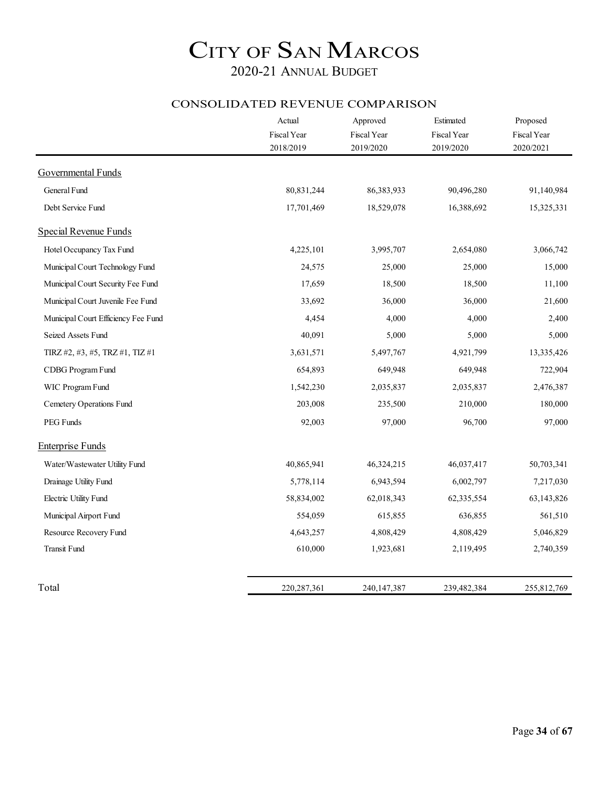#### CONSOLIDATED REVENUE COMPARISON

|                                     | Actual                   | Approved                 | Estimated                | Proposed                 |
|-------------------------------------|--------------------------|--------------------------|--------------------------|--------------------------|
|                                     | Fiscal Year<br>2018/2019 | Fiscal Year<br>2019/2020 | Fiscal Year<br>2019/2020 | Fiscal Year<br>2020/2021 |
|                                     |                          |                          |                          |                          |
| <b>Governmental Funds</b>           |                          |                          |                          |                          |
| General Fund                        | 80,831,244               | 86,383,933               | 90,496,280               | 91,140,984               |
| Debt Service Fund                   | 17,701,469               | 18,529,078               | 16,388,692               | 15,325,331               |
| <b>Special Revenue Funds</b>        |                          |                          |                          |                          |
| Hotel Occupancy Tax Fund            | 4,225,101                | 3,995,707                | 2,654,080                | 3,066,742                |
| Municipal Court Technology Fund     | 24,575                   | 25,000                   | 25,000                   | 15,000                   |
| Municipal Court Security Fee Fund   | 17,659                   | 18,500                   | 18,500                   | 11,100                   |
| Municipal Court Juvenile Fee Fund   | 33,692                   | 36,000                   | 36,000                   | 21,600                   |
| Municipal Court Efficiency Fee Fund | 4,454                    | 4,000                    | 4,000                    | 2,400                    |
| Seized Assets Fund                  | 40,091                   | 5,000                    | 5,000                    | 5,000                    |
| TIRZ #2, #3, #5, TRZ #1, TIZ #1     | 3,631,571                | 5,497,767                | 4,921,799                | 13,335,426               |
| CDBG Program Fund                   | 654,893                  | 649,948                  | 649,948                  | 722,904                  |
| WIC Program Fund                    | 1,542,230                | 2,035,837                | 2,035,837                | 2,476,387                |
| Cemetery Operations Fund            | 203,008                  | 235,500                  | 210,000                  | 180,000                  |
| PEG Funds                           | 92,003                   | 97,000                   | 96,700                   | 97,000                   |
| <b>Enterprise Funds</b>             |                          |                          |                          |                          |
| Water/Wastewater Utility Fund       | 40,865,941               | 46,324,215               | 46,037,417               | 50,703,341               |
| Drainage Utility Fund               | 5,778,114                | 6,943,594                | 6,002,797                | 7,217,030                |
| Electric Utility Fund               | 58,834,002               | 62,018,343               | 62,335,554               | 63,143,826               |
| Municipal Airport Fund              | 554,059                  | 615,855                  | 636,855                  | 561,510                  |
| Resource Recovery Fund              | 4,643,257                | 4,808,429                | 4,808,429                | 5,046,829                |
| Transit Fund                        | 610,000                  | 1,923,681                | 2,119,495                | 2,740,359                |
| Total                               | 220, 287, 361            | 240, 147, 387            | 239,482,384              | 255,812,769              |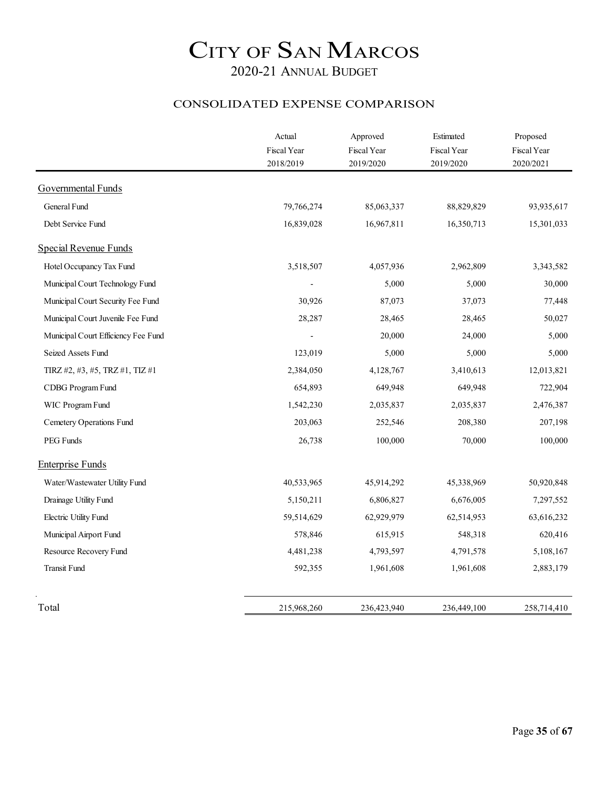#### CONSOLIDATED EXPENSE COMPARISON

|                                     | Actual<br>Fiscal Year | Approved<br>Fiscal Year | Estimated<br>Fiscal Year | Proposed<br>Fiscal Year |
|-------------------------------------|-----------------------|-------------------------|--------------------------|-------------------------|
|                                     | 2018/2019             | 2019/2020               | 2019/2020                | 2020/2021               |
| <b>Governmental Funds</b>           |                       |                         |                          |                         |
| General Fund                        | 79,766,274            | 85,063,337              | 88,829,829               | 93,935,617              |
| Debt Service Fund                   | 16,839,028            | 16,967,811              | 16,350,713               | 15,301,033              |
| <b>Special Revenue Funds</b>        |                       |                         |                          |                         |
| Hotel Occupancy Tax Fund            | 3,518,507             | 4,057,936               | 2,962,809                | 3,343,582               |
| Municipal Court Technology Fund     |                       | 5,000                   | 5,000                    | 30,000                  |
| Municipal Court Security Fee Fund   | 30,926                | 87,073                  | 37,073                   | 77,448                  |
| Municipal Court Juvenile Fee Fund   | 28,287                | 28,465                  | 28,465                   | 50,027                  |
| Municipal Court Efficiency Fee Fund |                       | 20,000                  | 24,000                   | 5,000                   |
| Seized Assets Fund                  | 123,019               | 5,000                   | 5,000                    | 5,000                   |
| TIRZ #2, #3, #5, TRZ #1, TIZ #1     | 2,384,050             | 4,128,767               | 3,410,613                | 12,013,821              |
| CDBG Program Fund                   | 654,893               | 649,948                 | 649,948                  | 722,904                 |
| WIC Program Fund                    | 1,542,230             | 2,035,837               | 2,035,837                | 2,476,387               |
| Cemetery Operations Fund            | 203,063               | 252,546                 | 208,380                  | 207,198                 |
| PEG Funds                           | 26,738                | 100,000                 | 70,000                   | 100,000                 |
| <b>Enterprise Funds</b>             |                       |                         |                          |                         |
| Water/Wastewater Utility Fund       | 40,533,965            | 45,914,292              | 45,338,969               | 50,920,848              |
| Drainage Utility Fund               | 5,150,211             | 6,806,827               | 6,676,005                | 7,297,552               |
| Electric Utility Fund               | 59,514,629            | 62,929,979              | 62,514,953               | 63,616,232              |
| Municipal Airport Fund              | 578,846               | 615,915                 | 548,318                  | 620,416                 |
| Resource Recovery Fund              | 4,481,238             | 4,793,597               | 4,791,578                | 5,108,167               |
| <b>Transit Fund</b>                 | 592,355               | 1,961,608               | 1,961,608                | 2,883,179               |
| Total                               | 215,968,260           | 236,423,940             | 236,449,100              | 258,714,410             |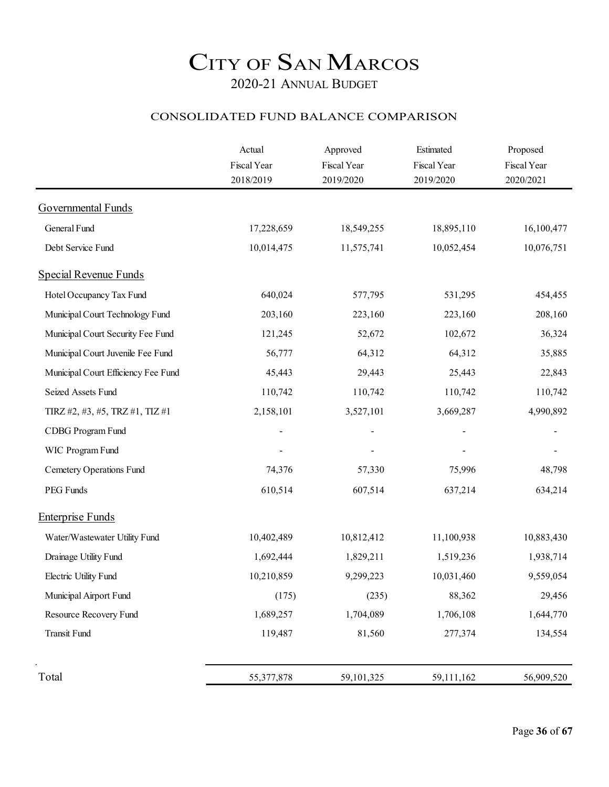#### CONSOLIDATED FUND BALANCE COMPARISON

|                                     | Actual<br>Fiscal Year<br>2018/2019 | Approved<br>Fiscal Year<br>2019/2020 | Estimated<br>Fiscal Year<br>2019/2020 | Proposed<br>Fiscal Year<br>2020/2021 |
|-------------------------------------|------------------------------------|--------------------------------------|---------------------------------------|--------------------------------------|
| Governmental Funds                  |                                    |                                      |                                       |                                      |
| General Fund                        | 17,228,659                         | 18,549,255                           | 18,895,110                            | 16,100,477                           |
| Debt Service Fund                   | 10,014,475                         | 11,575,741                           | 10,052,454                            | 10,076,751                           |
| Special Revenue Funds               |                                    |                                      |                                       |                                      |
| Hotel Occupancy Tax Fund            | 640,024                            | 577,795                              | 531,295                               | 454,455                              |
| Municipal Court Technology Fund     | 203,160                            | 223,160                              | 223,160                               | 208,160                              |
| Municipal Court Security Fee Fund   | 121,245                            | 52,672                               | 102,672                               | 36,324                               |
| Municipal Court Juvenile Fee Fund   | 56,777                             | 64,312                               | 64,312                                | 35,885                               |
| Municipal Court Efficiency Fee Fund | 45,443                             | 29,443                               | 25,443                                | 22,843                               |
| Seized Assets Fund                  | 110,742                            | 110,742                              | 110,742                               | 110,742                              |
| TIRZ #2, #3, #5, TRZ #1, TIZ #1     | 2,158,101                          | 3,527,101                            | 3,669,287                             | 4,990,892                            |
| CDBG Program Fund                   |                                    |                                      |                                       |                                      |
| WIC Program Fund                    |                                    |                                      |                                       |                                      |
| Cemetery Operations Fund            | 74,376                             | 57,330                               | 75,996                                | 48,798                               |
| PEG Funds                           | 610,514                            | 607,514                              | 637,214                               | 634,214                              |
| <b>Enterprise Funds</b>             |                                    |                                      |                                       |                                      |
| Water/Wastewater Utility Fund       | 10,402,489                         | 10,812,412                           | 11,100,938                            | 10,883,430                           |
| Drainage Utility Fund               | 1,692,444                          | 1,829,211                            | 1,519,236                             | 1,938,714                            |
| Electric Utility Fund               | 10,210,859                         | 9,299,223                            | 10,031,460                            | 9,559,054                            |
| Municipal Airport Fund              | (175)                              | (235)                                | 88,362                                | 29,456                               |
| Resource Recovery Fund              | 1,689,257                          | 1,704,089                            | 1,706,108                             | 1,644,770                            |
| <b>Transit Fund</b>                 | 119,487                            | 81,560                               | 277,374                               | 134,554                              |
| Total                               | 55,377,878                         | 59,101,325                           | 59,111,162                            | 56,909,520                           |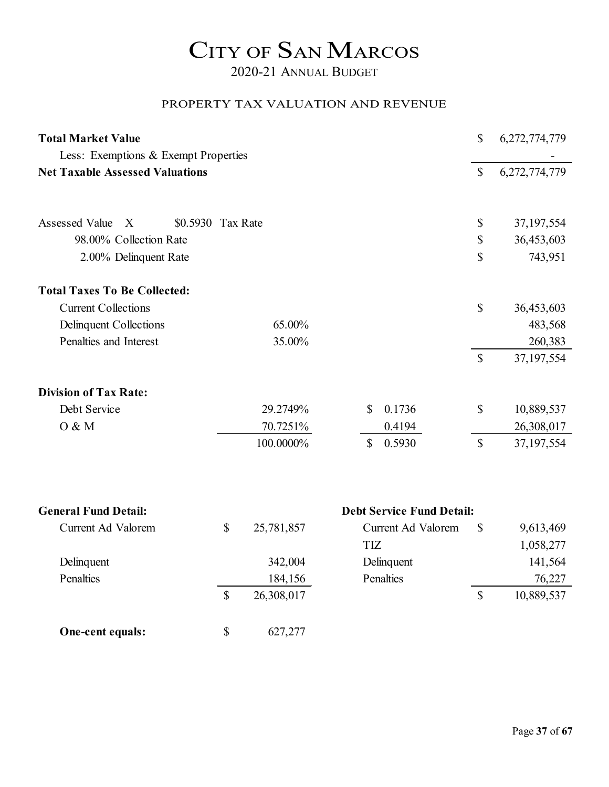2020-21 ANNUAL BUDGET

#### PROPERTY TAX VALUATION AND REVENUE

| <b>Total Market Value</b>              | \$                | 6,272,774,779 |              |                                  |              |               |
|----------------------------------------|-------------------|---------------|--------------|----------------------------------|--------------|---------------|
| Less: Exemptions & Exempt Properties   |                   |               |              |                                  |              |               |
| <b>Net Taxable Assessed Valuations</b> |                   |               |              |                                  |              | 6,272,774,779 |
| Assessed Value<br>X                    | \$0.5930 Tax Rate |               |              |                                  | \$           | 37, 197, 554  |
| 98.00% Collection Rate                 |                   |               |              |                                  | \$           | 36,453,603    |
| 2.00% Delinquent Rate                  |                   |               |              |                                  | \$           | 743,951       |
| <b>Total Taxes To Be Collected:</b>    |                   |               |              |                                  |              |               |
| <b>Current Collections</b>             |                   |               |              |                                  | \$           | 36,453,603    |
| Delinquent Collections                 |                   | 65.00%        |              |                                  |              | 483,568       |
| Penalties and Interest                 |                   | 35.00%        |              |                                  |              | 260,383       |
|                                        |                   |               |              |                                  | $\mathbb{S}$ | 37, 197, 554  |
| <b>Division of Tax Rate:</b>           |                   |               |              |                                  |              |               |
| Debt Service                           |                   | 29.2749%      | \$           | 0.1736                           | \$           | 10,889,537    |
| 0 & M                                  |                   | 70.7251%      |              | 0.4194                           |              | 26,308,017    |
|                                        |                   | 100.0000%     | $\mathbb{S}$ | 0.5930                           | $\mathbb{S}$ | 37, 197, 554  |
| <b>General Fund Detail:</b>            |                   |               |              | <b>Debt Service Fund Detail:</b> |              |               |
| Current Ad Valorem                     | \$                | 25,781,857    |              | <b>Current Ad Valorem</b>        | $\mathbb{S}$ |               |
|                                        |                   |               | <b>TIZ</b>   |                                  |              | 9,613,469     |
|                                        |                   |               |              |                                  |              | 1,058,277     |
| Delinquent                             |                   | 342,004       |              | Delinquent                       |              | 141,564       |
| Penalties                              |                   | 184,156       |              | Penalties                        |              | 76,227        |
|                                        | \$                | 26,308,017    |              |                                  | $\mathbb{S}$ | 10,889,537    |

**One-cent equals:** \$ 627,277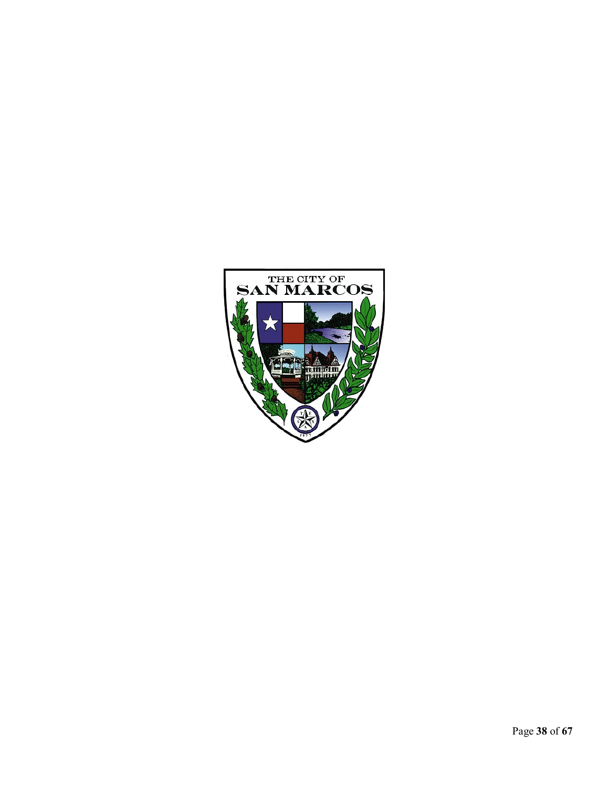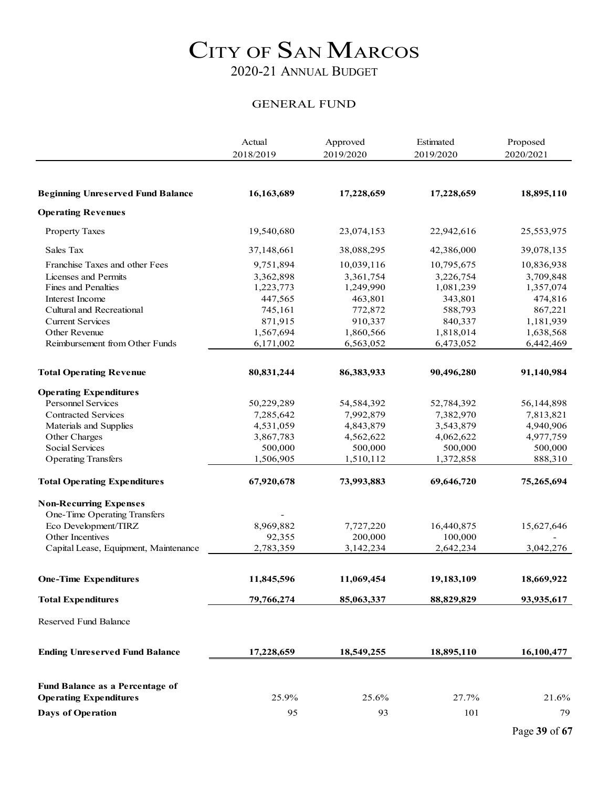#### GENERAL FUND

|                                                            | Actual     | Approved   | Estimated  | Proposed   |
|------------------------------------------------------------|------------|------------|------------|------------|
|                                                            | 2018/2019  | 2019/2020  | 2019/2020  | 2020/2021  |
|                                                            |            |            |            |            |
| <b>Beginning Unreserved Fund Balance</b>                   | 16,163,689 | 17,228,659 | 17,228,659 | 18,895,110 |
| <b>Operating Revenues</b>                                  |            |            |            |            |
| <b>Property Taxes</b>                                      | 19,540,680 | 23,074,153 | 22,942,616 | 25,553,975 |
| Sales Tax                                                  | 37,148,661 | 38,088,295 | 42,386,000 | 39,078,135 |
| Franchise Taxes and other Fees                             | 9,751,894  | 10,039,116 | 10,795,675 | 10,836,938 |
| Licenses and Permits                                       | 3,362,898  | 3,361,754  | 3,226,754  | 3,709,848  |
| Fines and Penalties                                        | 1,223,773  | 1,249,990  | 1,081,239  | 1,357,074  |
| Interest Income                                            | 447,565    | 463,801    | 343,801    | 474,816    |
| Cultural and Recreational                                  | 745,161    | 772,872    | 588,793    | 867,221    |
| <b>Current Services</b>                                    | 871,915    | 910,337    | 840,337    | 1,181,939  |
| Other Revenue                                              | 1,567,694  | 1,860,566  | 1,818,014  | 1,638,568  |
| Reimbursement from Other Funds                             | 6,171,002  | 6,563,052  | 6,473,052  | 6,442,469  |
| <b>Total Operating Revenue</b>                             | 80,831,244 | 86,383,933 | 90,496,280 | 91,140,984 |
|                                                            |            |            |            |            |
| <b>Operating Expenditures</b><br><b>Personnel Services</b> | 50,229,289 | 54,584,392 | 52,784,392 | 56,144,898 |
| <b>Contracted Services</b>                                 | 7,285,642  | 7,992,879  | 7,382,970  | 7,813,821  |
| Materials and Supplies                                     | 4,531,059  | 4,843,879  | 3,543,879  | 4,940,906  |
| Other Charges                                              | 3,867,783  | 4,562,622  | 4,062,622  | 4,977,759  |
| Social Services                                            | 500,000    | 500,000    | 500,000    | 500,000    |
| <b>Operating Transfers</b>                                 | 1,506,905  | 1,510,112  | 1,372,858  | 888,310    |
| <b>Total Operating Expenditures</b>                        | 67,920,678 | 73,993,883 | 69,646,720 | 75,265,694 |
| <b>Non-Recurring Expenses</b>                              |            |            |            |            |
| One-Time Operating Transfers                               |            |            |            |            |
| Eco Development/TIRZ                                       | 8,969,882  | 7,727,220  | 16,440,875 | 15,627,646 |
| Other Incentives                                           | 92,355     | 200,000    | 100,000    |            |
| Capital Lease, Equipment, Maintenance                      | 2,783,359  | 3,142,234  | 2,642,234  | 3,042,276  |
|                                                            |            |            |            |            |
| <b>One-Time Expenditures</b>                               | 11,845,596 | 11,069,454 | 19,183,109 | 18,669,922 |
| <b>Total Expenditures</b>                                  | 79,766,274 | 85,063,337 | 88,829,829 | 93,935,617 |
| Reserved Fund Balance                                      |            |            |            |            |
| <b>Ending Unreserved Fund Balance</b>                      | 17,228,659 | 18,549,255 | 18,895,110 | 16,100,477 |
| Fund Balance as a Percentage of                            |            |            |            |            |
| <b>Operating Expenditures</b>                              | 25.9%      | 25.6%      | 27.7%      | 21.6%      |
|                                                            |            |            |            |            |
| <b>Days of Operation</b>                                   | 95         | 93         | 101        | 79         |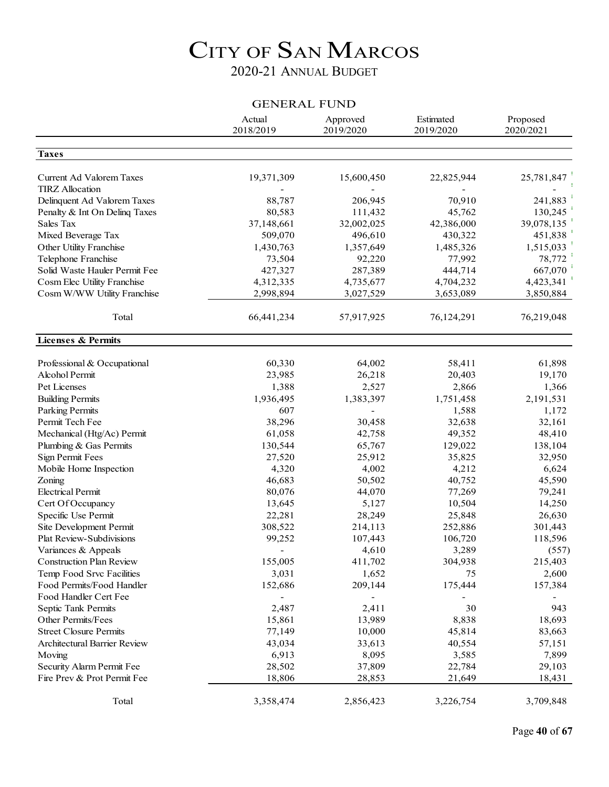### 2020-21 ANNUAL BUDGET

#### GENERAL FUND

|                                               | Actual<br>2018/2019      | Approved<br>2019/2020    | Estimated<br>2019/2020 | Proposed<br>2020/2021 |
|-----------------------------------------------|--------------------------|--------------------------|------------------------|-----------------------|
| <b>Taxes</b>                                  |                          |                          |                        |                       |
|                                               |                          |                          |                        |                       |
| Current Ad Valorem Taxes                      | 19,371,309               | 15,600,450               | 22,825,944             | 25,781,847            |
| <b>TIRZ</b> Allocation                        |                          |                          |                        |                       |
| Delinquent Ad Valorem Taxes                   | 88,787                   | 206,945                  | 70,910                 | 241,883               |
| Penalty & Int On Delinq Taxes                 | 80,583                   | 111,432                  | 45,762                 | 130,245               |
| Sales Tax                                     | 37,148,661               | 32,002,025               | 42,386,000             | 39,078,135            |
| Mixed Beverage Tax                            | 509,070                  | 496,610                  | 430,322                | 451,838               |
| Other Utility Franchise                       | 1,430,763                | 1,357,649                | 1,485,326              | 1,515,033             |
| Telephone Franchise                           | 73,504                   | 92,220                   | 77,992                 | 78,772                |
| Solid Waste Hauler Permit Fee                 | 427,327                  | 287,389                  | 444,714                | 667,070               |
| Cosm Elec Utility Franchise                   | 4,312,335                | 4,735,677                | 4,704,232              | 4,423,341             |
| Cosm W/WW Utility Franchise                   | 2,998,894                | 3,027,529                | 3,653,089              | 3,850,884             |
| Total                                         | 66,441,234               | 57,917,925               | 76,124,291             | 76,219,048            |
| <b>Licenses &amp; Permits</b>                 |                          |                          |                        |                       |
|                                               |                          |                          |                        |                       |
| Professional & Occupational<br>Alcohol Permit | 60,330                   | 64,002                   | 58,411                 | 61,898                |
|                                               | 23,985                   | 26,218                   | 20,403                 | 19,170                |
| Pet Licenses                                  | 1,388                    | 2,527                    | 2,866                  | 1,366                 |
| <b>Building Permits</b>                       | 1,936,495                | 1,383,397                | 1,751,458              | 2,191,531             |
| <b>Parking Permits</b>                        | 607                      |                          | 1,588                  | 1,172                 |
| Permit Tech Fee                               | 38,296                   | 30,458                   | 32,638                 | 32,161                |
| Mechanical (Htg/Ac) Permit                    | 61,058                   | 42,758                   | 49,352                 | 48,410                |
| Plumbing & Gas Permits                        | 130,544                  | 65,767                   | 129,022                | 138,104               |
| Sign Permit Fees                              | 27,520                   | 25,912                   | 35,825                 | 32,950                |
| Mobile Home Inspection                        | 4,320                    | 4,002                    | 4,212                  | 6,624                 |
| Zoning                                        | 46,683                   | 50,502                   | 40,752                 | 45,590                |
| <b>Electrical Permit</b>                      | 80,076                   | 44,070                   | 77,269                 | 79,241                |
| Cert Of Occupancy                             | 13,645                   | 5,127                    | 10,504                 | 14,250                |
| Specific Use Permit                           | 22,281                   | 28,249                   | 25,848                 | 26,630                |
| Site Development Permit                       | 308,522                  | 214,113                  | 252,886                | 301,443               |
| <b>Plat Review-Subdivisions</b>               | 99,252                   | 107,443                  | 106,720                | 118,596               |
| Variances & Appeals                           | $\overline{\phantom{a}}$ | 4,610                    | 3,289                  | (557)                 |
| <b>Construction Plan Review</b>               | 155,005                  | 411,702                  | 304,938                | 215,403               |
| Temp Food Srvc Facilities                     | 3,031                    | 1,652                    | 75                     | 2,600                 |
| Food Permits/Food Handler                     | 152,686                  | 209,144                  | 175,444                | 157,384               |
| Food Handler Cert Fee                         |                          | $\overline{\phantom{a}}$ |                        |                       |
| Septic Tank Permits                           | 2,487                    | 2,411                    | 30                     | 943                   |
| Other Permits/Fees                            | 15,861                   | 13,989                   | 8,838                  | 18,693                |
| <b>Street Closure Permits</b>                 | 77,149                   | 10,000                   | 45,814                 | 83,663                |
| <b>Architectural Barrier Review</b>           | 43,034                   | 33,613                   | 40,554                 | 57,151                |
| Moving                                        | 6,913                    | 8,095                    | 3,585                  | 7,899                 |
| Security Alarm Permit Fee                     | 28,502                   | 37,809                   | 22,784                 | 29,103                |
| Fire Prev & Prot Permit Fee                   | 18,806                   | 28,853                   | 21,649                 | 18,431                |
| Total                                         | 3,358,474                | 2,856,423                | 3,226,754              | 3,709,848             |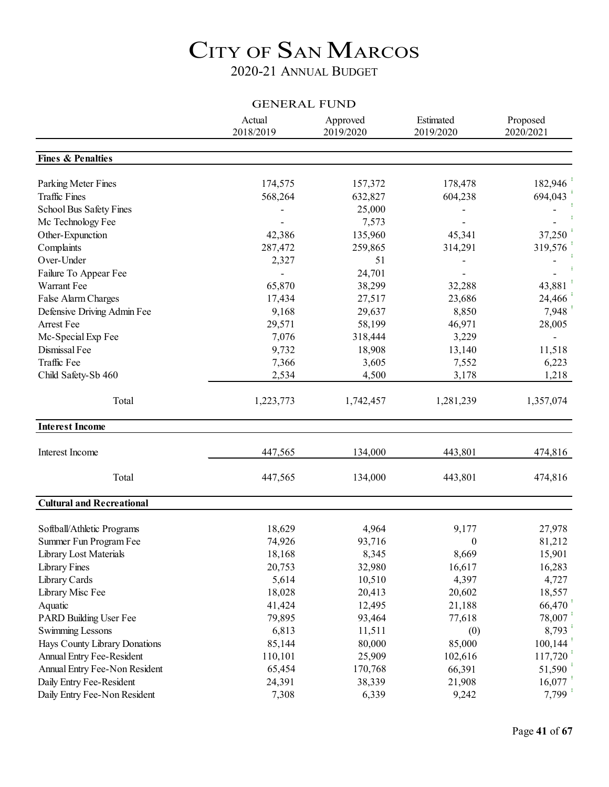### 2020-21 ANNUAL BUDGET

| <b>GENERAL FUND</b>              |                     |                       |                        |                       |  |  |
|----------------------------------|---------------------|-----------------------|------------------------|-----------------------|--|--|
|                                  | Actual<br>2018/2019 | Approved<br>2019/2020 | Estimated<br>2019/2020 | Proposed<br>2020/2021 |  |  |
| <b>Fines &amp; Penalties</b>     |                     |                       |                        |                       |  |  |
| Parking Meter Fines              | 174,575             | 157,372               | 178,478                | 182,946               |  |  |
| <b>Traffic Fines</b>             | 568,264             | 632,827               | 604,238                | 694,043               |  |  |
| School Bus Safety Fines          |                     | 25,000                |                        |                       |  |  |
| Mc Technology Fee                |                     | 7,573                 |                        |                       |  |  |
| Other-Expunction                 | 42,386              | 135,960               | 45,341                 | 37,250                |  |  |
| Complaints                       | 287,472             | 259,865               | 314,291                | 319,576               |  |  |
| Over-Under                       | 2,327               | 51                    |                        |                       |  |  |
| Failure To Appear Fee            |                     | 24,701                |                        |                       |  |  |
| Warrant Fee                      | 65,870              | 38,299                | 32,288                 | 43,881                |  |  |
| False Alarm Charges              | 17,434              | 27,517                | 23,686                 | 24,466                |  |  |
| Defensive Driving Admin Fee      | 9,168               | 29,637                | 8,850                  | 7,948                 |  |  |
| Arrest Fee                       | 29,571              | 58,199                | 46,971                 | 28,005                |  |  |
| Mc-Special Exp Fee               | 7,076               | 318,444               | 3,229                  |                       |  |  |
| Dismissal Fee                    | 9,732               | 18,908                | 13,140                 | 11,518                |  |  |
| Traffic Fee                      | 7,366               | 3,605                 | 7,552                  | 6,223                 |  |  |
| Child Safety-Sb 460              | 2,534               | 4,500                 | 3,178                  | 1,218                 |  |  |
| Total                            | 1,223,773           | 1,742,457             | 1,281,239              | 1,357,074             |  |  |
| <b>Interest Income</b>           |                     |                       |                        |                       |  |  |
| Interest Income                  | 447,565             | 134,000               | 443,801                | 474,816               |  |  |
| Total                            | 447,565             | 134,000               | 443,801                | 474,816               |  |  |
| <b>Cultural and Recreational</b> |                     |                       |                        |                       |  |  |
| Softball/Athletic Programs       | 18,629              | 4,964                 | 9,177                  | 27,978                |  |  |
| Summer Fun Program Fee           | 74,926              | 93,716                | $\overline{0}$         | 81,212                |  |  |
| Library Lost Materials           | 18,168              | 8,345                 | 8,669                  | 15,901                |  |  |
| Library Fines                    | 20,753              | 32,980                | 16,617                 | 16,283                |  |  |
| Library Cards                    | 5,614               | 10,510                | 4,397                  | 4,727                 |  |  |
| Library Misc Fee                 | 18,028              | 20,413                | 20,602                 | 18,557                |  |  |
| Aquatic                          | 41,424              | 12,495                | 21,188                 | 66,470                |  |  |
| PARD Building User Fee           | 79,895              | 93,464                | 77,618                 | 78,007                |  |  |
| Swimming Lessons                 | 6,813               | 11,511                | (0)                    | 8,793                 |  |  |
| Hays County Library Donations    | 85,144              | 80,000                | 85,000                 | 100,144               |  |  |
| Annual Entry Fee-Resident        | 110,101             | 25,909                | 102,616                | 117,720               |  |  |
| Annual Entry Fee-Non Resident    | 65,454              | 170,768               | 66,391                 | 51,590                |  |  |
| Daily Entry Fee-Resident         | 24,391              | 38,339                | 21,908                 | 16,077                |  |  |
| Daily Entry Fee-Non Resident     | 7,308               | 6,339                 | 9,242                  | 7,799                 |  |  |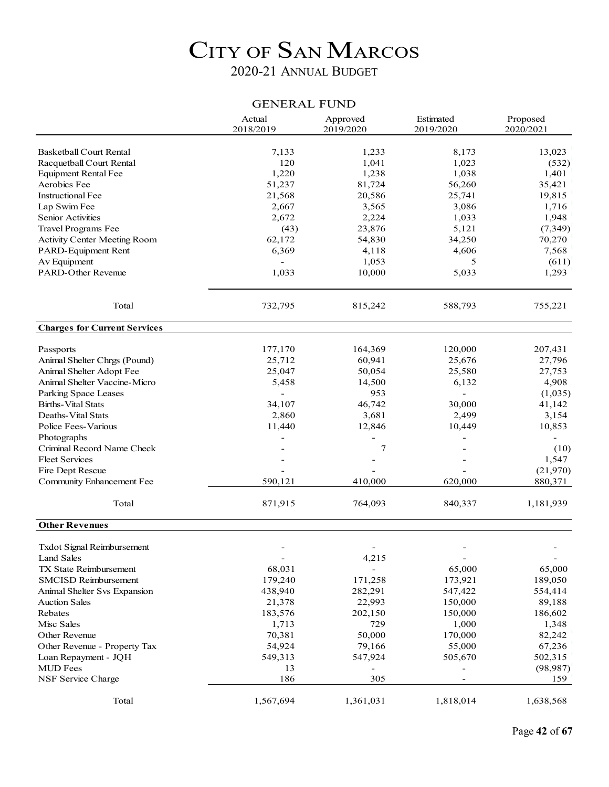### 2020-21 ANNUAL BUDGET

#### GENERAL FUND

|                                     | Actual<br>2018/2019 | Approved<br>2019/2020 | Estimated<br>2019/2020 | Proposed<br>2020/2021 |
|-------------------------------------|---------------------|-----------------------|------------------------|-----------------------|
|                                     |                     |                       |                        |                       |
| <b>Basketball Court Rental</b>      | 7,133               | 1,233                 | 8,173                  | 13,023                |
| Racquetball Court Rental            | 120                 | 1,041                 | 1,023                  | (532)                 |
| <b>Equipment Rental Fee</b>         | 1,220               | 1,238                 | 1,038                  | 1,401                 |
| Aerobics Fee                        | 51,237              | 81,724                | 56,260                 | 35,421                |
| <b>Instructional Fee</b>            | 21,568              | 20,586                | 25,741                 | 19,815                |
| Lap Swim Fee                        | 2,667               | 3,565                 | 3,086                  | 1,716                 |
| <b>Senior Activities</b>            | 2,672               | 2,224                 | 1,033                  | 1,948                 |
| Travel Programs Fee                 | (43)                | 23,876                | 5,121                  | (7, 349)              |
| Activity Center Meeting Room        | 62,172              | 54,830                | 34,250                 | 70,270                |
| PARD-Equipment Rent                 | 6,369               | 4,118                 | 4,606                  | 7,568                 |
| Av Equipment                        |                     | 1,053                 | 5                      | (611)                 |
| <b>PARD-Other Revenue</b>           | 1,033               | 10,000                | 5,033                  | 1,293                 |
| Total                               | 732,795             | 815,242               | 588,793                | 755,221               |
| <b>Charges for Current Services</b> |                     |                       |                        |                       |
| Passports                           | 177,170             | 164,369               | 120,000                | 207,431               |
| Animal Shelter Chrgs (Pound)        | 25,712              | 60,941                | 25,676                 | 27,796                |
| Animal Shelter Adopt Fee            | 25,047              | 50,054                | 25,580                 | 27,753                |
| Animal Shelter Vaccine-Micro        | 5,458               | 14,500                | 6,132                  | 4,908                 |
| Parking Space Leases                |                     | 953                   |                        | (1,035)               |
| <b>Births-Vital Stats</b>           | 34,107              | 46,742                | 30,000                 | 41,142                |
| Deaths-Vital Stats                  | 2,860               | 3,681                 | 2,499                  | 3,154                 |
| Police Fees-Various                 | 11,440              | 12,846                | 10,449                 | 10,853                |
| Photographs                         |                     |                       |                        |                       |
| Criminal Record Name Check          |                     | 7                     |                        |                       |
| <b>Fleet Services</b>               |                     |                       |                        | (10)                  |
|                                     |                     |                       |                        | 1,547                 |
| Fire Dept Rescue                    |                     |                       |                        | (21,970)              |
| Community Enhancement Fee           | 590,121             | 410,000               | 620,000                | 880,371               |
| Total                               | 871,915             | 764,093               | 840,337                | 1,181,939             |
| <b>Other Revenues</b>               |                     |                       |                        |                       |
| Txdot Signal Reimbursement          |                     |                       |                        |                       |
| Land Sales                          |                     | 4,215                 |                        |                       |
| <b>TX State Reimbursement</b>       | 68,031              |                       | 65,000                 | 65,000                |
| <b>SMCISD Reimbursement</b>         | 179,240             | 171,258               | 173,921                | 189,050               |
| Animal Shelter Svs Expansion        | 438,940             | 282,291               | 547,422                | 554,414               |
| <b>Auction Sales</b>                | 21,378              | 22,993                | 150,000                | 89,188                |
| Rebates                             | 183,576             | 202,150               | 150,000                | 186,602               |
| Misc Sales                          | 1,713               | 729                   | 1,000                  | 1,348                 |
| Other Revenue                       | 70,381              | 50,000                | 170,000                | 82,242                |
| Other Revenue - Property Tax        | 54,924              | 79,166                | 55,000                 | 67,236                |
| Loan Repayment - JQH                | 549,313             | 547,924               | 505,670                | 502,315               |
| <b>MUD</b> Fees                     | 13                  |                       |                        | (98, 987)             |
| NSF Service Charge                  | 186                 | 305                   |                        | 159                   |
| Total                               | 1,567,694           | 1,361,031             | 1,818,014              | 1,638,568             |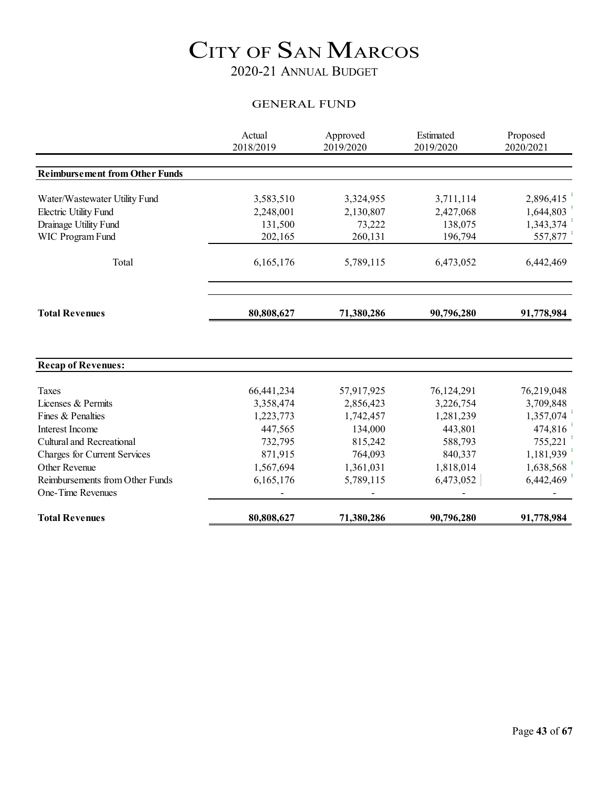### 2020-21 ANNUAL BUDGET

#### GENERAL FUND

|                                       | Actual<br>2018/2019 | Approved<br>2019/2020 | Estimated<br>2019/2020 | Proposed<br>2020/2021 |
|---------------------------------------|---------------------|-----------------------|------------------------|-----------------------|
|                                       |                     |                       |                        |                       |
| <b>Reimbursement from Other Funds</b> |                     |                       |                        |                       |
| Water/Wastewater Utility Fund         | 3,583,510           | 3,324,955             | 3,711,114              | 2,896,415             |
| <b>Electric Utility Fund</b>          | 2,248,001           | 2,130,807             | 2,427,068              | 1,644,803             |
| Drainage Utility Fund                 | 131,500             | 73,222                | 138,075                | 1,343,374             |
| WIC Program Fund                      | 202,165             | 260,131               | 196,794                | 557,877               |
| Total                                 | 6,165,176           | 5,789,115             | 6,473,052              | 6,442,469             |
| <b>Total Revenues</b>                 | 80,808,627          | 71,380,286            | 90,796,280             | 91,778,984            |
|                                       |                     |                       |                        |                       |
| <b>Recap of Revenues:</b>             |                     |                       |                        |                       |
| <b>Taxes</b>                          | 66,441,234          | 57,917,925            | 76,124,291             | 76,219,048            |
| Licenses & Permits                    | 3,358,474           | 2,856,423             | 3,226,754              | 3,709,848             |
| Fines & Penalties                     | 1,223,773           | 1,742,457             | 1,281,239              | 1,357,074             |
| Interest Income                       | 447,565             | 134,000               | 443,801                | 474,816               |
| Cultural and Recreational             | 732,795             | 815,242               | 588,793                | 755,221               |
| <b>Charges for Current Services</b>   | 871,915             | 764,093               | 840,337                | 1,181,939             |
| Other Revenue                         | 1,567,694           | 1,361,031             | 1,818,014              | 1,638,568             |
| Reimbursements from Other Funds       | 6,165,176           | 5,789,115             | 6,473,052              | 6,442,469             |
| One-Time Revenues                     |                     |                       |                        |                       |
| <b>Total Revenues</b>                 | 80,808,627          | 71,380,286            | 90,796,280             | 91,778,984            |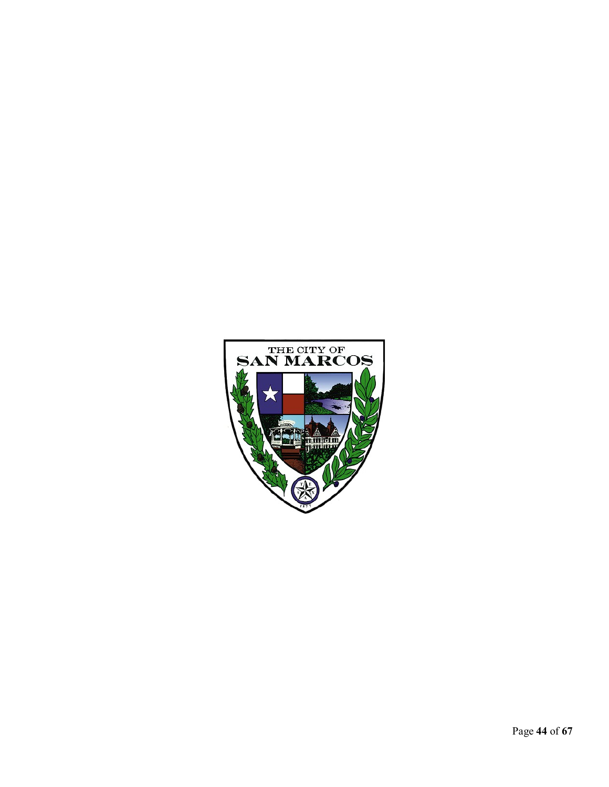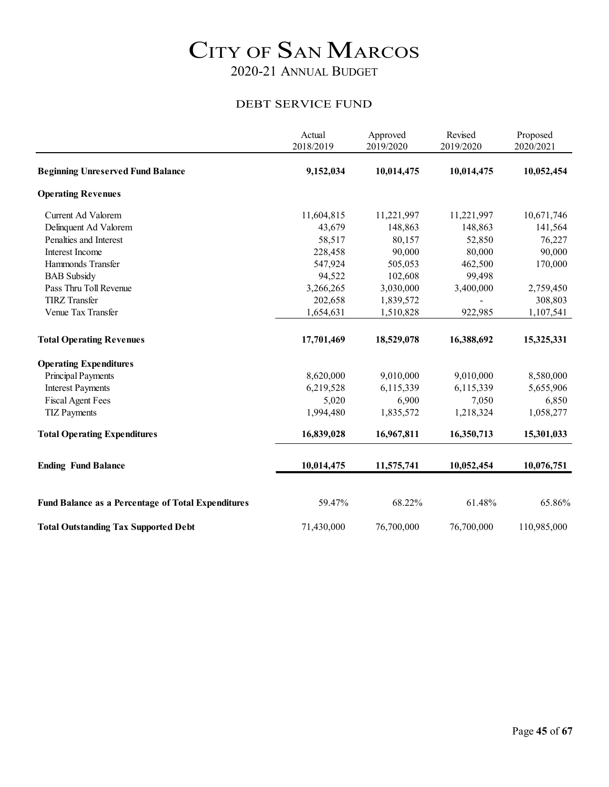#### DEBT SERVICE FUND

|                                                           | Actual<br>2018/2019 | Approved<br>2019/2020 | Revised<br>2019/2020 | Proposed<br>2020/2021 |
|-----------------------------------------------------------|---------------------|-----------------------|----------------------|-----------------------|
| <b>Beginning Unreserved Fund Balance</b>                  | 9,152,034           | 10,014,475            | 10,014,475           | 10,052,454            |
| <b>Operating Revenues</b>                                 |                     |                       |                      |                       |
| Current Ad Valorem                                        | 11,604,815          | 11,221,997            | 11,221,997           | 10,671,746            |
| Delinquent Ad Valorem                                     | 43,679              | 148,863               | 148,863              | 141,564               |
| Penalties and Interest                                    | 58,517              | 80,157                | 52,850               | 76,227                |
| Interest Income                                           | 228,458             | 90,000                | 80,000               | 90,000                |
| Hammonds Transfer                                         | 547,924             | 505,053               | 462,500              | 170,000               |
| <b>BAB</b> Subsidy                                        | 94,522              | 102,608               | 99,498               |                       |
| Pass Thru Toll Revenue                                    | 3,266,265           | 3,030,000             | 3,400,000            | 2,759,450             |
| <b>TIRZ</b> Transfer                                      | 202,658             | 1,839,572             |                      | 308,803               |
| Venue Tax Transfer                                        | 1,654,631           | 1,510,828             | 922,985              | 1,107,541             |
| <b>Total Operating Revenues</b>                           | 17,701,469          | 18,529,078            | 16,388,692           | 15,325,331            |
| <b>Operating Expenditures</b>                             |                     |                       |                      |                       |
| <b>Principal Payments</b>                                 | 8,620,000           | 9,010,000             | 9,010,000            | 8,580,000             |
| <b>Interest Payments</b>                                  | 6,219,528           | 6,115,339             | 6,115,339            | 5,655,906             |
| <b>Fiscal Agent Fees</b>                                  | 5,020               | 6,900                 | 7,050                | 6,850                 |
| <b>TIZ Payments</b>                                       | 1,994,480           | 1,835,572             | 1,218,324            | 1,058,277             |
| <b>Total Operating Expenditures</b>                       | 16,839,028          | 16,967,811            | 16,350,713           | 15,301,033            |
| <b>Ending Fund Balance</b>                                | 10,014,475          | 11,575,741            | 10,052,454           | 10,076,751            |
| <b>Fund Balance as a Percentage of Total Expenditures</b> | 59.47%              | 68.22%                | 61.48%               | 65.86%                |
| <b>Total Outstanding Tax Supported Debt</b>               | 71,430,000          | 76,700,000            | 76,700,000           | 110,985,000           |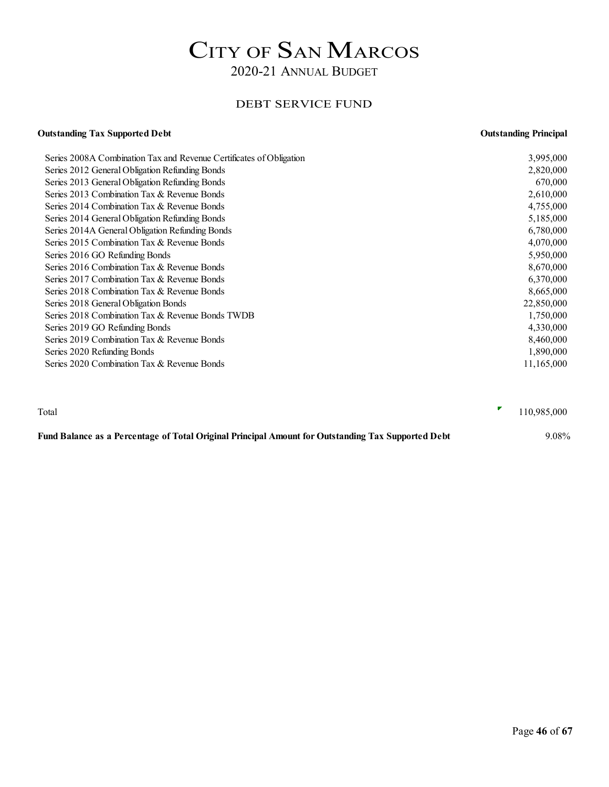#### DEBT SERVICE FUND

### **Outstanding Tax Supported Debt Outstanding Principal** Series 2008A Combination Tax and Revenue Certificates of Obligation 3,995,000

| $\sim$ 0.01 $\sim$ 0.01100 matricely 1.0011 will sell as a contribution of $\sim$ 0.01 matricely contributed by $\sim$ |            |
|------------------------------------------------------------------------------------------------------------------------|------------|
| Series 2012 General Obligation Refunding Bonds                                                                         | 2,820,000  |
| Series 2013 General Obligation Refunding Bonds                                                                         | 670,000    |
| Series 2013 Combination Tax & Revenue Bonds                                                                            | 2,610,000  |
| Series 2014 Combination Tax & Revenue Bonds                                                                            | 4,755,000  |
| Series 2014 General Obligation Refunding Bonds                                                                         | 5,185,000  |
| Series 2014A General Obligation Refunding Bonds                                                                        | 6,780,000  |
| Series 2015 Combination Tax & Revenue Bonds                                                                            | 4,070,000  |
| Series 2016 GO Refunding Bonds                                                                                         | 5,950,000  |
| Series 2016 Combination Tax & Revenue Bonds                                                                            | 8,670,000  |
| Series 2017 Combination Tax & Revenue Bonds                                                                            | 6,370,000  |
| Series 2018 Combination Tax & Revenue Bonds                                                                            | 8,665,000  |
| Series 2018 General Obligation Bonds                                                                                   | 22,850,000 |
| Series 2018 Combination Tax & Revenue Bonds TWDB                                                                       | 1,750,000  |
| Series 2019 GO Refunding Bonds                                                                                         | 4,330,000  |
| Series 2019 Combination Tax & Revenue Bonds                                                                            | 8,460,000  |
| Series 2020 Refunding Bonds                                                                                            | 1,890,000  |
| Series 2020 Combination Tax & Revenue Bonds                                                                            | 11,165,000 |
|                                                                                                                        |            |

| Total                                                                                              | 110,985,000 |
|----------------------------------------------------------------------------------------------------|-------------|
| Fund Balance as a Percentage of Total Original Principal Amount for Outstanding Tax Supported Debt | 9.08%       |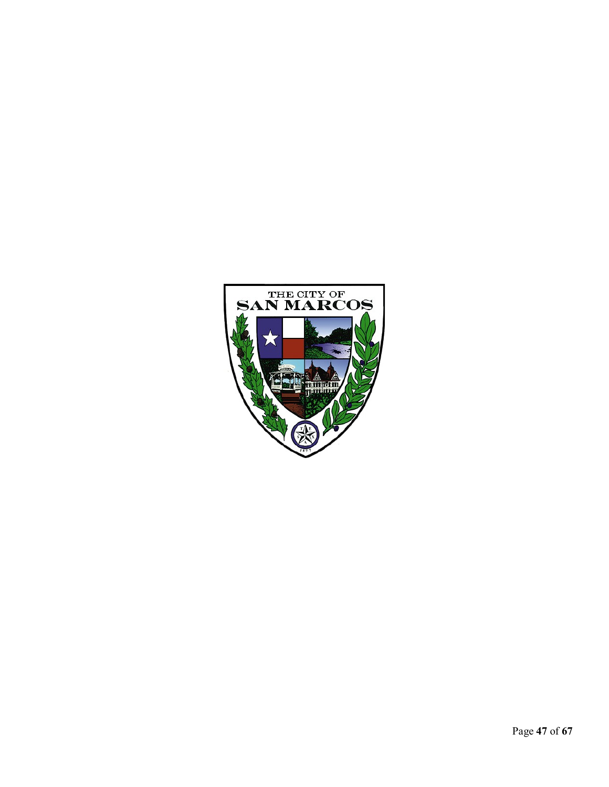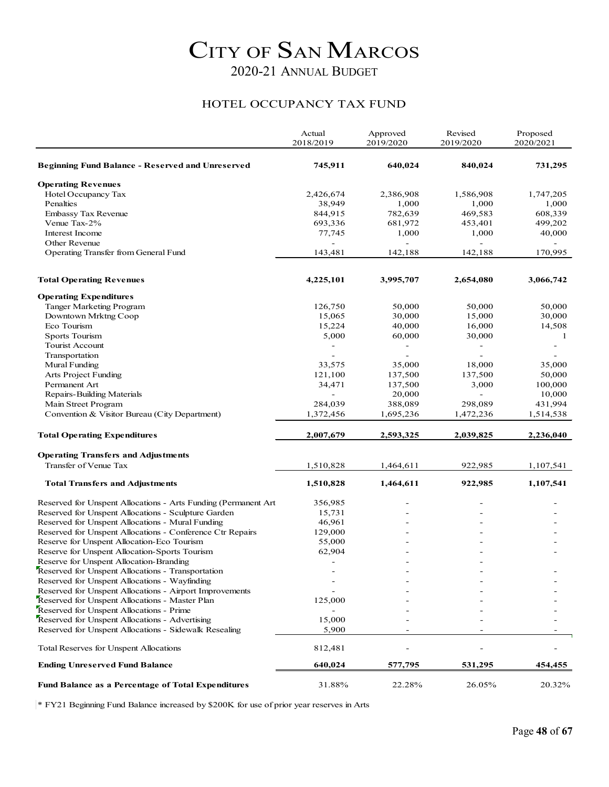#### HOTEL OCCUPANCY TAX FUND

|                                                                                                           | Actual<br>2018/2019      | Approved<br>2019/2020 | Revised<br>2019/2020 | Proposed<br>2020/2021    |
|-----------------------------------------------------------------------------------------------------------|--------------------------|-----------------------|----------------------|--------------------------|
| <b>Beginning Fund Balance - Reserved and Unreserved</b>                                                   | 745,911                  | 640,024               | 840,024              | 731,295                  |
| <b>Operating Revenues</b>                                                                                 |                          |                       |                      |                          |
| Hotel Occupancy Tax                                                                                       | 2,426,674                | 2,386,908             | 1,586,908            | 1,747,205                |
| Penalties                                                                                                 | 38,949                   | 1,000                 | 1,000                | 1,000                    |
| Embassy Tax Revenue                                                                                       | 844,915                  | 782,639               | 469,583              | 608,339                  |
| Venue Tax-2%                                                                                              | 693,336                  | 681,972               | 453,401              | 499,202                  |
| Interest Income                                                                                           | 77,745                   | 1,000                 | 1,000                | 40,000                   |
| Other Revenue                                                                                             |                          |                       |                      |                          |
| Operating Transfer from General Fund                                                                      | 143,481                  | 142,188               | 142,188              | 170,995                  |
| <b>Total Operating Revenues</b>                                                                           | 4,225,101                | 3,995,707             | 2,654,080            | 3,066,742                |
| <b>Operating Expenditures</b>                                                                             |                          |                       |                      |                          |
| Tanger Marketing Program                                                                                  | 126,750                  | 50,000                | 50,000               | 50,000                   |
| Downtown Mrktng Coop                                                                                      | 15,065                   | 30,000                | 15,000               | 30,000                   |
| Eco Tourism                                                                                               | 15,224                   | 40,000                | 16,000               | 14,508                   |
| <b>Sports Tourism</b>                                                                                     | 5,000                    | 60,000                | 30,000               | 1                        |
| Tourist Account                                                                                           | $\overline{\phantom{0}}$ | -                     | -                    | $\overline{\phantom{a}}$ |
| Transportation                                                                                            |                          |                       |                      |                          |
| Mural Funding                                                                                             | 33,575                   | 35,000                | 18,000               | 35,000                   |
| Arts Project Funding                                                                                      | 121,100                  | 137,500               | 137,500              | 50,000                   |
| Permanent Art                                                                                             | 34,471                   | 137,500               | 3,000                | 100,000                  |
| Repairs-Building Materials                                                                                |                          | 20,000                | L.                   | 10,000                   |
| Main Street Program                                                                                       | 284,039                  | 388,089               | 298,089              | 431,994                  |
| Convention & Visitor Bureau (City Department)                                                             | 1,372,456                | 1,695,236             | 1,472,236            | 1,514,538                |
| <b>Total Operating Expenditures</b>                                                                       | 2,007,679                | 2,593,325             | 2,039,825            | 2,236,040                |
| <b>Operating Transfers and Adjustments</b>                                                                |                          |                       |                      |                          |
| Transfer of Venue Tax                                                                                     | 1,510,828                | 1,464,611             | 922,985              | 1,107,541                |
| <b>Total Transfers and Adjustments</b>                                                                    | 1,510,828                | 1,464,611             | 922,985              | 1,107,541                |
| Reserved for Unspent Allocations - Arts Funding (Permanent Art                                            | 356,985                  |                       |                      |                          |
| Reserved for Unspent Allocations - Sculpture Garden                                                       | 15,731                   |                       |                      |                          |
| Reserved for Unspent Allocations - Mural Funding                                                          | 46,961                   |                       |                      |                          |
| Reserved for Unspent Allocations - Conference Ctr Repairs                                                 | 129,000                  |                       |                      |                          |
| Reserve for Unspent Allocation-Eco Tourism                                                                | 55,000                   |                       |                      |                          |
| Reserve for Unspent Allocation-Sports Tourism                                                             | 62,904                   |                       |                      |                          |
| Reserve for Unspent Allocation-Branding                                                                   | $\overline{a}$           |                       |                      |                          |
| Reserved for Unspent Allocations - Transportation                                                         | $\overline{\phantom{0}}$ |                       |                      |                          |
| Reserved for Unspent Allocations - Wayfinding                                                             |                          |                       |                      |                          |
| Reserved for Unspent Allocations - Airport Improvements<br>Reserved for Unspent Allocations - Master Plan | 125,000                  |                       |                      |                          |
| Reserved for Unspent Allocations - Prime                                                                  |                          |                       |                      |                          |
| Reserved for Unspent Allocations - Advertising                                                            | 15,000                   |                       |                      |                          |
| Reserved for Unspent Allocations - Sidewalk Resealing                                                     | 5,900                    |                       |                      |                          |
| Total Reserves for Unspent Allocations                                                                    | 812,481                  |                       |                      |                          |
| <b>Ending Unreserved Fund Balance</b>                                                                     | 640,024                  | 577,795               | 531,295              | 454,455                  |
| <b>Fund Balance as a Percentage of Total Expenditures</b>                                                 | 31.88%                   | 22.28%                | 26.05%               | 20.32%                   |

\* FY21 Beginning Fund Balance increased by \$200K for use of prior year reserves in Arts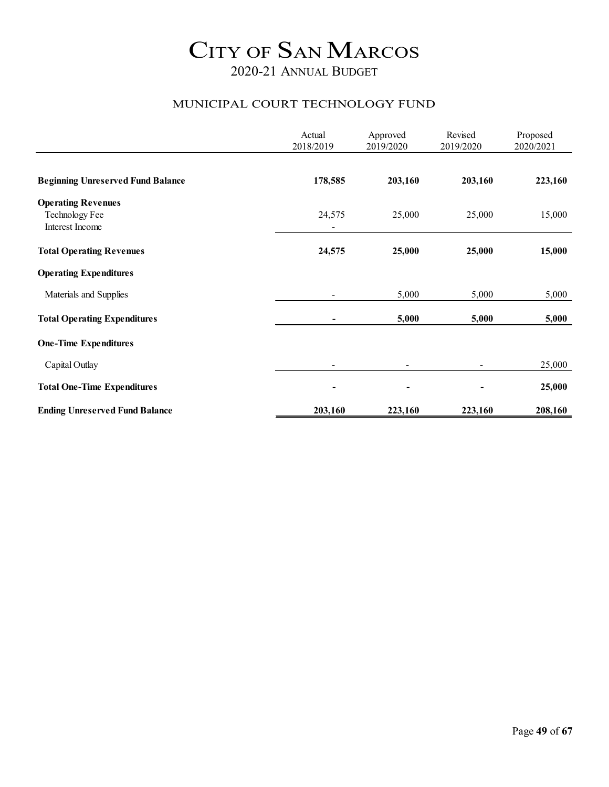#### MUNICIPAL COURT TECHNOLOGY FUND

|                                                                | Actual<br>2018/2019 | Approved<br>2019/2020 | Revised<br>2019/2020 | Proposed<br>2020/2021 |
|----------------------------------------------------------------|---------------------|-----------------------|----------------------|-----------------------|
| <b>Beginning Unreserved Fund Balance</b>                       | 178,585             | 203,160               | 203,160              | 223,160               |
| <b>Operating Revenues</b><br>Technology Fee<br>Interest Income | 24,575              | 25,000                | 25,000               | 15,000                |
| <b>Total Operating Revenues</b>                                | 24,575              | 25,000                | 25,000               | 15,000                |
| <b>Operating Expenditures</b>                                  |                     |                       |                      |                       |
| Materials and Supplies                                         |                     | 5,000                 | 5,000                | 5,000                 |
| <b>Total Operating Expenditures</b>                            |                     | 5,000                 | 5,000                | 5,000                 |
| <b>One-Time Expenditures</b>                                   |                     |                       |                      |                       |
| Capital Outlay                                                 |                     |                       |                      | 25,000                |
| <b>Total One-Time Expenditures</b>                             |                     |                       |                      | 25,000                |
| <b>Ending Unreserved Fund Balance</b>                          | 203,160             | 223,160               | 223,160              | 208,160               |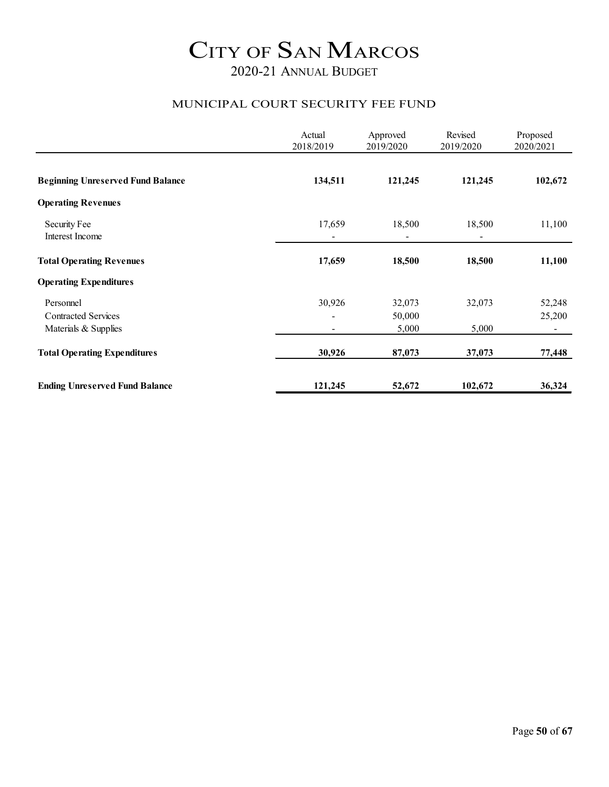#### MUNICIPAL COURT SECURITY FEE FUND

|                                                                 | Actual<br>2018/2019 | Approved<br>2019/2020     | Revised<br>2019/2020 | Proposed<br>2020/2021              |
|-----------------------------------------------------------------|---------------------|---------------------------|----------------------|------------------------------------|
| <b>Beginning Unreserved Fund Balance</b>                        | 134,511             | 121,245                   | 121,245              | 102,672                            |
| <b>Operating Revenues</b>                                       |                     |                           |                      |                                    |
| Security Fee<br>Interest Income                                 | 17,659              | 18,500                    | 18,500               | 11,100                             |
| <b>Total Operating Revenues</b>                                 | 17,659              | 18,500                    | 18,500               | 11,100                             |
| <b>Operating Expenditures</b>                                   |                     |                           |                      |                                    |
| Personnel<br><b>Contracted Services</b><br>Materials & Supplies | 30,926              | 32,073<br>50,000<br>5,000 | 32,073<br>5,000      | 52,248<br>25,200<br>$\blacksquare$ |
| <b>Total Operating Expenditures</b>                             | 30,926              | 87,073                    | 37,073               | 77,448                             |
| <b>Ending Unreserved Fund Balance</b>                           | 121,245             | 52,672                    | 102,672              | 36,324                             |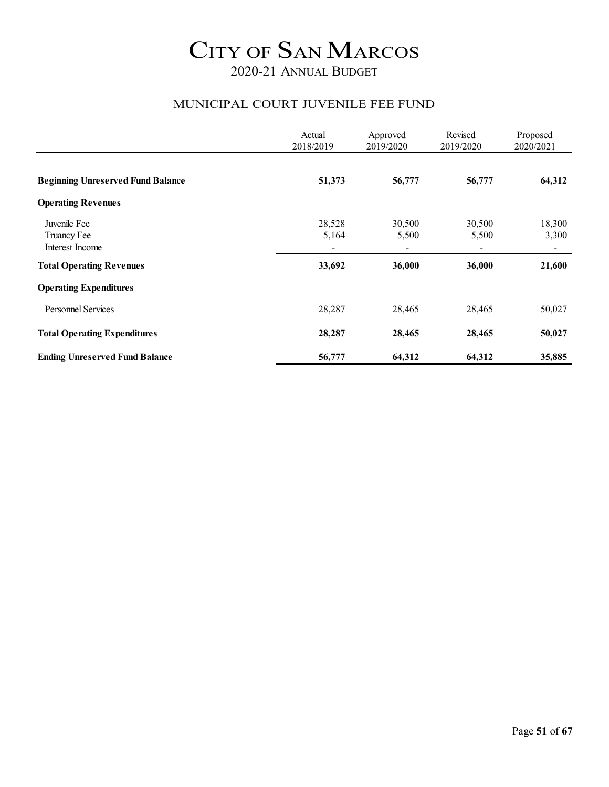#### MUNICIPAL COURT JUVENILE FEE FUND

|                                          | Actual<br>2018/2019 | Approved<br>2019/2020    | Revised<br>2019/2020     | Proposed<br>2020/2021    |
|------------------------------------------|---------------------|--------------------------|--------------------------|--------------------------|
|                                          |                     |                          |                          |                          |
| <b>Beginning Unreserved Fund Balance</b> | 51,373              | 56,777                   | 56,777                   | 64,312                   |
| <b>Operating Revenues</b>                |                     |                          |                          |                          |
| Juvenile Fee                             | 28,528              | 30,500                   | 30,500                   | 18,300                   |
| Truancy Fee                              | 5,164               | 5,500                    | 5,500                    | 3,300                    |
| Interest Income                          | $\blacksquare$      | $\overline{\phantom{a}}$ | $\overline{\phantom{a}}$ | $\overline{\phantom{a}}$ |
| <b>Total Operating Revenues</b>          | 33,692              | 36,000                   | 36,000                   | 21,600                   |
| <b>Operating Expenditures</b>            |                     |                          |                          |                          |
| <b>Personnel Services</b>                | 28,287              | 28,465                   | 28,465                   | 50,027                   |
| <b>Total Operating Expenditures</b>      | 28,287              | 28,465                   | 28,465                   | 50,027                   |
| <b>Ending Unreserved Fund Balance</b>    | 56,777              | 64,312                   | 64,312                   | 35,885                   |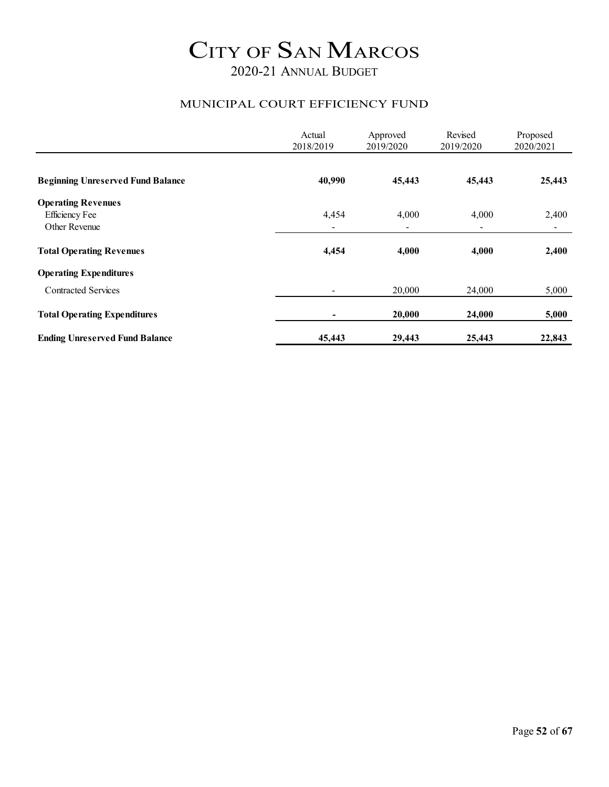#### MUNICIPAL COURT EFFICIENCY FUND

|                                                                     | Actual<br>2018/2019      | Approved<br>2019/2020 | Revised<br>2019/2020              | Proposed<br>2020/2021   |
|---------------------------------------------------------------------|--------------------------|-----------------------|-----------------------------------|-------------------------|
| <b>Beginning Unreserved Fund Balance</b>                            | 40,990                   | 45,443                | 45,443                            | 25,443                  |
| <b>Operating Revenues</b><br><b>Efficiency Fee</b><br>Other Revenue | 4,454                    | 4,000                 | 4,000<br>$\overline{\phantom{0}}$ | 2,400<br>$\blacksquare$ |
| <b>Total Operating Revenues</b>                                     | 4,454                    | 4,000                 | 4,000                             | 2,400                   |
| <b>Operating Expenditures</b>                                       |                          |                       |                                   |                         |
| <b>Contracted Services</b>                                          | $\overline{\phantom{a}}$ | 20,000                | 24,000                            | 5,000                   |
| <b>Total Operating Expenditures</b>                                 | ۰                        | 20,000                | 24,000                            | 5,000                   |
| <b>Ending Unreserved Fund Balance</b>                               | 45,443                   | 29,443                | 25,443                            | 22,843                  |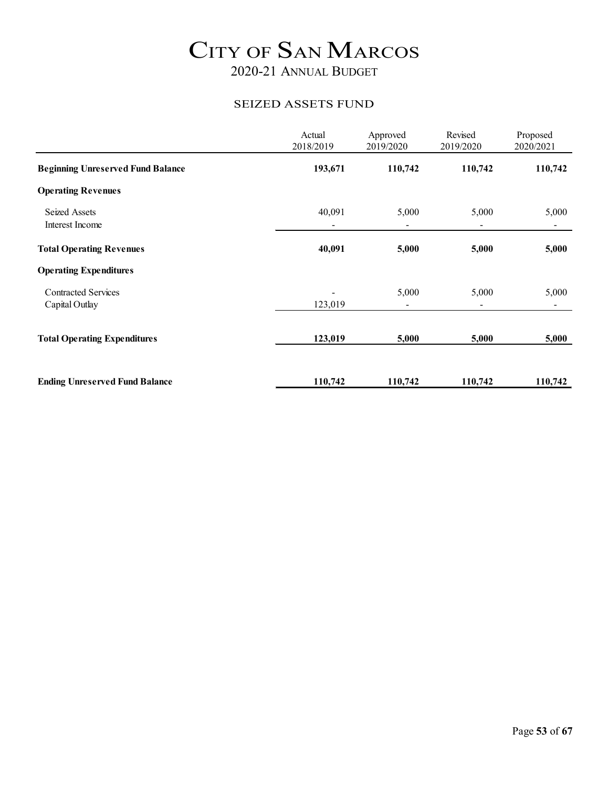#### SEIZED ASSETS FUND

|                                              | Actual<br>2018/2019                | Approved<br>2019/2020 | Revised<br>2019/2020              | Proposed<br>2020/2021   |
|----------------------------------------------|------------------------------------|-----------------------|-----------------------------------|-------------------------|
| <b>Beginning Unreserved Fund Balance</b>     | 193,671                            | 110,742               | 110,742                           | 110,742                 |
| <b>Operating Revenues</b>                    |                                    |                       |                                   |                         |
| <b>Seized Assets</b><br>Interest Income      | 40,091<br>$\overline{\phantom{0}}$ | 5,000                 | 5,000<br>$\blacksquare$           | 5,000<br>$\blacksquare$ |
| <b>Total Operating Revenues</b>              | 40,091                             | 5,000                 | 5,000                             | 5,000                   |
| <b>Operating Expenditures</b>                |                                    |                       |                                   |                         |
| <b>Contracted Services</b><br>Capital Outlay | 123,019                            | 5,000                 | 5,000<br>$\overline{\phantom{a}}$ | 5,000<br>$\blacksquare$ |
| <b>Total Operating Expenditures</b>          | 123,019                            | 5,000                 | 5,000                             | 5,000                   |
| <b>Ending Unreserved Fund Balance</b>        | 110,742                            | 110,742               | 110,742                           | 110,742                 |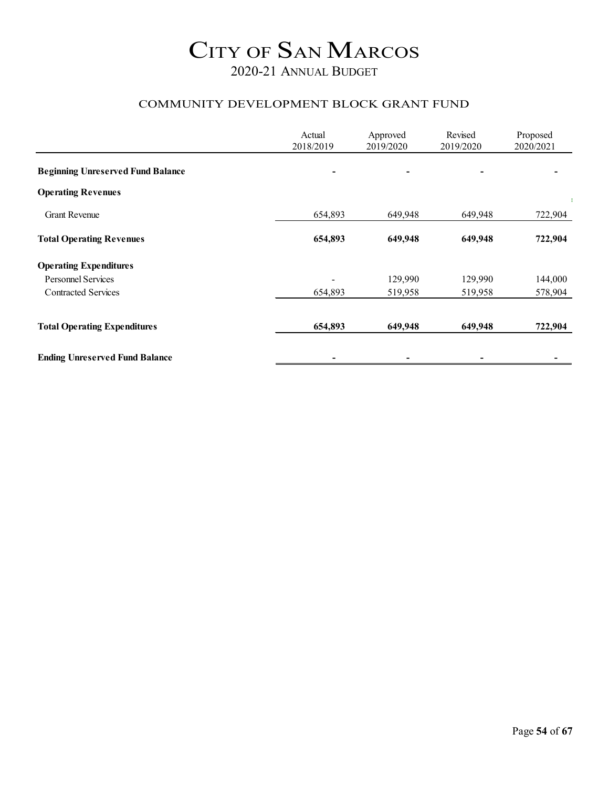#### COMMUNITY DEVELOPMENT BLOCK GRANT FUND

|                                          | Actual<br>2018/2019 | Approved<br>2019/2020 | Revised<br>2019/2020 | Proposed<br>2020/2021 |
|------------------------------------------|---------------------|-----------------------|----------------------|-----------------------|
| <b>Beginning Unreserved Fund Balance</b> |                     |                       |                      |                       |
| <b>Operating Revenues</b>                |                     |                       |                      |                       |
| <b>Grant Revenue</b>                     | 654,893             | 649,948               | 649,948              | 722,904               |
| <b>Total Operating Revenues</b>          | 654,893             | 649,948               | 649,948              | 722,904               |
| <b>Operating Expenditures</b>            |                     |                       |                      |                       |
| <b>Personnel Services</b>                |                     | 129,990               | 129,990              | 144,000               |
| <b>Contracted Services</b>               | 654,893             | 519,958               | 519,958              | 578,904               |
| <b>Total Operating Expenditures</b>      | 654,893             | 649,948               | 649,948              | 722,904               |
| <b>Ending Unreserved Fund Balance</b>    |                     |                       |                      |                       |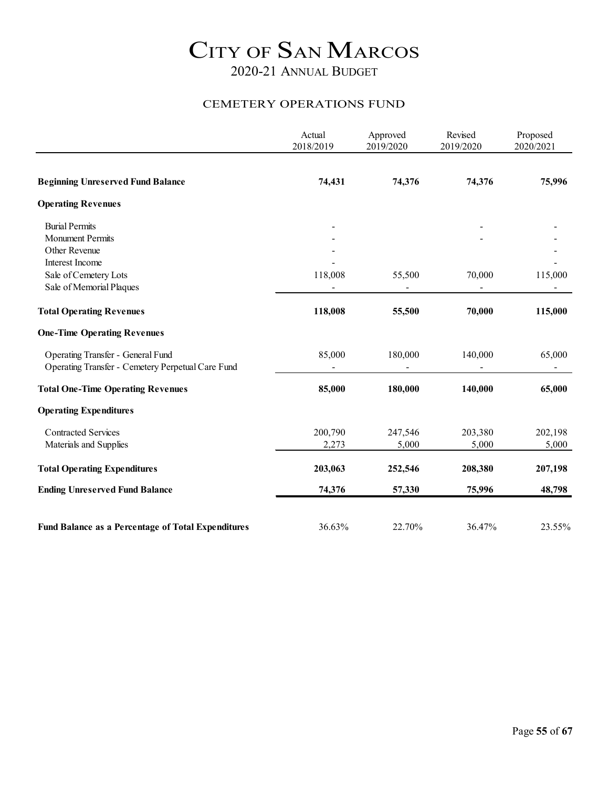#### CEMETERY OPERATIONS FUND

|                                                           | Actual<br>2018/2019 | Approved<br>2019/2020 | Revised<br>2019/2020 | Proposed<br>2020/2021 |
|-----------------------------------------------------------|---------------------|-----------------------|----------------------|-----------------------|
|                                                           |                     |                       |                      |                       |
| <b>Beginning Unreserved Fund Balance</b>                  | 74,431              | 74,376                | 74,376               | 75,996                |
| <b>Operating Revenues</b>                                 |                     |                       |                      |                       |
| <b>Burial Permits</b>                                     |                     |                       |                      |                       |
| <b>Monument Permits</b>                                   |                     |                       |                      |                       |
| Other Revenue                                             |                     |                       |                      |                       |
| Interest Income                                           |                     |                       |                      |                       |
| Sale of Cemetery Lots                                     | 118,008             | 55,500                | 70,000               | 115,000               |
| Sale of Memorial Plaques                                  |                     |                       |                      |                       |
| <b>Total Operating Revenues</b>                           | 118,008             | 55,500                | 70,000               | 115,000               |
| <b>One-Time Operating Revenues</b>                        |                     |                       |                      |                       |
| Operating Transfer - General Fund                         | 85,000              | 180,000               | 140,000              | 65,000                |
| Operating Transfer - Cemetery Perpetual Care Fund         |                     |                       |                      | ٠                     |
| <b>Total One-Time Operating Revenues</b>                  | 85,000              | 180,000               | 140,000              | 65,000                |
| <b>Operating Expenditures</b>                             |                     |                       |                      |                       |
| <b>Contracted Services</b>                                | 200,790             | 247,546               | 203,380              | 202,198               |
| Materials and Supplies                                    | 2,273               | 5,000                 | 5,000                | 5,000                 |
| <b>Total Operating Expenditures</b>                       | 203,063             | 252,546               | 208,380              | 207,198               |
| <b>Ending Unreserved Fund Balance</b>                     | 74,376              | 57,330                | 75,996               | 48,798                |
|                                                           |                     |                       |                      |                       |
| <b>Fund Balance as a Percentage of Total Expenditures</b> | 36.63%              | 22.70%                | 36.47%               | 23.55%                |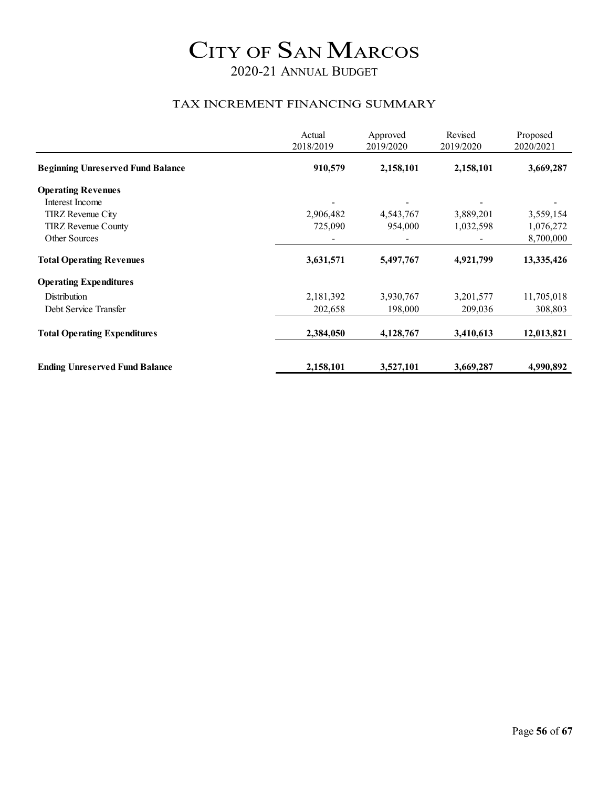#### TAX INCREMENT FINANCING SUMMARY

|                                          | Actual<br>2018/2019 | Approved<br>2019/2020 | Revised<br>2019/2020 | Proposed<br>2020/2021 |
|------------------------------------------|---------------------|-----------------------|----------------------|-----------------------|
| <b>Beginning Unreserved Fund Balance</b> | 910,579             | 2,158,101             | 2,158,101            | 3,669,287             |
| <b>Operating Revenues</b>                |                     |                       |                      |                       |
| Interest Income                          |                     |                       |                      |                       |
| TIRZ Revenue City                        | 2,906,482           | 4,543,767             | 3,889,201            | 3,559,154             |
| <b>TIRZ</b> Revenue County               | 725,090             | 954,000               | 1,032,598            | 1,076,272             |
| Other Sources                            |                     |                       |                      | 8,700,000             |
| <b>Total Operating Revenues</b>          | 3,631,571           | 5,497,767             | 4,921,799            | 13,335,426            |
| <b>Operating Expenditures</b>            |                     |                       |                      |                       |
| Distribution                             | 2,181,392           | 3,930,767             | 3,201,577            | 11,705,018            |
| Debt Service Transfer                    | 202,658             | 198,000               | 209,036              | 308,803               |
| <b>Total Operating Expenditures</b>      | 2,384,050           | 4,128,767             | 3,410,613            | 12,013,821            |
|                                          |                     |                       |                      |                       |
| <b>Ending Unreserved Fund Balance</b>    | 2,158,101           | 3,527,101             | 3,669,287            | 4,990,892             |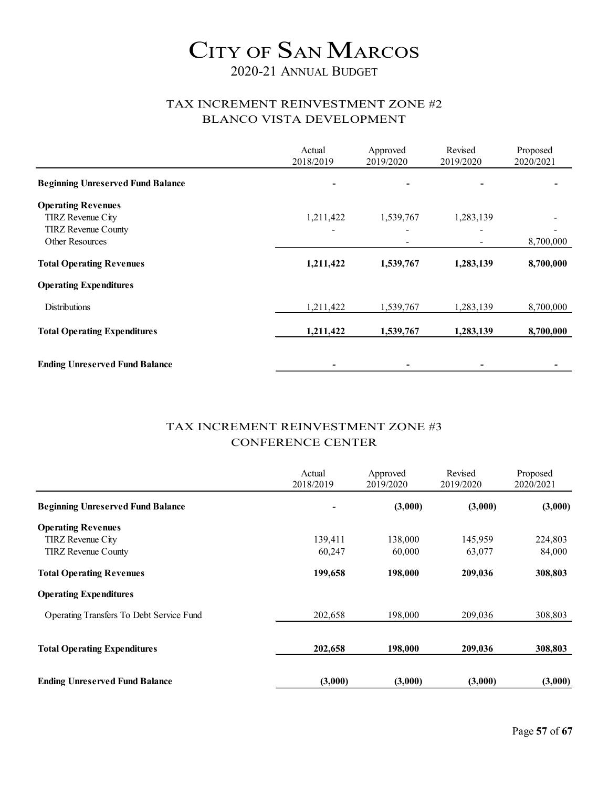### 2020-21 ANNUAL BUDGET

#### TAX INCREMENT REINVESTMENT ZONE #2 BLANCO VISTA DEVELOPMENT

|                                                                                                        | Actual<br>2018/2019 | Approved<br>2019/2020 | Revised<br>2019/2020 | Proposed<br>2020/2021 |
|--------------------------------------------------------------------------------------------------------|---------------------|-----------------------|----------------------|-----------------------|
| <b>Beginning Unreserved Fund Balance</b>                                                               |                     |                       |                      |                       |
| <b>Operating Revenues</b><br><b>TIRZ</b> Revenue City<br><b>TIRZ</b> Revenue County<br>Other Resources | 1,211,422           | 1,539,767             | 1,283,139            | 8,700,000             |
| <b>Total Operating Revenues</b>                                                                        | 1,211,422           | 1,539,767             | 1,283,139            | 8,700,000             |
| <b>Operating Expenditures</b>                                                                          |                     |                       |                      |                       |
| <b>Distributions</b>                                                                                   | 1,211,422           | 1,539,767             | 1,283,139            | 8,700,000             |
| <b>Total Operating Expenditures</b>                                                                    | 1,211,422           | 1,539,767             | 1,283,139            | 8,700,000             |
| <b>Ending Unreserved Fund Balance</b>                                                                  |                     |                       |                      |                       |

#### TAX INCREMENT REINVESTMENT ZONE #3 CONFERENCE CENTER

|                                          | Actual<br>2018/2019 | Approved<br>2019/2020 | Revised<br>2019/2020 | Proposed<br>2020/2021 |
|------------------------------------------|---------------------|-----------------------|----------------------|-----------------------|
| <b>Beginning Unreserved Fund Balance</b> |                     | (3,000)               | (3,000)              | (3,000)               |
| <b>Operating Revenues</b>                |                     |                       |                      |                       |
| <b>TIRZ</b> Revenue City                 | 139,411             | 138,000               | 145,959              | 224,803               |
| <b>TIRZ</b> Revenue County               | 60,247              | 60,000                | 63,077               | 84,000                |
| <b>Total Operating Revenues</b>          | 199,658             | 198,000               | 209,036              | 308,803               |
| <b>Operating Expenditures</b>            |                     |                       |                      |                       |
| Operating Transfers To Debt Service Fund | 202,658             | 198,000               | 209,036              | 308,803               |
|                                          |                     |                       |                      |                       |
| <b>Total Operating Expenditures</b>      | 202,658             | 198,000               | 209,036              | 308,803               |
| <b>Ending Unreserved Fund Balance</b>    | (3,000)             | (3,000)               | (3,000)              | (3,000)               |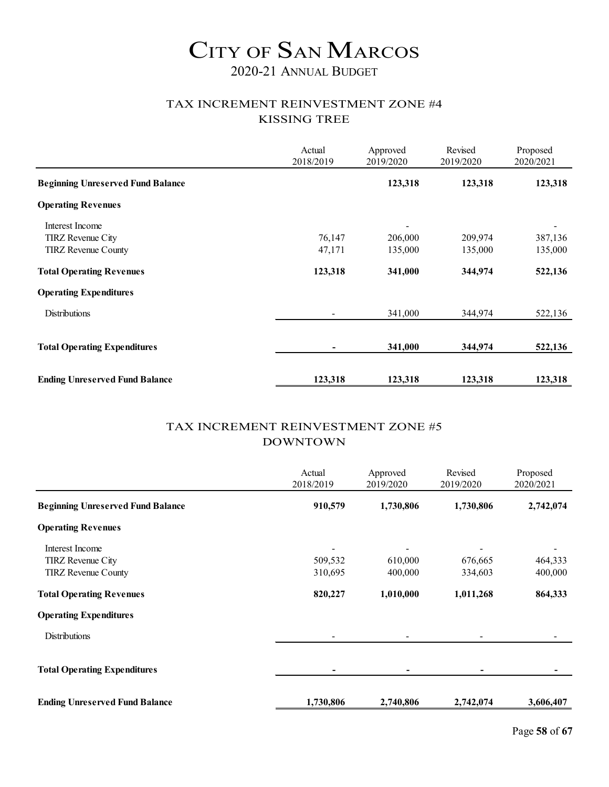### 2020-21 ANNUAL BUDGET

#### TAX INCREMENT REINVESTMENT ZONE #4 KISSING TREE

|                                          | Actual<br>2018/2019 | Approved<br>2019/2020 | Revised<br>2019/2020 | Proposed<br>2020/2021 |
|------------------------------------------|---------------------|-----------------------|----------------------|-----------------------|
| <b>Beginning Unreserved Fund Balance</b> |                     | 123,318               | 123,318              | 123,318               |
| <b>Operating Revenues</b>                |                     |                       |                      |                       |
| Interest Income                          |                     |                       |                      |                       |
| TIRZ Revenue City                        | 76,147              | 206,000               | 209,974              | 387,136               |
| <b>TIRZ</b> Revenue County               | 47,171              | 135,000               | 135,000              | 135,000               |
| <b>Total Operating Revenues</b>          | 123,318             | 341,000               | 344,974              | 522,136               |
| <b>Operating Expenditures</b>            |                     |                       |                      |                       |
| <b>Distributions</b>                     |                     | 341,000               | 344,974              | 522,136               |
|                                          |                     |                       |                      |                       |
| <b>Total Operating Expenditures</b>      | ۰                   | 341,000               | 344,974              | 522,136               |
|                                          |                     |                       |                      |                       |
| <b>Ending Unreserved Fund Balance</b>    | 123,318             | 123,318               | 123,318              | 123,318               |

#### TAX INCREMENT REINVESTMENT ZONE #5 DOWNTOWN

|                                          | Actual<br>2018/2019 | Approved<br>2019/2020 | Revised<br>2019/2020 | Proposed<br>2020/2021 |
|------------------------------------------|---------------------|-----------------------|----------------------|-----------------------|
| <b>Beginning Unreserved Fund Balance</b> | 910,579             | 1,730,806             | 1,730,806            | 2,742,074             |
| <b>Operating Revenues</b>                |                     |                       |                      |                       |
| Interest Income                          |                     |                       |                      |                       |
| <b>TIRZ</b> Revenue City                 | 509,532             | 610,000               | 676,665              | 464,333               |
| <b>TIRZ</b> Revenue County               | 310,695             | 400,000               | 334,603              | 400,000               |
| <b>Total Operating Revenues</b>          | 820,227             | 1,010,000             | 1,011,268            | 864,333               |
| <b>Operating Expenditures</b>            |                     |                       |                      |                       |
| <b>Distributions</b>                     |                     |                       |                      |                       |
| <b>Total Operating Expenditures</b>      |                     |                       |                      |                       |
| <b>Ending Unreserved Fund Balance</b>    | 1,730,806           | 2,740,806             | 2,742,074            | 3,606,407             |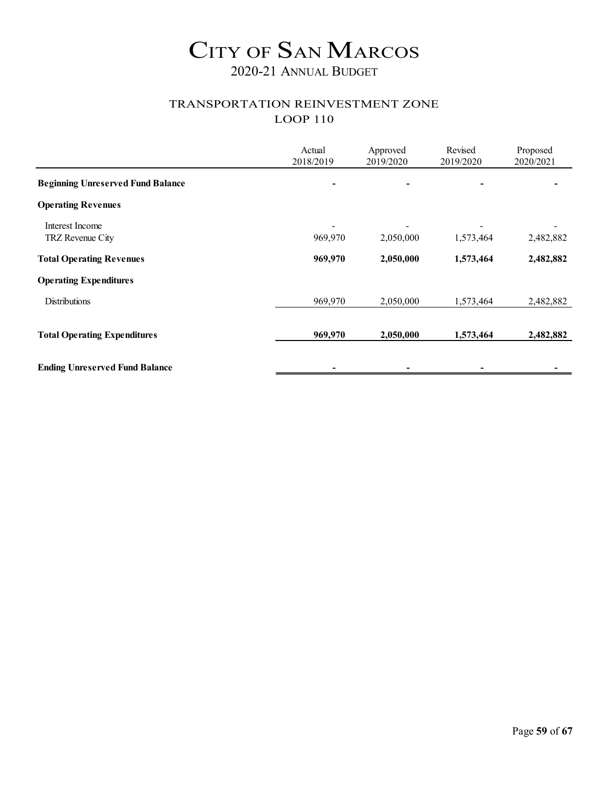### TRANSPORTATION REINVESTMENT ZONE LOOP 110

|                                          | Actual<br>2018/2019 | Approved<br>2019/2020 | Revised<br>2019/2020 | Proposed<br>2020/2021 |
|------------------------------------------|---------------------|-----------------------|----------------------|-----------------------|
| <b>Beginning Unreserved Fund Balance</b> |                     |                       |                      |                       |
| <b>Operating Revenues</b>                |                     |                       |                      |                       |
| Interest Income<br>TRZ Revenue City      | 969,970             | 2,050,000             | 1,573,464            | 2,482,882             |
| <b>Total Operating Revenues</b>          | 969,970             | 2,050,000             | 1,573,464            | 2,482,882             |
| <b>Operating Expenditures</b>            |                     |                       |                      |                       |
| <b>Distributions</b>                     | 969,970             | 2,050,000             | 1,573,464            | 2,482,882             |
| <b>Total Operating Expenditures</b>      | 969,970             | 2,050,000             | 1,573,464            | 2,482,882             |
| <b>Ending Unreserved Fund Balance</b>    |                     |                       |                      |                       |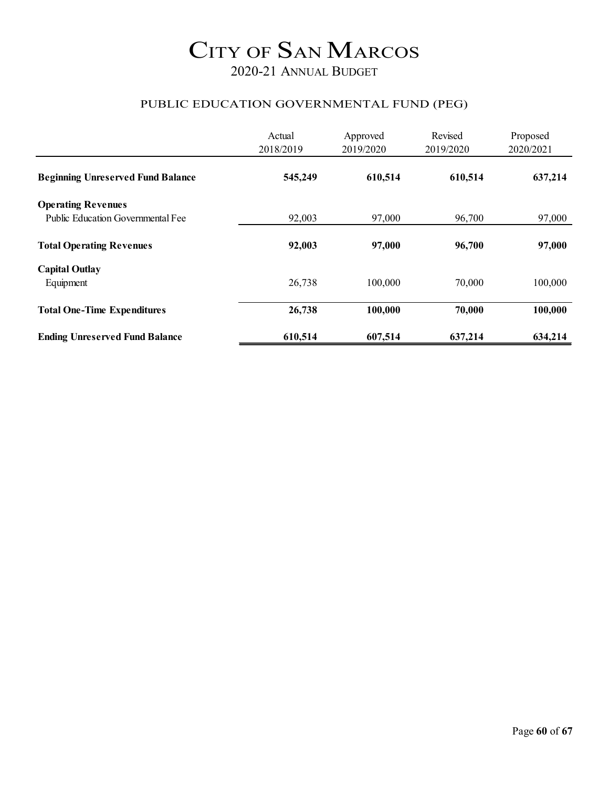### 2020-21 ANNUAL BUDGET

#### PUBLIC EDUCATION GOVERNMENTAL FUND (PEG)

|                                          | Actual<br>2018/2019 | Approved<br>2019/2020 | Revised<br>2019/2020 | Proposed<br>2020/2021 |
|------------------------------------------|---------------------|-----------------------|----------------------|-----------------------|
| <b>Beginning Unreserved Fund Balance</b> | 545,249             | 610,514               | 610,514              | 637,214               |
| <b>Operating Revenues</b>                |                     |                       |                      |                       |
| Public Education Governmental Fee        | 92,003              | 97,000                | 96,700               | 97,000                |
| <b>Total Operating Revenues</b>          | 92,003              | 97,000                | 96,700               | 97,000                |
| <b>Capital Outlay</b>                    |                     |                       |                      |                       |
| Equipment                                | 26,738              | 100,000               | 70,000               | 100,000               |
| <b>Total One-Time Expenditures</b>       | 26,738              | 100,000               | 70,000               | 100,000               |
| <b>Ending Unreserved Fund Balance</b>    | 610,514             | 607,514               | 637,214              | 634,214               |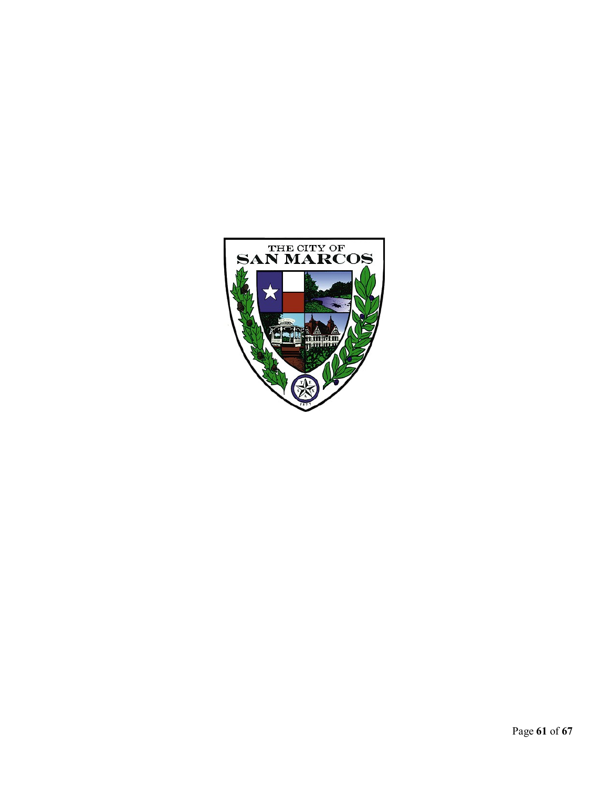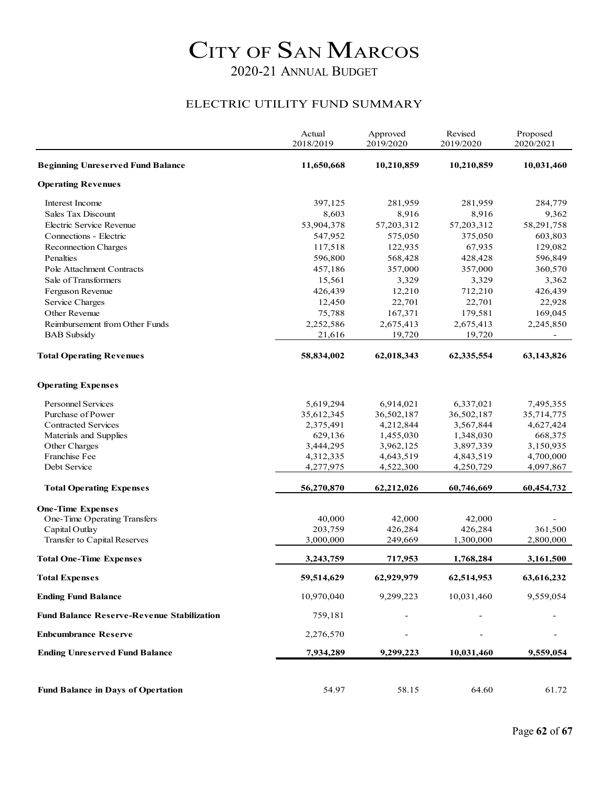#### ELECTRIC UTILITY FUND SUMMARY

|                                                   | Actual<br>2018/2019 | Approved<br>2019/2020 | Revised<br>2019/2020 | Proposed<br>2020/2021 |
|---------------------------------------------------|---------------------|-----------------------|----------------------|-----------------------|
| <b>Beginning Unreserved Fund Balance</b>          | 11,650,668          | 10,210,859            | 10,210,859           | 10,031,460            |
| <b>Operating Revenues</b>                         |                     |                       |                      |                       |
| Interest Income                                   | 397,125             | 281,959               | 281,959              | 284,779               |
| Sales Tax Discount                                | 8,603               | 8,916                 | 8,916                | 9,362                 |
| Electric Service Revenue                          | 53,904,378          | 57,203,312            | 57, 203, 312         | 58,291,758            |
| Connections - Electric                            | 547,952             | 575,050               | 375,050              | 603,803               |
| Reconnection Charges                              | 117,518             | 122,935               | 67,935               | 129,082               |
| Penalties                                         | 596,800             | 568,428               | 428,428              | 596,849               |
| Pole Attachment Contracts                         | 457,186             | 357,000               | 357,000              | 360,570               |
| Sale of Transformers                              | 15,561              | 3,329                 | 3,329                | 3,362                 |
| Ferguson Revenue                                  | 426,439             | 12,210                | 712,210              | 426,439               |
| Service Charges                                   | 12,450              | 22,701                | 22,701               | 22,928                |
| Other Revenue                                     | 75,788              | 167,371               | 179,581              | 169,045               |
| Reimbursement from Other Funds                    | 2,252,586           | 2,675,413             | 2,675,413            | 2,245,850             |
| <b>BAB</b> Subsidy                                | 21,616              | 19,720                | 19,720               |                       |
| <b>Total Operating Revenues</b>                   | 58,834,002          | 62,018,343            | 62,335,554           | 63,143,826            |
| <b>Operating Expenses</b>                         |                     |                       |                      |                       |
| <b>Personnel Services</b>                         | 5,619,294           | 6,914,021             | 6,337,021            | 7,495,355             |
| Purchase of Power                                 | 35,612,345          | 36,502,187            | 36,502,187           | 35,714,775            |
| Contracted Services                               | 2,375,491           | 4,212,844             | 3,567,844            | 4,627,424             |
| Materials and Supplies                            | 629,136             | 1,455,030             | 1,348,030            | 668,375               |
| Other Charges                                     | 3,444,295           | 3,962,125             | 3,897,339            | 3,150,935             |
| Franchise Fee                                     | 4,312,335           | 4,643,519             | 4,843,519            | 4,700,000             |
| Debt Service                                      | 4,277,975           | 4,522,300             | 4,250,729            | 4,097,867             |
| <b>Total Operating Expenses</b>                   | 56,270,870          | 62,212,026            | 60,746,669           | 60,454,732            |
| <b>One-Time Expenses</b>                          |                     |                       |                      |                       |
| One-Time Operating Transfers                      | 40,000              | 42,000                | 42,000               |                       |
| Capital Outlay                                    | 203,759             | 426,284               | 426,284              | 361,500               |
| Transfer to Capital Reserves                      | 3,000,000           | 249,669               | 1,300,000            | 2,800,000             |
| <b>Total One-Time Expenses</b>                    | 3,243,759           | 717,953               | 1,768,284            | 3,161,500             |
| <b>Total Expenses</b>                             | 59,514,629          | 62,929,979            | 62,514,953           | 63,616,232            |
| <b>Ending Fund Balance</b>                        | 10,970,040          | 9,299,223             | 10,031,460           | 9,559,054             |
| <b>Fund Balance Reserve-Revenue Stabilization</b> | 759,181             |                       |                      |                       |
| <b>Enbcumbrance Reserve</b>                       | 2,276,570           |                       |                      |                       |
| <b>Ending Unreserved Fund Balance</b>             | 7,934,289           | 9,299,223             | 10,031,460           | 9,559,054             |
|                                                   |                     |                       |                      |                       |
| <b>Fund Balance in Days of Opertation</b>         | 54.97               | 58.15                 | 64.60                | 61.72                 |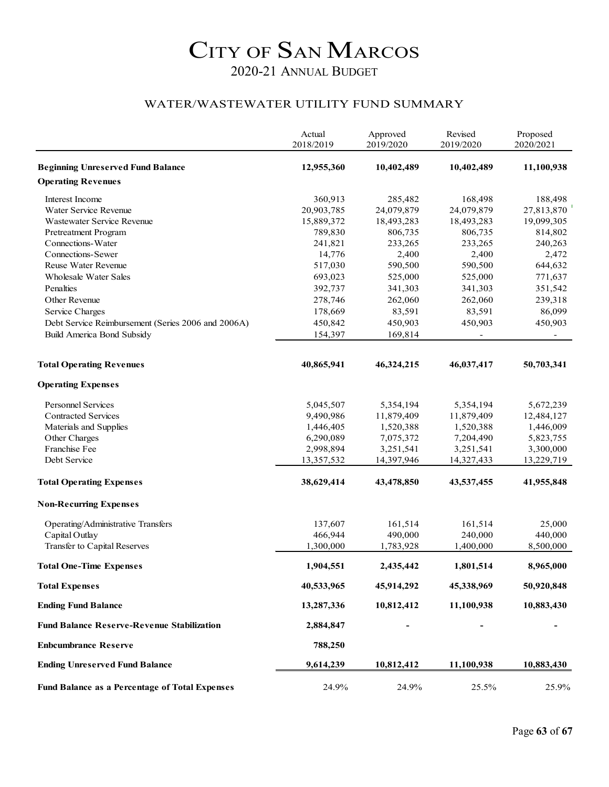#### WATER/WASTEWATER UTILITY FUND SUMMARY

|                                                       | Actual<br>2018/2019 | Approved<br>2019/2020 | Revised<br>2019/2020 | Proposed<br>2020/2021 |
|-------------------------------------------------------|---------------------|-----------------------|----------------------|-----------------------|
| <b>Beginning Unreserved Fund Balance</b>              | 12,955,360          | 10,402,489            | 10,402,489           | 11,100,938            |
| <b>Operating Revenues</b>                             |                     |                       |                      |                       |
| Interest Income                                       | 360,913             | 285,482               | 168,498              | 188,498               |
| Water Service Revenue                                 | 20,903,785          | 24,079,879            | 24,079,879           | 27,813,870            |
| Wastewater Service Revenue                            | 15,889,372          | 18,493,283            | 18,493,283           | 19,099,305            |
| Pretreatment Program                                  | 789,830             | 806,735               | 806,735              | 814,802               |
| Connections-Water                                     | 241,821             | 233,265               | 233,265              | 240,263               |
| Connections-Sewer                                     | 14,776              | 2,400                 | 2,400                | 2,472                 |
| Reuse Water Revenue                                   | 517,030             | 590,500               | 590,500              | 644,632               |
| <b>Wholesale Water Sales</b>                          | 693,023             | 525,000               | 525,000              | 771,637               |
| Penalties                                             | 392,737             | 341,303               | 341,303              | 351,542               |
| Other Revenue                                         | 278,746             | 262,060               | 262,060              | 239,318               |
| Service Charges                                       | 178,669             | 83,591                | 83,591               | 86,099                |
| Debt Service Reimbursement (Series 2006 and 2006A)    | 450,842             | 450,903               | 450,903              | 450,903               |
| <b>Build America Bond Subsidy</b>                     | 154,397             | 169,814               |                      |                       |
|                                                       |                     |                       |                      |                       |
| <b>Total Operating Revenues</b>                       | 40,865,941          | 46,324,215            | 46,037,417           | 50,703,341            |
| <b>Operating Expenses</b>                             |                     |                       |                      |                       |
| <b>Personnel Services</b>                             | 5,045,507           | 5,354,194             | 5,354,194            | 5,672,239             |
| <b>Contracted Services</b>                            | 9,490,986           | 11,879,409            | 11,879,409           | 12,484,127            |
| Materials and Supplies                                | 1,446,405           | 1,520,388             | 1,520,388            | 1,446,009             |
| Other Charges                                         | 6,290,089           | 7,075,372             | 7,204,490            | 5,823,755             |
| Franchise Fee                                         | 2,998,894           | 3,251,541             | 3,251,541            | 3,300,000             |
| Debt Service                                          | 13,357,532          | 14,397,946            | 14,327,433           | 13,229,719            |
| <b>Total Operating Expenses</b>                       | 38,629,414          | 43,478,850            | 43,537,455           | 41,955,848            |
| <b>Non-Recurring Expenses</b>                         |                     |                       |                      |                       |
| Operating/Administrative Transfers                    | 137,607             | 161,514               | 161,514              | 25,000                |
| Capital Outlay                                        | 466,944             | 490,000               | 240,000              | 440,000               |
| Transfer to Capital Reserves                          | 1,300,000           | 1,783,928             | 1,400,000            | 8,500,000             |
| <b>Total One-Time Expenses</b>                        | 1,904,551           | 2,435,442             | 1,801,514            | 8,965,000             |
| <b>Total Expenses</b>                                 | 40,533,965          | 45,914,292            | 45,338,969           | 50,920,848            |
| <b>Ending Fund Balance</b>                            | 13,287,336          | 10,812,412            | 11,100,938           | 10,883,430            |
| <b>Fund Balance Reserve-Revenue Stabilization</b>     | 2,884,847           |                       |                      |                       |
| <b>Enbcumbrance Reserve</b>                           | 788,250             |                       |                      |                       |
| <b>Ending Unreserved Fund Balance</b>                 | 9,614,239           | 10,812,412            | 11,100,938           | 10,883,430            |
| <b>Fund Balance as a Percentage of Total Expenses</b> | 24.9%               | 24.9%                 | 25.5%                | 25.9%                 |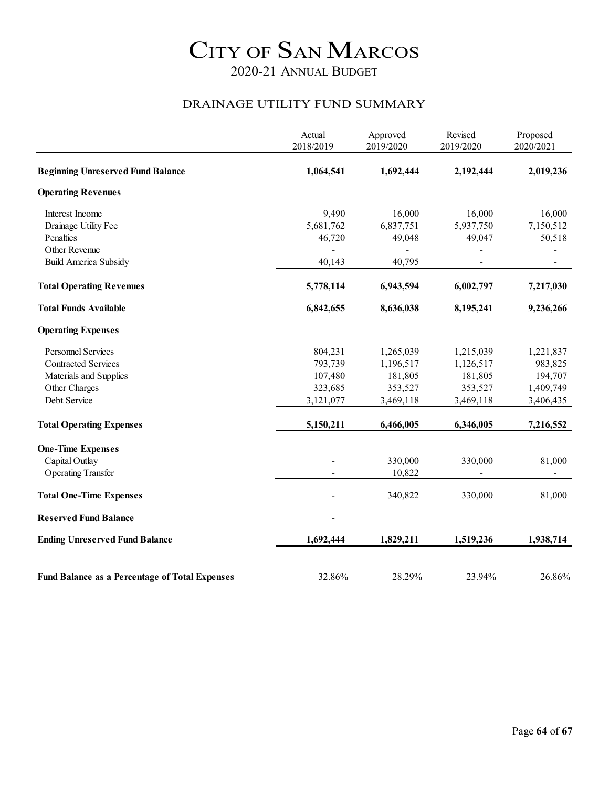#### DRAINAGE UTILITY FUND SUMMARY

|                                                       | Actual<br>2018/2019 | Approved<br>2019/2020 | Revised<br>2019/2020 | Proposed<br>2020/2021 |
|-------------------------------------------------------|---------------------|-----------------------|----------------------|-----------------------|
| <b>Beginning Unreserved Fund Balance</b>              | 1,064,541           | 1,692,444             | 2,192,444            | 2,019,236             |
| <b>Operating Revenues</b>                             |                     |                       |                      |                       |
| Interest Income                                       | 9,490               | 16,000                | 16,000               | 16,000                |
| Drainage Utility Fee                                  | 5,681,762           | 6,837,751             | 5,937,750            | 7,150,512             |
| Penalties                                             | 46,720              | 49,048                | 49,047               | 50,518                |
| Other Revenue                                         |                     |                       |                      |                       |
| <b>Build America Subsidy</b>                          | 40,143              | 40,795                |                      |                       |
| <b>Total Operating Revenues</b>                       | 5,778,114           | 6,943,594             | 6,002,797            | 7,217,030             |
| <b>Total Funds Available</b>                          | 6,842,655           | 8,636,038             | 8,195,241            | 9,236,266             |
| <b>Operating Expenses</b>                             |                     |                       |                      |                       |
| <b>Personnel Services</b>                             | 804,231             | 1,265,039             | 1,215,039            | 1,221,837             |
| <b>Contracted Services</b>                            | 793,739             | 1,196,517             | 1,126,517            | 983,825               |
| Materials and Supplies                                | 107,480             | 181,805               | 181,805              | 194,707               |
| Other Charges                                         | 323,685             | 353,527               | 353,527              | 1,409,749             |
| Debt Service                                          | 3,121,077           | 3,469,118             | 3,469,118            | 3,406,435             |
| <b>Total Operating Expenses</b>                       | 5,150,211           | 6,466,005             | 6,346,005            | 7,216,552             |
| <b>One-Time Expenses</b>                              |                     |                       |                      |                       |
| Capital Outlay                                        |                     | 330,000               | 330,000              | 81,000                |
| <b>Operating Transfer</b>                             |                     | 10,822                |                      |                       |
| <b>Total One-Time Expenses</b>                        |                     | 340,822               | 330,000              | 81,000                |
| <b>Reserved Fund Balance</b>                          |                     |                       |                      |                       |
| <b>Ending Unreserved Fund Balance</b>                 | 1,692,444           | 1,829,211             | 1,519,236            | 1,938,714             |
|                                                       |                     |                       |                      |                       |
| <b>Fund Balance as a Percentage of Total Expenses</b> | 32.86%              | 28.29%                | 23.94%               | 26.86%                |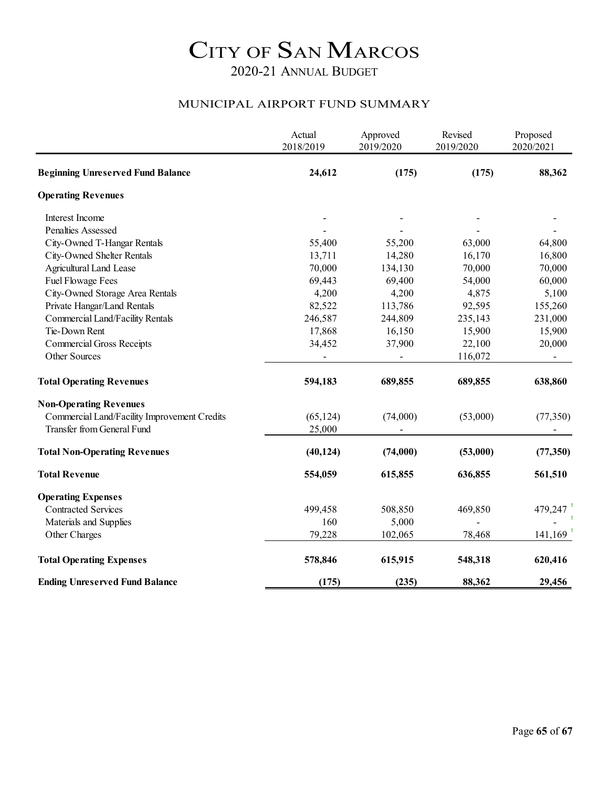#### MUNICIPAL AIRPORT FUND SUMMARY

|                                              | Actual<br>2018/2019 | Approved<br>2019/2020 | Revised<br>2019/2020 | Proposed<br>2020/2021 |
|----------------------------------------------|---------------------|-----------------------|----------------------|-----------------------|
| <b>Beginning Unreserved Fund Balance</b>     | 24,612              | (175)                 | (175)                | 88,362                |
| <b>Operating Revenues</b>                    |                     |                       |                      |                       |
| Interest Income                              |                     |                       |                      |                       |
| Penalties Assessed                           |                     |                       |                      |                       |
| City-Owned T-Hangar Rentals                  | 55,400              | 55,200                | 63,000               | 64,800                |
| City-Owned Shelter Rentals                   | 13,711              | 14,280                | 16,170               | 16,800                |
| <b>Agricultural Land Lease</b>               | 70,000              | 134,130               | 70,000               | 70,000                |
| Fuel Flowage Fees                            | 69,443              | 69,400                | 54,000               | 60,000                |
| City-Owned Storage Area Rentals              | 4,200               | 4,200                 | 4,875                | 5,100                 |
| Private Hangar/Land Rentals                  | 82,522              | 113,786               | 92,595               | 155,260               |
| Commercial Land/Facility Rentals             | 246,587             | 244,809               | 235,143              | 231,000               |
| Tie-Down Rent                                | 17,868              | 16,150                | 15,900               | 15,900                |
| <b>Commercial Gross Receipts</b>             | 34,452              | 37,900                | 22,100               | 20,000                |
| Other Sources                                |                     |                       | 116,072              |                       |
| <b>Total Operating Revenues</b>              | 594,183             | 689,855               | 689,855              | 638,860               |
| <b>Non-Operating Revenues</b>                |                     |                       |                      |                       |
| Commercial Land/Facility Improvement Credits | (65, 124)           | (74,000)              | (53,000)             | (77, 350)             |
| Transfer from General Fund                   | 25,000              |                       |                      |                       |
| <b>Total Non-Operating Revenues</b>          | (40, 124)           | (74,000)              | (53,000)             | (77, 350)             |
| <b>Total Revenue</b>                         | 554,059             | 615,855               | 636,855              | 561,510               |
| <b>Operating Expenses</b>                    |                     |                       |                      |                       |
| <b>Contracted Services</b>                   | 499,458             | 508,850               | 469,850              | 479,247               |
| Materials and Supplies                       | 160                 | 5,000                 |                      |                       |
| Other Charges                                | 79,228              | 102,065               | 78,468               | 141,169               |
| <b>Total Operating Expenses</b>              | 578,846             | 615,915               | 548,318              | 620,416               |
| <b>Ending Unreserved Fund Balance</b>        | (175)               | (235)                 | 88,362               | 29,456                |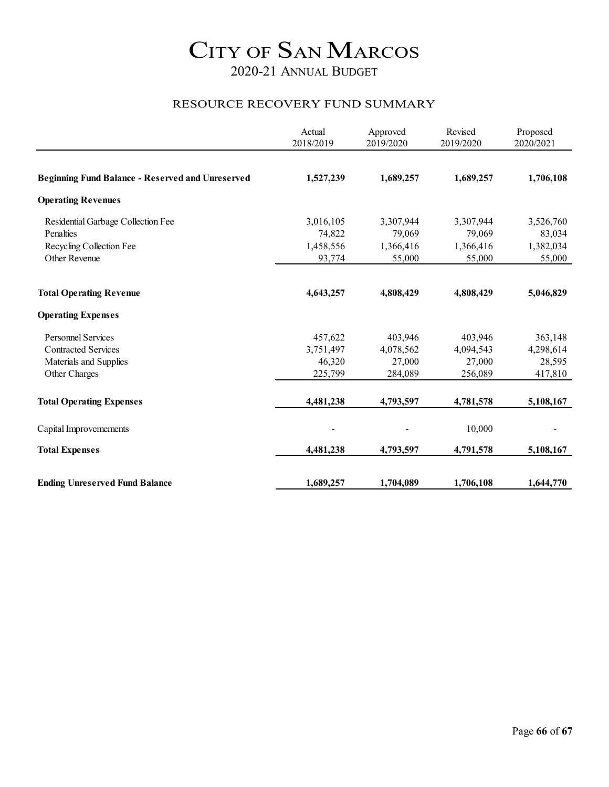#### RESOURCE RECOVERY FUND SUMMARY

|                                                         | Actual<br>2018/2019 | Approved<br>2019/2020 | Revised<br>2019/2020 | Proposed<br>2020/2021 |
|---------------------------------------------------------|---------------------|-----------------------|----------------------|-----------------------|
|                                                         |                     |                       |                      |                       |
| <b>Beginning Fund Balance - Reserved and Unreserved</b> | 1,527,239           | 1,689,257             | 1,689,257            | 1,706,108             |
| <b>Operating Revenues</b>                               |                     |                       |                      |                       |
| Residential Garbage Collection Fee                      | 3,016,105           | 3,307,944             | 3,307,944            | 3,526,760             |
| Penalties                                               | 74,822              | 79,069                | 79,069               | 83,034                |
| Recycling Collection Fee                                | 1,458,556           | 1,366,416             | 1,366,416            | 1,382,034             |
| Other Revenue                                           | 93,774              | 55,000                | 55,000               | 55,000                |
| <b>Total Operating Revenue</b>                          | 4,643,257           | 4,808,429             | 4,808,429            | 5,046,829             |
| <b>Operating Expenses</b>                               |                     |                       |                      |                       |
| <b>Personnel Services</b>                               | 457,622             | 403,946               | 403,946              | 363,148               |
| <b>Contracted Services</b>                              | 3,751,497           | 4,078,562             | 4,094,543            | 4,298,614             |
| Materials and Supplies                                  | 46,320              | 27,000                | 27,000               | 28,595                |
| Other Charges                                           | 225,799             | 284,089               | 256,089              | 417,810               |
| <b>Total Operating Expenses</b>                         | 4,481,238           | 4,793,597             | 4,781,578            | 5,108,167             |
| Capital Improvemements                                  |                     |                       | 10,000               |                       |
|                                                         |                     |                       |                      |                       |
| <b>Total Expenses</b>                                   | 4,481,238           | 4,793,597             | 4,791,578            | 5,108,167             |
| <b>Ending Unreserved Fund Balance</b>                   | 1,689,257           | 1,704,089             | 1,706,108            | 1,644,770             |